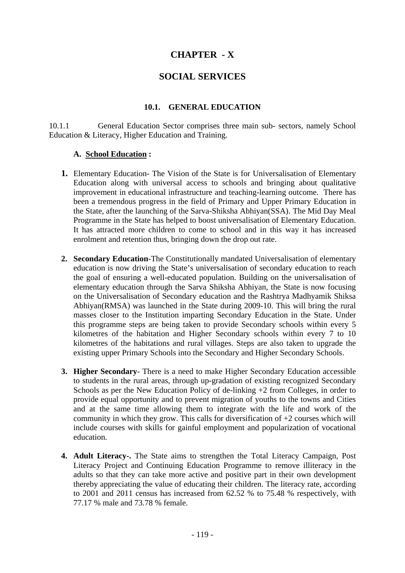# **CHAPTER - X**

# **SOCIAL SERVICES**

## **10.1. GENERAL EDUCATION**

10.1.1 General Education Sector comprises three main sub- sectors, namely School Education & Literacy, Higher Education and Training.

## **A. School Education :**

- **1.** Elementary Education- The Vision of the State is for Universalisation of Elementary Education along with universal access to schools and bringing about qualitative improvement in educational infrastructure and teaching-learning outcome. There has been a tremendous progress in the field of Primary and Upper Primary Education in the State, after the launching of the Sarva-Shiksha Abhiyan(SSA). The Mid Day Meal Programme in the State has helped to boost universalisation of Elementary Education. It has attracted more children to come to school and in this way it has increased enrolment and retention thus, bringing down the drop out rate.
- **2. Secondary Education**-The Constitutionally mandated Universalisation of elementary education is now driving the State's universalisation of secondary education to reach the goal of ensuring a well-educated population. Building on the universalisation of elementary education through the Sarva Shiksha Abhiyan, the State is now focusing on the Universalisation of Secondary education and the Rashtrya Madhyamik Shiksa Abhiyan(RMSA) was launched in the State during 2009-10. This will bring the rural masses closer to the Institution imparting Secondary Education in the State. Under this programme steps are being taken to provide Secondary schools within every 5 kilometres of the habitation and Higher Secondary schools within every 7 to 10 kilometres of the habitations and rural villages. Steps are also taken to upgrade the existing upper Primary Schools into the Secondary and Higher Secondary Schools.
- **3. Higher Secondary** There is a need to make Higher Secondary Education accessible to students in the rural areas, through up-gradation of existing recognized Secondary Schools as per the New Education Policy of de-linking +2 from Colleges, in order to provide equal opportunity and to prevent migration of youths to the towns and Cities and at the same time allowing them to integrate with the life and work of the community in which they grow. This calls for diversification of  $+2$  courses which will include courses with skills for gainful employment and popularization of vocational education.
- **4. Adult Literacy-.** The State aims to strengthen the Total Literacy Campaign, Post Literacy Project and Continuing Education Programme to remove illiteracy in the adults so that they can take more active and positive part in their own development thereby appreciating the value of educating their children. The literacy rate, according to 2001 and 2011 census has increased from 62.52 % to 75.48 % respectively, with 77.17 % male and 73.78 % female.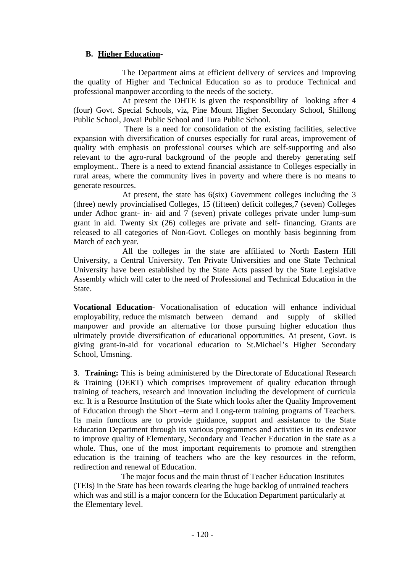# **B. Higher Education-**

 The Department aims at efficient delivery of services and improving the quality of Higher and Technical Education so as to produce Technical and professional manpower according to the needs of the society.

 At present the DHTE is given the responsibility of looking after 4 (four) Govt. Special Schools, viz, Pine Mount Higher Secondary School, Shillong Public School, Jowai Public School and Tura Public School.

 There is a need for consolidation of the existing facilities, selective expansion with diversification of courses especially for rural areas, improvement of quality with emphasis on professional courses which are self-supporting and also relevant to the agro-rural background of the people and thereby generating self employment.. There is a need to extend financial assistance to Colleges especially in rural areas, where the community lives in poverty and where there is no means to generate resources.

 At present, the state has 6(six) Government colleges including the 3 (three) newly provincialised Colleges, 15 (fifteen) deficit colleges,7 (seven) Colleges under Adhoc grant- in- aid and 7 (seven) private colleges private under lump-sum grant in aid. Twenty six (26) colleges are private and self- financing. Grants are released to all categories of Non-Govt. Colleges on monthly basis beginning from March of each year.

 All the colleges in the state are affiliated to North Eastern Hill University, a Central University. Ten Private Universities and one State Technical University have been established by the State Acts passed by the State Legislative Assembly which will cater to the need of Professional and Technical Education in the State.

**Vocational Education**- Vocationalisation of education will enhance individual employability, reduce the mismatch between demand and supply of skilled manpower and provide an alternative for those pursuing higher education thus ultimately provide diversification of educational opportunities. At present, Govt. is giving grant-in-aid for vocational education to St.Michael's Higher Secondary School, Umsning.

**3**. **Training:** This is being administered by the Directorate of Educational Research & Training (DERT) which comprises improvement of quality education through training of teachers, research and innovation including the development of curricula etc. It is a Resource Institution of the State which looks after the Quality Improvement of Education through the Short –term and Long-term training programs of Teachers. Its main functions are to provide guidance, support and assistance to the State Education Department through its various programmes and activities in its endeavor to improve quality of Elementary, Secondary and Teacher Education in the state as a whole. Thus, one of the most important requirements to promote and strengthen education is the training of teachers who are the key resources in the reform, redirection and renewal of Education.

 The major focus and the main thrust of Teacher Education Institutes (TEIs) in the State has been towards clearing the huge backlog of untrained teachers which was and still is a major concern for the Education Department particularly at the Elementary level.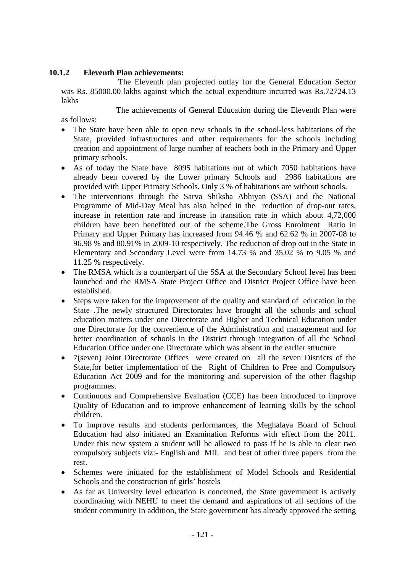## **10.1.2 Eleventh Plan achievements:**

 The Eleventh plan projected outlay for the General Education Sector was Rs. 85000.00 lakhs against which the actual expenditure incurred was Rs.72724.13 lakhs

The achievements of General Education during the Eleventh Plan were

as follows:

- The State have been able to open new schools in the school-less habitations of the State, provided infrastructures and other requirements for the schools including creation and appointment of large number of teachers both in the Primary and Upper primary schools.
- As of today the State have 8095 habitations out of which 7050 habitations have already been covered by the Lower primary Schools and 2986 habitations are provided with Upper Primary Schools. Only 3 % of habitations are without schools.
- The interventions through the Sarva Shiksha Abhiyan (SSA) and the National Programme of Mid-Day Meal has also helped in the reduction of drop-out rates, increase in retention rate and increase in transition rate in which about 4,72,000 children have been benefitted out of the scheme.The Gross Enrolment Ratio in Primary and Upper Primary has increased from 94.46 % and 62.62 % in 2007-08 to 96.98 % and 80.91% in 2009-10 respectively. The reduction of drop out in the State in Elementary and Secondary Level were from 14.73 % and 35.02 % to 9.05 % and 11.25 % respectively.
- The RMSA which is a counterpart of the SSA at the Secondary School level has been launched and the RMSA State Project Office and District Project Office have been established.
- Steps were taken for the improvement of the quality and standard of education in the State .The newly structured Directorates have brought all the schools and school education matters under one Directorate and Higher and Technical Education under one Directorate for the convenience of the Administration and management and for better coordination of schools in the District through integration of all the School Education Office under one Directorate which was absent in the earlier structure
- 7(seven) Joint Directorate Offices were created on all the seven Districts of the State,for better implementation of the Right of Children to Free and Compulsory Education Act 2009 and for the monitoring and supervision of the other flagship programmes.
- Continuous and Comprehensive Evaluation (CCE) has been introduced to improve Quality of Education and to improve enhancement of learning skills by the school children.
- To improve results and students performances, the Meghalaya Board of School Education had also initiated an Examination Reforms with effect from the 2011. Under this new system a student will be allowed to pass if he is able to clear two compulsory subjects viz:- English and MIL and best of other three papers from the rest.
- Schemes were initiated for the establishment of Model Schools and Residential Schools and the construction of girls' hostels
- As far as University level education is concerned, the State government is actively coordinating with NEHU to meet the demand and aspirations of all sections of the student community In addition, the State government has already approved the setting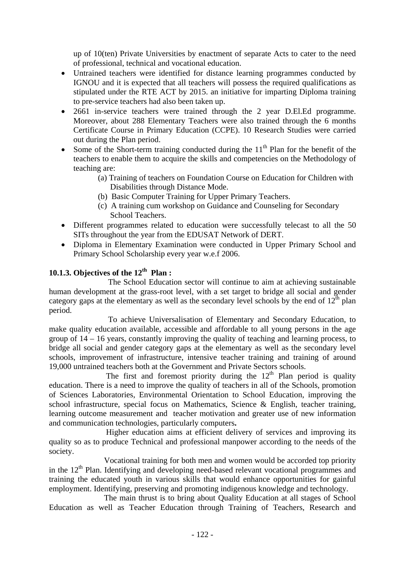up of 10(ten) Private Universities by enactment of separate Acts to cater to the need of professional, technical and vocational education.

- Untrained teachers were identified for distance learning programmes conducted by IGNOU and it is expected that all teachers will possess the required qualifications as stipulated under the RTE ACT by 2015. an initiative for imparting Diploma training to pre-service teachers had also been taken up.
- 2661 in-service teachers were trained through the 2 year D.El.Ed programme. Moreover, about 288 Elementary Teachers were also trained through the 6 months Certificate Course in Primary Education (CCPE). 10 Research Studies were carried out during the Plan period.
- Some of the Short-term training conducted during the  $11<sup>th</sup>$  Plan for the benefit of the teachers to enable them to acquire the skills and competencies on the Methodology of teaching are:
	- (a) Training of teachers on Foundation Course on Education for Children with Disabilities through Distance Mode.
	- (b) Basic Computer Training for Upper Primary Teachers.
	- (c) A training cum workshop on Guidance and Counseling for Secondary School Teachers.
- Different programmes related to education were successfully telecast to all the 50 SITs throughout the year from the EDUSAT Network of DERT.
- Diploma in Elementary Examination were conducted in Upper Primary School and Primary School Scholarship every year w.e.f 2006.

# **10.1.3. Objectives of the 12th Plan :**

 The School Education sector will continue to aim at achieving sustainable human development at the grass-root level, with a set target to bridge all social and gender category gaps at the elementary as well as the secondary level schools by the end of  $12<sup>th</sup>$  plan period.

 To achieve Universalisation of Elementary and Secondary Education, to make quality education available, accessible and affordable to all young persons in the age group of 14 – 16 years, constantly improving the quality of teaching and learning process, to bridge all social and gender category gaps at the elementary as well as the secondary level schools, improvement of infrastructure, intensive teacher training and training of around 19,000 untrained teachers both at the Government and Private Sectors schools.

The first and foremost priority during the  $12<sup>th</sup>$  Plan period is quality education. There is a need to improve the quality of teachers in all of the Schools, promotion of Sciences Laboratories, Environmental Orientation to School Education, improving the school infrastructure, special focus on Mathematics, Science & English, teacher training, learning outcome measurement and teacher motivation and greater use of new information and communication technologies, particularly computers**.** 

 Higher education aims at efficient delivery of services and improving its quality so as to produce Technical and professional manpower according to the needs of the society.

Vocational training for both men and women would be accorded top priority in the  $12<sup>th</sup>$  Plan. Identifying and developing need-based relevant vocational programmes and training the educated youth in various skills that would enhance opportunities for gainful employment. Identifying, preserving and promoting indigenous knowledge and technology.

 The main thrust is to bring about Quality Education at all stages of School Education as well as Teacher Education through Training of Teachers, Research and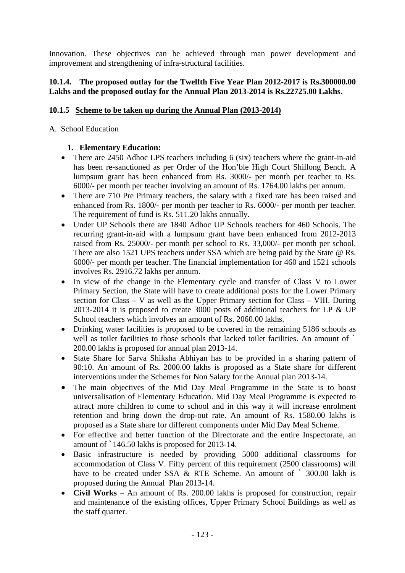Innovation. These objectives can be achieved through man power development and improvement and strengthening of infra-structural facilities.

## **10.1.4. The proposed outlay for the Twelfth Five Year Plan 2012-2017 is Rs.300000.00 Lakhs and the proposed outlay for the Annual Plan 2013-2014 is Rs.22725.00 Lakhs.**

# **10.1.5 Scheme to be taken up during the Annual Plan (2013-2014)**

A. School Education

## **1. Elementary Education:**

- There are 2450 Adhoc LPS teachers including 6 (six) teachers where the grant-in-aid has been re-sanctioned as per Order of the Hon'ble High Court Shillong Bench. A lumpsum grant has been enhanced from Rs. 3000/- per month per teacher to Rs. 6000/- per month per teacher involving an amount of Rs. 1764.00 lakhs per annum.
- There are 710 Pre Primary teachers, the salary with a fixed rate has been raised and enhanced from Rs. 1800/- per month per teacher to Rs. 6000/- per month per teacher. The requirement of fund is Rs. 511.20 lakhs annually.
- Under UP Schools there are 1840 Adhoc UP Schools teachers for 460 Schools. The recurring grant-in-aid with a lumpsum grant have been enhanced from 2012-2013 raised from Rs. 25000/- per month per school to Rs. 33,000/- per month per school. There are also 1521 UPS teachers under SSA which are being paid by the State @ Rs. 6000/- per month per teacher. The financial implementation for 460 and 1521 schools involves Rs. 2916.72 lakhs per annum.
- In view of the change in the Elementary cycle and transfer of Class V to Lower Primary Section, the State will have to create additional posts for the Lower Primary section for Class – V as well as the Upper Primary section for Class – VIII. During 2013-2014 it is proposed to create 3000 posts of additional teachers for LP & UP School teachers which involves an amount of Rs. 2060.00 lakhs.
- Drinking water facilities is proposed to be covered in the remaining 5186 schools as well as toilet facilities to those schools that lacked toilet facilities. An amount of  $\dot{\ }$ 200.00 lakhs is proposed for annual plan 2013-14.
- State Share for Sarva Shiksha Abhiyan has to be provided in a sharing pattern of 90:10. An amount of Rs. 2000.00 lakhs is proposed as a State share for different interventions under the Schemes for Non Salary for the Annual plan 2013-14.
- The main objectives of the Mid Day Meal Programme in the State is to boost universalisation of Elementary Education. Mid Day Meal Programme is expected to attract more children to come to school and in this way it will increase enrolment retention and bring down the drop-out rate. An amount of Rs. 1580.00 lakhs is proposed as a State share for different components under Mid Day Meal Scheme.
- For effective and better function of the Directorate and the entire Inspectorate, an amount of `146.50 lakhs is proposed for 2013-14.
- Basic infrastructure is needed by providing 5000 additional classrooms for accommodation of Class V. Fifty percent of this requirement (2500 classrooms) will have to be created under SSA  $\&$  RTE Scheme. An amount of  $\&$  300.00 lakh is proposed during the Annual Plan 2013-14.
- **Civil Works** An amount of Rs. 200.00 lakhs is proposed for construction, repair and maintenance of the existing offices, Upper Primary School Buildings as well as the staff quarter.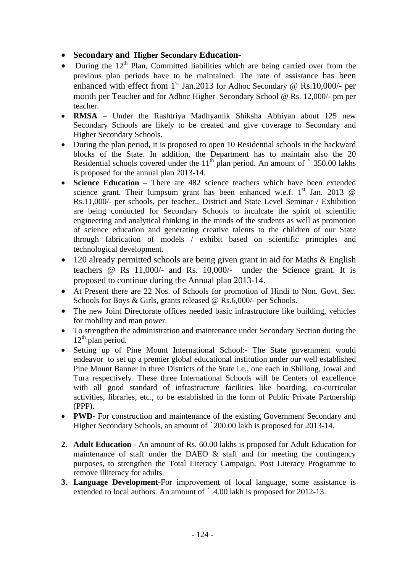- **Secondary and Higher Secondary Education-**
- $\bullet$  During the 12<sup>th</sup> Plan, Committed liabilities which are being carried over from the previous plan periods have to be maintained. The rate of assistance has been enhanced with effect from  $1<sup>st</sup>$  Jan.2013 for Adhoc Secondary @ Rs.10,000/- per month per Teacher and for Adhoc Higher Secondary School @ Rs. 12,000/- pm per teacher.
- **RMSA** Under the Rashtriya Madhyamik Shiksha Abhiyan about 125 new Secondary Schools are likely to be created and give coverage to Secondary and Higher Secondary Schools.
- During the plan period, it is proposed to open 10 Residential schools in the backward blocks of the State. In addition, the Department has to maintain also the 20 Residential schools covered under the  $11<sup>th</sup>$  plan period. An amount of  $\degree$  350.00 lakhs is proposed for the annual plan 2013-14.
- **Science Education** There are 482 science teachers which have been extended science grant. Their lumpsum grant has been enhanced w.e.f.  $1<sup>st</sup>$  Jan. 2013 @ Rs.11,000/- per schools, per teacher.. District and State Level Seminar / Exhibition are being conducted for Secondary Schools to inculcate the spirit of scientific engineering and analytical thinking in the minds of the students as well as promotion of science education and generating creative talents to the children of our State through fabrication of models / exhibit based on scientific principles and technological development.
- 120 already permitted schools are being given grant in aid for Maths & English teachers @ Rs 11,000/- and Rs. 10,000/- under the Science grant. It is proposed to continue during the Annual plan 2013-14.
- At Present there are 22 Nos. of Schools for promotion of Hindi to Non. Govt. Sec. Schools for Boys & Girls, grants released @ Rs.6,000/- per Schools.
- The new Joint Directorate offices needed basic infrastructure like building, vehicles for mobility and man power.
- To strengthen the administration and maintenance under Secondary Section during the  $12<sup>th</sup>$  plan period.
- Setting up of Pine Mount International School:- The State government would endeavor to set up a premier global educational institution under our well established Pine Mount Banner in three Districts of the State i.e., one each in Shillong, Jowai and Tura respectively. These three International Schools will be Centers of excellence with all good standard of infrastructure facilities like boarding, co-curricular activities, libraries, etc., to be established in the form of Public Private Partnership (PPP).
- **PWD-** For construction and maintenance of the existing Government Secondary and Higher Secondary Schools, an amount of `200.00 lakh is proposed for 2013-14.
- **2. Adult Education** An amount of Rs. 60.00 lakhs is proposed for Adult Education for maintenance of staff under the DAEO & staff and for meeting the contingency purposes, to strengthen the Total Literacy Campaign, Post Literacy Programme to remove illiteracy for adults.
- **3. Language Development-**For improvement of local language, some assistance is extended to local authors. An amount of  $\degree$  4.00 lakh is proposed for 2012-13.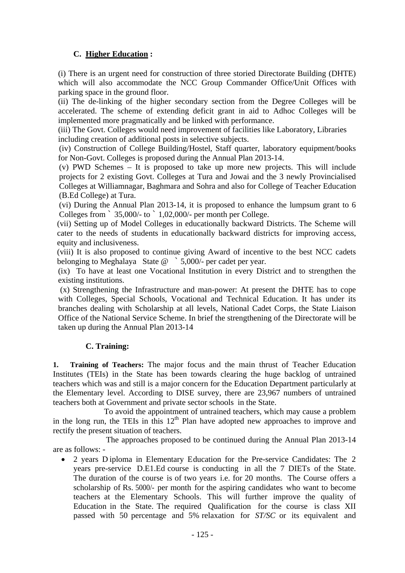# **C. Higher Education :**

(i) There is an urgent need for construction of three storied Directorate Building (DHTE) which will also accommodate the NCC Group Commander Office/Unit Offices with parking space in the ground floor.

(ii) The de-linking of the higher secondary section from the Degree Colleges will be accelerated. The scheme of extending deficit grant in aid to Adhoc Colleges will be implemented more pragmatically and be linked with performance.

(iii) The Govt. Colleges would need improvement of facilities like Laboratory, Libraries including creation of additional posts in selective subjects.

(iv) Construction of College Building/Hostel, Staff quarter, laboratory equipment/books for Non-Govt. Colleges is proposed during the Annual Plan 2013-14.

(v) PWD Schemes – It is proposed to take up more new projects. This will include projects for 2 existing Govt. Colleges at Tura and Jowai and the 3 newly Provincialised Colleges at Williamnagar, Baghmara and Sohra and also for College of Teacher Education (B.Ed College) at Tura.

(vi) During the Annual Plan 2013-14, it is proposed to enhance the lumpsum grant to 6 Colleges from  $\degree$  35,000/- to  $\degree$  1,02,000/- per month per College.

(vii) Setting up of Model Colleges in educationally backward Districts. The Scheme will cater to the needs of students in educationally backward districts for improving access, equity and inclusiveness.

(viii) It is also proposed to continue giving Award of incentive to the best NCC cadets belonging to Meghalaya State @ ` 5,000/- per cadet per year.

(ix) To have at least one Vocational Institution in every District and to strengthen the existing institutions.

 (x) Strengthening the Infrastructure and man-power: At present the DHTE has to cope with Colleges, Special Schools, Vocational and Technical Education. It has under its branches dealing with Scholarship at all levels, National Cadet Corps, the State Liaison Office of the National Service Scheme. In brief the strengthening of the Directorate will be taken up during the Annual Plan 2013-14

# **C. Training:**

**1. Training of Teachers:** The major focus and the main thrust of Teacher Education Institutes (TEIs) in the State has been towards clearing the huge backlog of untrained teachers which was and still is a major concern for the Education Department particularly at the Elementary level. According to DISE survey, there are 23,967 numbers of untrained teachers both at Government and private sector schools in the State.

 To avoid the appointment of untrained teachers, which may cause a problem in the long run, the TEIs in this  $12<sup>th</sup>$  Plan have adopted new approaches to improve and rectify the present situation of teachers.

The approaches proposed to be continued during the Annual Plan 2013-14 are as follows: -

 2 years D iploma in Elementary Education for the Pre-service Candidates: The 2 years pre-service D.E1.Ed course is conducting in all the 7 DIETs of the State. The duration of the course is of two years i.e. for 20 months. The Course offers a scholarship of Rs. 5000/- per month for the aspiring candidates who want to become teachers at the Elementary Schools. This will further improve the quality of Education in the State. The required Qualification for the course is class XII passed with 50 percentage and 5% relaxation for *ST/SC* or its equivalent and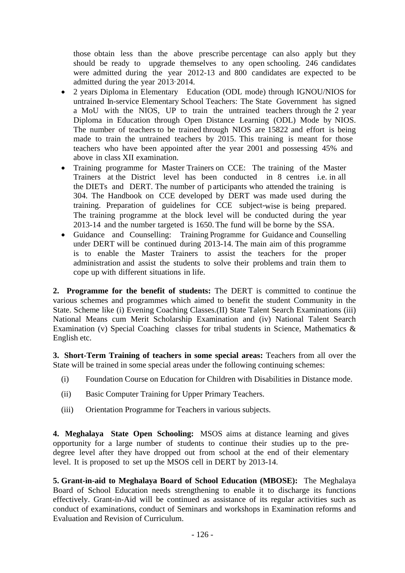those obtain less than the above prescribe percentage can also apply but they should be ready to upgrade themselves to any open schooling. 246 candidates were admitted during the year 2012-13 and 800 candidates are expected to be admitted during the year 2013·2014.

- 2 years Diploma in Elementary Education (ODL mode) through IGNOU/NIOS for untrained In-service Elementary School Teachers: The State Government has signed a MoU with the NIOS, UP to train the untrained teachers through the 2 year Diploma in Education through Open Distance Learning (ODL) Mode by NIOS. The number of teachers to be trained through NIOS are 15822 and effort is being made to train the untrained teachers by 2015. This training is meant for those teachers who have been appointed after the year 2001 and possessing 45% and above in class XII examination.
- Training programme for Master Trainers on CCE: The training of the Master Trainers at the District level has been conducted in 8 centres i.e. in all the DIETs and DERT. The number of p articipants who attended the training is 304. The Handbook on CCE developed by DERT was made used during the training. Preparation of guidelines for CCE subject-wise is being prepared. The training programme at the block level will be conducted during the year 2013-14 and the number targeted is 1650. The fund will be borne by the SSA.
- Guidance and Counselling: Training Programme for Guidance and Counselling under DERT will be continued during 2013-14. The main aim of this programme is to enable the Master Trainers to assist the teachers for the proper administration and assist the students to solve their problems and train them to cope up with different situations in life.

**2. Programme for the benefit of students:** The DERT is committed to continue the various schemes and programmes which aimed to benefit the student Community in the State. Scheme like (i) Evening Coaching Classes.(II) State Talent Search Examinations (iii) National Means cum Merit Scholarship Examination and (iv) National Talent Search Examination (v) Special Coaching classes for tribal students in Science, Mathematics & English etc.

**3. Short-Term Training of teachers in some special areas:** Teachers from all over the State will be trained in some special areas under the following continuing schemes:

- (i) Foundation Course on Education for Children with Disabilities in Distance mode.
- (ii) Basic Computer Training for Upper Primary Teachers.
- (iii) Orientation Programme for Teachers in various subjects.

**4. Meghalaya State Open Schooling:** MSOS aims at distance learning and gives opportunity for a large number of students to continue their studies up to the predegree level after they have dropped out from school at the end of their elementary level. It is proposed to set up the MSOS cell in DERT by 2013-14.

**5. Grant-in-aid to Meghalaya Board of School Education (MBOSE):** The Meghalaya Board of School Education needs strengthening to enable it to discharge its functions effectively. Grant-in-Aid will be continued as assistance of its regular activities such as conduct of examinations, conduct of Seminars and workshops in Examination reforms and Evaluation and Revision of Curriculum.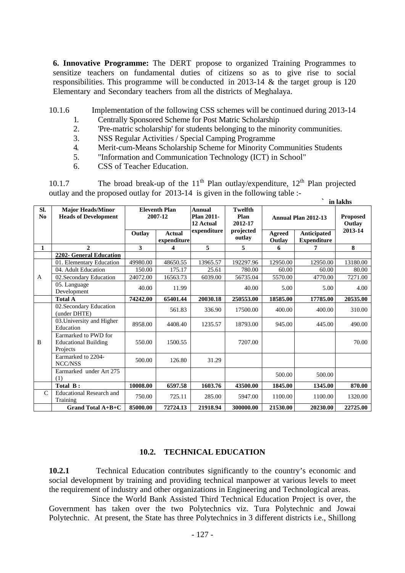**6. Innovative Programme:** The DERT propose to organized Training Programmes to sensitize teachers on fundamental duties of citizens so as to give rise to social responsibilities. This programme will be conducted in 2013-14 & the target group is 120 Elementary and Secondary teachers from all the districts of Meghalaya.

10.1.6 Implementation of the following CSS schemes will be continued during 2013-14

- 1. Centrally Sponsored Scheme for Post Matric Scholarship
- 2. 'Pre-matric scholarship' for students belonging to the minority communities.
- 3. NSS Regular Activities / Special Camping Programme
- 4. Merit-cum-Means Scholarship Scheme for Minority Communities Students
- 5. "Information and Communication Technology (ICT) in School"
- 6. CSS of Teacher Education.

10.1.7 The broad break-up of the  $11<sup>th</sup>$  Plan outlay/expenditure,  $12<sup>th</sup>$  Plan projected outlay and the proposed outlay for 2013-14 is given in the following table :- **` in lakhs** 

|                       |                                                                 |                                 |                              |                                                                                         | ш кимпэ   |                         |                                   |                           |
|-----------------------|-----------------------------------------------------------------|---------------------------------|------------------------------|-----------------------------------------------------------------------------------------|-----------|-------------------------|-----------------------------------|---------------------------|
| SI.<br>N <sub>0</sub> | <b>Major Heads/Minor</b><br><b>Heads of Development</b>         | <b>Eleventh Plan</b><br>2007-12 |                              | <b>Annual</b><br>Plan 2011-<br>Plan<br>2012-17<br>12 Actual<br>expenditure<br>projected | Twelfth   |                         | <b>Annual Plan 2012-13</b>        | <b>Proposed</b><br>Outlay |
|                       |                                                                 | Outlay                          | <b>Actual</b><br>expenditure |                                                                                         | outlay    | <b>Agreed</b><br>Outlay | Anticipated<br><b>Expenditure</b> | 2013-14                   |
| $\mathbf{1}$          | $\overline{2}$                                                  | 3                               | 4                            | 5                                                                                       | 5         | 6                       | 7                                 | 8                         |
|                       | 2202- General Education                                         |                                 |                              |                                                                                         |           |                         |                                   |                           |
|                       | 01. Elementary Education                                        | 49980.00                        | 48650.55                     | 13965.57                                                                                | 192297.96 | 12950.00                | 12950.00                          | 13180.00                  |
|                       | 04. Adult Education                                             | 150.00                          | 175.17                       | 25.61                                                                                   | 780.00    | 60.00                   | 60.00                             | 80.00                     |
| A                     | 02.Secondary Education                                          | 24072.00                        | 16563.73                     | 6039.00                                                                                 | 56735.04  | 5570.00                 | 4770.00                           | 7271.00                   |
|                       | 05. Language<br>Development                                     | 40.00                           | 11.99                        |                                                                                         | 40.00     | 5.00                    | 5.00                              | 4.00                      |
|                       | <b>Total A</b>                                                  | 74242.00                        | 65401.44                     | 20030.18                                                                                | 250553.00 | 18585.00                | 17785.00                          | 20535.00                  |
|                       | 02.Secondary Education<br>(under DHTE)                          |                                 | 561.83                       | 336.90                                                                                  | 17500.00  | 400.00                  | 400.00                            | 310.00                    |
|                       | 03. University and Higher<br>Education                          | 8958.00                         | 4408.40                      | 1235.57                                                                                 | 18793.00  | 945.00                  | 445.00                            | 490.00                    |
| B                     | Earmarked to PWD for<br><b>Educational Building</b><br>Projects | 550.00                          | 1500.55                      |                                                                                         | 7207.00   |                         |                                   | 70.00                     |
|                       | Earmarked to 2204-<br>NCC/NSS                                   | 500.00                          | 126.80                       | 31.29                                                                                   |           |                         |                                   |                           |
|                       | Earmarked under Art 275<br>(1)                                  |                                 |                              |                                                                                         |           | 500.00                  | 500.00                            |                           |
|                       | Total B:                                                        | 10008.00                        | 6597.58                      | 1603.76                                                                                 | 43500.00  | 1845.00                 | 1345.00                           | 870.00                    |
| $\mathcal{C}$         | <b>Educational Research and</b><br>Training                     | 750.00                          | 725.11                       | 285.00                                                                                  | 5947.00   | 1100.00                 | 1100.00                           | 1320.00                   |
|                       | <b>Grand Total A+B+C</b>                                        | 85000.00                        | 72724.13                     | 21918.94                                                                                | 300000.00 | 21530.00                | 20230.00                          | 22725.00                  |

#### **10.2. TECHNICAL EDUCATION**

**10.2.1** Technical Education contributes significantly to the country's economic and social development by training and providing technical manpower at various levels to meet the requirement of industry and other organizations in Engineering and Technological areas.

 Since the World Bank Assisted Third Technical Education Project is over, the Government has taken over the two Polytechnics viz. Tura Polytechnic and Jowai Polytechnic. At present, the State has three Polytechnics in 3 different districts i.e., Shillong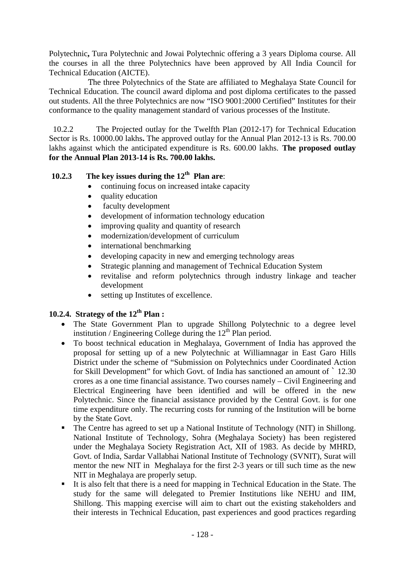Polytechnic**,** Tura Polytechnic and Jowai Polytechnic offering a 3 years Diploma course. All the courses in all the three Polytechnics have been approved by All India Council for Technical Education (AICTE).

 The three Polytechnics of the State are affiliated to Meghalaya State Council for Technical Education. The council award diploma and post diploma certificates to the passed out students. All the three Polytechnics are now "ISO 9001:2000 Certified" Institutes for their conformance to the quality management standard of various processes of the Institute.

 10.2.2 The Projected outlay for the Twelfth Plan (2012-17) for Technical Education Sector is Rs. 10000.00 lakhs**.** The approved outlay for the Annual Plan 2012-13 is Rs. 700.00 lakhs against which the anticipated expenditure is Rs. 600.00 lakhs. **The proposed outlay for the Annual Plan 2013-14 is Rs. 700.00 lakhs.** 

# **10.2.3 The key issues during the 12th Plan are**:

- continuing focus on increased intake capacity
- quality education
- faculty development
- development of information technology education
- improving quality and quantity of research
- modernization/development of curriculum
- international benchmarking
- developing capacity in new and emerging technology areas
- Strategic planning and management of Technical Education System
- revitalise and reform polytechnics through industry linkage and teacher development
- setting up Institutes of excellence.

# **10.2.4. Strategy of the 12<sup>th</sup> Plan :**

- The State Government Plan to upgrade Shillong Polytechnic to a degree level institution / Engineering College during the  $12<sup>th</sup>$  Plan period.
- To boost technical education in Meghalaya, Government of India has approved the proposal for setting up of a new Polytechnic at Williamnagar in East Garo Hills District under the scheme of "Submission on Polytechnics under Coordinated Action for Skill Development" for which Govt. of India has sanctioned an amount of ` 12.30 crores as a one time financial assistance. Two courses namely – Civil Engineering and Electrical Engineering have been identified and will be offered in the new Polytechnic. Since the financial assistance provided by the Central Govt. is for one time expenditure only. The recurring costs for running of the Institution will be borne by the State Govt.
- The Centre has agreed to set up a National Institute of Technology (NIT) in Shillong. National Institute of Technology, Sohra (Meghalaya Society) has been registered under the Meghalaya Society Registration Act, XII of 1983. As decide by MHRD, Govt. of India, Sardar Vallabhai National Institute of Technology (SVNIT), Surat will mentor the new NIT in Meghalaya for the first 2-3 years or till such time as the new NIT in Meghalaya are properly setup.
- It is also felt that there is a need for mapping in Technical Education in the State. The study for the same will delegated to Premier Institutions like NEHU and IIM, Shillong. This mapping exercise will aim to chart out the existing stakeholders and their interests in Technical Education, past experiences and good practices regarding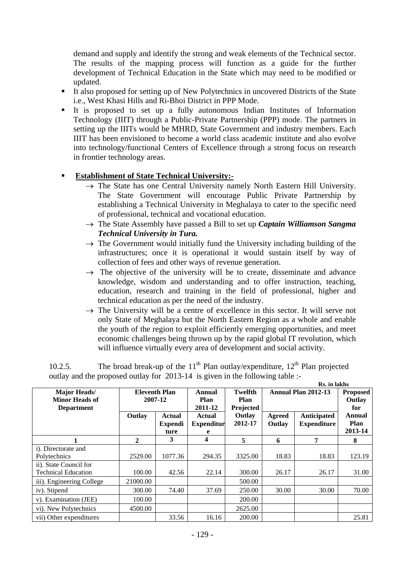demand and supply and identify the strong and weak elements of the Technical sector. The results of the mapping process will function as a guide for the further development of Technical Education in the State which may need to be modified or updated.

- It also proposed for setting up of New Polytechnics in uncovered Districts of the State i.e., West Khasi Hills and Ri-Bhoi District in PPP Mode.
- It is proposed to set up a fully autonomous Indian Institutes of Information Technology (IIIT) through a Public-Private Partnership (PPP) mode. The partners in setting up the IIITs would be MHRD, State Government and industry members. Each IIIT has been envisioned to become a world class academic institute and also evolve into technology/functional Centers of Excellence through a strong focus on research in frontier technology areas.

# **Establishment of State Technical University:-**

- $\rightarrow$  The State has one Central University namely North Eastern Hill University. The State Government will encourage Public Private Partnership by establishing a Technical University in Meghalaya to cater to the specific need of professional, technical and vocational education.
- The State Assembly have passed a Bill to set up *Captain Williamson Sangma Technical University in Tura.*
- $\rightarrow$  The Government would initially fund the University including building of the infrastructures; once it is operational it would sustain itself by way of collection of fees and other ways of revenue generation.
- $\rightarrow$  The objective of the university will be to create, disseminate and advance knowledge, wisdom and understanding and to offer instruction, teaching, education, research and training in the field of professional, higher and technical education as per the need of the industry.
- $\rightarrow$  The University will be a centre of excellence in this sector. It will serve not only State of Meghalaya but the North Eastern Region as a whole and enable the youth of the region to exploit efficiently emerging opportunities, and meet economic challenges being thrown up by the rapid global IT revolution, which will influence virtually every area of development and social activity.

|                                  |                      |                |                   | INS. III IANIIS |        |                     |                 |
|----------------------------------|----------------------|----------------|-------------------|-----------------|--------|---------------------|-----------------|
| Major Heads/                     | <b>Eleventh Plan</b> |                | Annual            | Twelfth         |        | Annual Plan 2012-13 | <b>Proposed</b> |
| <b>Minor Heads of</b><br>2007-12 |                      |                | Plan              | Plan            |        |                     | Outlay          |
| <b>Department</b>                |                      |                | 2011-12           | Projected       |        |                     | for             |
|                                  | Outlay               | Actual         | Actual            | Outlay          | Agreed | Anticipated         | Annual          |
|                                  |                      | <b>Expendi</b> | <b>Expenditur</b> | 2012-17         | Outlay | <b>Expenditure</b>  | <b>Plan</b>     |
|                                  |                      | ture           | e                 |                 |        |                     | 2013-14         |
|                                  | $\mathbf{2}$         | 3              | 4                 | 5               | 6      | 7                   | 8               |
| i). Directorate and              |                      |                |                   |                 |        |                     |                 |
| Polytechnics                     | 2529.00              | 1077.36        | 294.35            | 3325.00         | 18.83  | 18.83               | 123.19          |
| ii). State Council for           |                      |                |                   |                 |        |                     |                 |
| <b>Technical Education</b>       | 100.00               | 42.56          | 22.14             | 300.00          | 26.17  | 26.17               | 31.00           |
| iii). Engineering College        | 21000.00             |                |                   | 500.00          |        |                     |                 |
| iv). Stipend                     | 300.00               | 74.40          | 37.69             | 250.00          | 30.00  | 30.00               | 70.00           |
| v). Examination (JEE)            | 100.00               |                |                   | 200.00          |        |                     |                 |
| vi). New Polytechnics            | 4500.00              |                |                   | 2625.00         |        |                     |                 |
| vii) Other expenditures          |                      | 33.56          | 16.16             | 200.00          |        |                     | 25.81           |

10.2.5. The broad break-up of the  $11<sup>th</sup>$  Plan outlay/expenditure,  $12<sup>th</sup>$  Plan projected outlay and the proposed outlay for 2013-14 is given in the following table :- **Rs. in lakhs**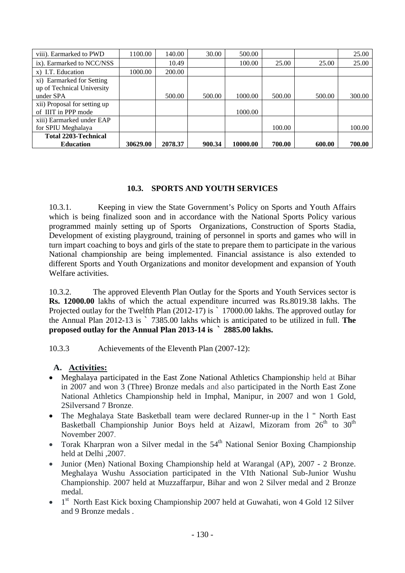| viii). Earmarked to PWD      | 1100.00  | 140.00  | 30.00  | 500.00   |        |        | 25.00  |
|------------------------------|----------|---------|--------|----------|--------|--------|--------|
| ix). Earmarked to NCC/NSS    |          | 10.49   |        | 100.00   | 25.00  | 25.00  | 25.00  |
| x) I.T. Education            | 1000.00  | 200.00  |        |          |        |        |        |
| xi) Earmarked for Setting    |          |         |        |          |        |        |        |
| up of Technical University   |          |         |        |          |        |        |        |
| under SPA                    |          | 500.00  | 500.00 | 1000.00  | 500.00 | 500.00 | 300.00 |
| xii) Proposal for setting up |          |         |        |          |        |        |        |
| of IIIT in PPP mode          |          |         |        | 1000.00  |        |        |        |
| xiii) Earmarked under EAP    |          |         |        |          |        |        |        |
| for SPIU Meghalaya           |          |         |        |          | 100.00 |        | 100.00 |
| <b>Total 2203-Technical</b>  |          |         |        |          |        |        |        |
| <b>Education</b>             | 30629.00 | 2078.37 | 900.34 | 10000.00 | 700.00 | 600.00 | 700.00 |

# **10.3. SPORTS AND YOUTH SERVICES**

10.3.1. Keeping in view the State Government's Policy on Sports and Youth Affairs which is being finalized soon and in accordance with the National Sports Policy various programmed mainly setting up of Sports Organizations, Construction of Sports Stadia, Development of existing playground, training of personnel in sports and games who will in turn impart coaching to boys and girls of the state to prepare them to participate in the various National championship are being implemented. Financial assistance is also extended to different Sports and Youth Organizations and monitor development and expansion of Youth Welfare activities.

10.3.2. The approved Eleventh Plan Outlay for the Sports and Youth Services sector is **Rs. 12000.00** lakhs of which the actual expenditure incurred was Rs.8019.38 lakhs. The Projected outlay for the Twelfth Plan (2012-17) is ` 17000.00 lakhs. The approved outlay for the Annual Plan 2012-13 is ` 7385.00 lakhs which is anticipated to be utilized in full. **The proposed outlay for the Annual Plan 2013-14 is ` 2885.00 lakhs.** 

10.3.3 Achievements of the Eleventh Plan (2007-12):

# **A. Activities:**

- Meghalaya participated in the East Zone National Athletics Championship held at Bihar in 2007 and won 3 (Three) Bronze medals and also participated in the North East Zone National Athletics Championship held in Imphal, Manipur, in 2007 and won 1 Gold, 2Silversand 7 Bronze.
- The Meghalaya State Basketball team were declared Runner-up in the l " North East Basketball Championship Junior Boys held at Aizawl, Mizoram from  $26<sup>th</sup>$  to  $30<sup>th</sup>$ November 2007.
- Torak Kharpran won a Silver medal in the  $54<sup>th</sup>$  National Senior Boxing Championship held at Delhi ,2007.
- Junior (Men) National Boxing Championship held at Warangal (AP), 2007 2 Bronze. Meghalaya Wushu Association participated in the VIth National Sub-Junior Wushu Championship. 2007 held at Muzzaffarpur, Bihar and won 2 Silver medal and 2 Bronze medal.
- $\bullet$  1<sup>st</sup> North East Kick boxing Championship 2007 held at Guwahati, won 4 Gold 12 Silver and 9 Bronze medals .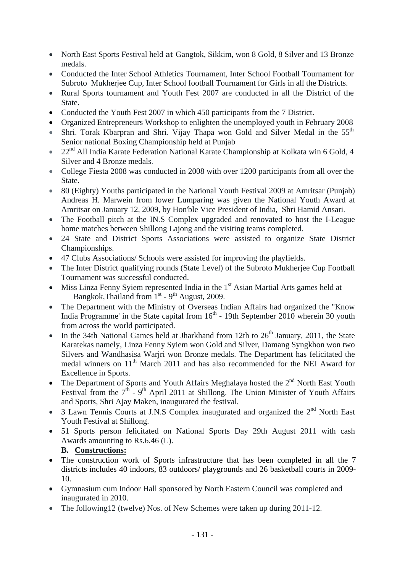- North East Sports Festival held at Gangtok, Sikkim, won 8 Gold, 8 Silver and 13 Bronze medals.
- Conducted the Inter School Athletics Tournament, Inter School Football Tournament for Subroto Mukherjee Cup, Inter School football Tournament for Girls in all the Districts.
- Rural Sports tournament and Youth Fest 2007 are conducted in all the District of the State.
- Conducted the Youth Fest 2007 in which 450 participants from the 7 District.
- Organized Entrepreneurs Workshop to enlighten the unemployed youth in February 2008
- Shri. Torak Kbarpran and Shri. Vijay Thapa won Gold and Silver Medal in the  $55<sup>th</sup>$ Senior national Boxing Championship held at Punjab
- $\bullet$  22<sup>nd</sup> All India Karate Federation National Karate Championship at Kolkata win 6 Gold, 4 Silver and 4 Bronze medals.
- College Fiesta 2008 was conducted in 2008 with over 1200 participants from all over the State.
- 80 (Eighty) Youths participated in the National Youth Festival 2009 at Amritsar (Punjab) Andreas H. Marwein from lower Lumparing was given the National Youth Award at Amritsar on January 12, 2009, by Hon'ble Vice President of India, Shri Hamid Ansari.
- The Football pitch at the IN.S Complex upgraded and renovated to host the I-League home matches between Shillong Lajong and the visiting teams completed.
- 24 State and District Sports Associations were assisted to organize State District Championships.
- 47 Clubs Associations/ Schools were assisted for improving the playfields.
- The Inter District qualifying rounds (State Level) of the Subroto Mukherjee Cup Football Tournament was successful conducted.
- $\bullet$  Miss Linza Fenny Syiem represented India in the 1<sup>st</sup> Asian Martial Arts games held at Bangkok, Thailand from  $1<sup>st</sup>$  - 9<sup>th</sup> August, 2009.
- The Department with the Ministry of Overseas Indian Affairs had organized the "Know" India Programme' in the State capital from  $16<sup>th</sup>$  - 19th September 2010 wherein 30 youth from across the world participated.
- In the 34th National Games held at Jharkhand from 12th to  $26<sup>th</sup>$  January, 2011, the State Karatekas namely, Linza Fenny Syiem won Gold and Silver, Damang Syngkhon won two Silvers and Wandhasisa Warjri won Bronze medals. The Department has felicitated the medal winners on 11<sup>th</sup> March 2011 and has also recommended for the NEI Award for Excellence in Sports.
- The Department of Sports and Youth Affairs Meghalaya hosted the  $2<sup>nd</sup>$  North East Youth Festival from the  $7<sup>th</sup>$  - 9<sup>th</sup> April 2011 at Shillong. The Union Minister of Youth Affairs and Sports, Shri Ajay Maken, inaugurated the festival.
- $\bullet$  3 Lawn Tennis Courts at J.N.S Complex inaugurated and organized the  $2^{nd}$  North East Youth Festival at Shillong.
- 51 Sports person felicitated on National Sports Day 29th August 2011 with cash Awards amounting to Rs.6.46 (L).

## **B. Constructions:**

- The construction work of Sports infrastructure that has been completed in all the 7 districts includes 40 indoors, 83 outdoors/ playgrounds and 26 basketball courts in 2009- 10.
- Gymnasium cum Indoor Hall sponsored by North Eastern Council was completed and inaugurated in 2010.
- The following 12 (twelve) Nos. of New Schemes were taken up during 2011-12.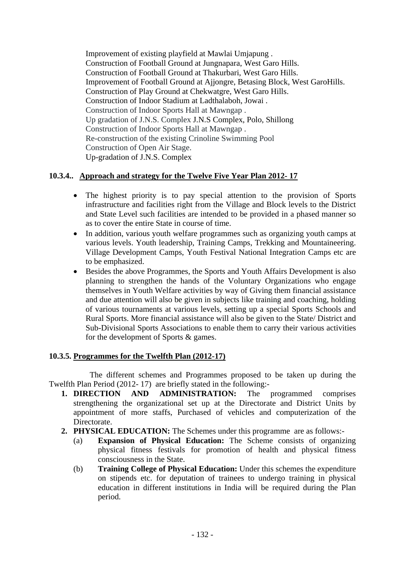Improvement of existing playfield at Mawlai Umjapung . Construction of Football Ground at Jungnapara, West Garo Hills. Construction of Football Ground at Thakurbari, West Garo Hills. Improvement of Football Ground at Ajjongre, Betasing Block, West GaroHills. Construction of Play Ground at Chekwatgre, West Garo Hills. Construction of Indoor Stadium at Ladthalaboh, Jowai . Construction of Indoor Sports Hall at Mawngap . Up gradation of J.N.S. Complex J.N.S Complex, Polo, Shillong Construction of Indoor Sports Hall at Mawngap . Re-construction of the existing Crinoline Swimming Pool Construction of Open Air Stage. Up-gradation of J.N.S. Complex

# **10.3.4.. Approach and strategy for the Twelve Five Year Plan 2012- 17**

- The highest priority is to pay special attention to the provision of Sports infrastructure and facilities right from the Village and Block levels to the District and State Level such facilities are intended to be provided in a phased manner so as to cover the entire State in course of time.
- In addition, various youth welfare programmes such as organizing youth camps at various levels. Youth leadership, Training Camps, Trekking and Mountaineering. Village Development Camps, Youth Festival National Integration Camps etc are to be emphasized.
- Besides the above Programmes, the Sports and Youth Affairs Development is also planning to strengthen the hands of the Voluntary Organizations who engage themselves in Youth Welfare activities by way of Giving them financial assistance and due attention will also be given in subjects like training and coaching, holding of various tournaments at various levels, setting up a special Sports Schools and Rural Sports. More financial assistance will also be given to the State/ District and Sub-Divisional Sports Associations to enable them to carry their various activities for the development of Sports & games.

# **10.3.5. Programmes for the Twelfth Plan (2012-17)**

 The different schemes and Programmes proposed to be taken up during the Twelfth Plan Period (2012- 17) are briefly stated in the following:-

- **1. DIRECTION AND ADMINISTRATION:** The programmed comprises strengthening the organizational set up at the Directorate and District Units by appointment of more staffs, Purchased of vehicles and computerization of the Directorate.
- **2. PHYSICAL EDUCATION:** The Schemes under this programme are as follows:-
	- (a) **Expansion of Physical Education:** The Scheme consists of organizing physical fitness festivals for promotion of health and physical fitness consciousness in the State.
	- (b) **Training College of Physical Education:** Under this schemes the expenditure on stipends etc. for deputation of trainees to undergo training in physical education in different institutions in India will be required during the Plan period.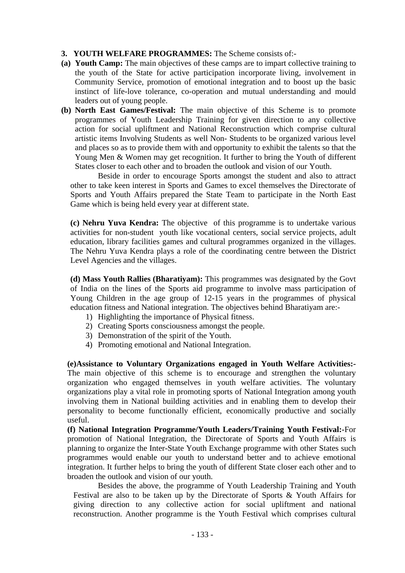- **3. YOUTH WELFARE PROGRAMMES:** The Scheme consists of:-
- **(a) Youth Camp:** The main objectives of these camps are to impart collective training to the youth of the State for active participation incorporate living, involvement in Community Service, promotion of emotional integration and to boost up the basic instinct of life-love tolerance, co-operation and mutual understanding and mould leaders out of young people.
- **(b) North East Games/Festival:** The main objective of this Scheme is to promote programmes of Youth Leadership Training for given direction to any collective action for social upliftment and National Reconstruction which comprise cultural artistic items Involving Students as well Non- Students to be organized various level and places so as to provide them with and opportunity to exhibit the talents so that the Young Men & Women may get recognition. It further to bring the Youth of different States closer to each other and to broaden the outlook and vision of our Youth.

 Beside in order to encourage Sports amongst the student and also to attract other to take keen interest in Sports and Games to excel themselves the Directorate of Sports and Youth Affairs prepared the State Team to participate in the North East Game which is being held every year at different state.

**(c) Nehru Yuva Kendra:** The objective of this programme is to undertake various activities for non-student youth like vocational centers, social service projects, adult education, library facilities games and cultural programmes organized in the villages. The Nehru Yuva Kendra plays a role of the coordinating centre between the District Level Agencies and the villages.

**(d) Mass Youth Rallies (Bharatiyam):** This programmes was designated by the Govt of India on the lines of the Sports aid programme to involve mass participation of Young Children in the age group of 12-15 years in the programmes of physical education fitness and National integration. The objectives behind Bharatiyam are:-

- 1) Highlighting the importance of Physical fitness.
- 2) Creating Sports consciousness amongst the people.
- 3) Demonstration of the spirit of the Youth.
- 4) Promoting emotional and National Integration.

**(e)Assistance to Voluntary Organizations engaged in Youth Welfare Activities:-** The main objective of this scheme is to encourage and strengthen the voluntary organization who engaged themselves in youth welfare activities. The voluntary organizations play a vital role in promoting sports of National Integration among youth involving them in National building activities and in enabling them to develop their personality to become functionally efficient, economically productive and socially useful.

**(f) National Integration Programme/Youth Leaders/Training Youth Festival:-**For promotion of National Integration, the Directorate of Sports and Youth Affairs is planning to organize the Inter-State Youth Exchange programme with other States such programmes would enable our youth to understand better and to achieve emotional integration. It further helps to bring the youth of different State closer each other and to broaden the outlook and vision of our youth.

Besides the above, the programme of Youth Leadership Training and Youth Festival are also to be taken up by the Directorate of Sports & Youth Affairs for giving direction to any collective action for social upliftment and national reconstruction. Another programme is the Youth Festival which comprises cultural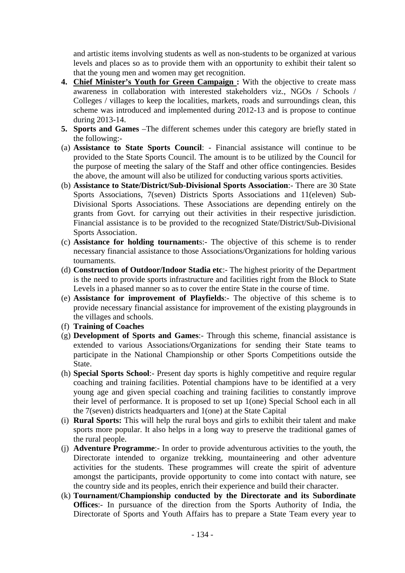and artistic items involving students as well as non-students to be organized at various levels and places so as to provide them with an opportunity to exhibit their talent so that the young men and women may get recognition.

- **4. Chief Minister's Youth for Green Campaign :** With the objective to create mass awareness in collaboration with interested stakeholders viz., NGOs / Schools / Colleges / villages to keep the localities, markets, roads and surroundings clean, this scheme was introduced and implemented during 2012-13 and is propose to continue during 2013-14.
- **5. Sports and Games** –The different schemes under this category are briefly stated in the following:-
- (a) **Assistance to State Sports Council**: Financial assistance will continue to be provided to the State Sports Council. The amount is to be utilized by the Council for the purpose of meeting the salary of the Staff and other office contingencies. Besides the above, the amount will also be utilized for conducting various sports activities.
- (b) **Assistance to State/District/Sub-Divisional Sports Association**:- There are 30 State Sports Associations, 7(seven) Districts Sports Associations and 11(eleven) Sub-Divisional Sports Associations. These Associations are depending entirely on the grants from Govt. for carrying out their activities in their respective jurisdiction. Financial assistance is to be provided to the recognized State/District/Sub-Divisional Sports Association.
- (c) **Assistance for holding tournament**s:- The objective of this scheme is to render necessary financial assistance to those Associations/Organizations for holding various tournaments.
- (d) **Construction of Outdoor/Indoor Stadia etc**:- The highest priority of the Department is the need to provide sports infrastructure and facilities right from the Block to State Levels in a phased manner so as to cover the entire State in the course of time.
- (e) **Assistance for improvement of Playfields**:- The objective of this scheme is to provide necessary financial assistance for improvement of the existing playgrounds in the villages and schools.
- (f) **Training of Coaches**
- (g) **Development of Sports and Games**:- Through this scheme, financial assistance is extended to various Associations/Organizations for sending their State teams to participate in the National Championship or other Sports Competitions outside the State.
- (h) **Special Sports School**:- Present day sports is highly competitive and require regular coaching and training facilities. Potential champions have to be identified at a very young age and given special coaching and training facilities to constantly improve their level of performance. It is proposed to set up 1(one) Special School each in all the 7(seven) districts headquarters and 1(one) at the State Capital
- (i) **Rural Sports:** This will help the rural boys and girls to exhibit their talent and make sports more popular. It also helps in a long way to preserve the traditional games of the rural people.
- (j) **Adventure Programme**:- In order to provide adventurous activities to the youth, the Directorate intended to organize trekking, mountaineering and other adventure activities for the students. These programmes will create the spirit of adventure amongst the participants, provide opportunity to come into contact with nature, see the country side and its peoples, enrich their experience and build their character.
- (k) **Tournament/Championship conducted by the Directorate and its Subordinate Offices**:- In pursuance of the direction from the Sports Authority of India, the Directorate of Sports and Youth Affairs has to prepare a State Team every year to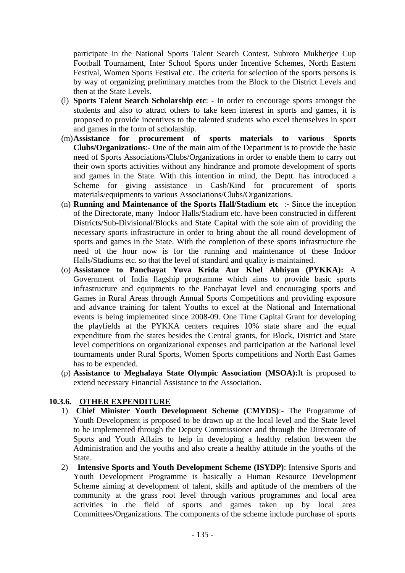participate in the National Sports Talent Search Contest, Subroto Mukherjee Cup Football Tournament, Inter School Sports under Incentive Schemes, North Eastern Festival, Women Sports Festival etc. The criteria for selection of the sports persons is by way of organizing preliminary matches from the Block to the District Levels and then at the State Levels.

- (l) **Sports Talent Search Scholarship etc**: In order to encourage sports amongst the students and also to attract others to take keen interest in sports and games, it is proposed to provide incentives to the talented students who excel themselves in sport and games in the form of scholarship.
- (m)**Assistance for procurement of sports materials to various Sports Clubs/Organizations**:- One of the main aim of the Department is to provide the basic need of Sports Associations/Clubs/Organizations in order to enable them to carry out their own sports activities without any hindrance and promote development of sports and games in the State. With this intention in mind, the Deptt. has introduced a Scheme for giving assistance in Cash/Kind for procurement of sports materials/equipments to various Associations/Clubs/Organizations.
- (n) **Running and Maintenance of the Sports Hall/Stadium etc** :- Since the inception of the Directorate, many Indoor Halls/Stadium etc. have been constructed in different Districts/Sub-Divisional/Blocks and State Capital with the sole aim of providing the necessary sports infrastructure in order to bring about the all round development of sports and games in the State. With the completion of these sports infrastructure the need of the hour now is for the running and maintenance of these Indoor Halls/Stadiums etc. so that the level of standard and quality is maintained.
- (o) **Assistance to Panchayat Yuva Krida Aur Khel Abhiyan (PYKKA):** A Government of India flagship programme which aims to provide basic sports infrastructure and equipments to the Panchayat level and encouraging sports and Games in Rural Areas through Annual Sports Competitions and providing exposure and advance training for talent Youths to excel at the National and International events is being implemented since 2008-09. One Time Capital Grant for developing the playfields at the PYKKA centers requires 10% state share and the equal expenditure from the states besides the Central grants, for Block, District and State level competitions on organizational expenses and participation at the National level tournaments under Rural Sports, Women Sports competitions and North East Games has to be expended.
- (p) **Assistance to Meghalaya State Olympic Association (MSOA):**It is proposed to extend necessary Financial Assistance to the Association.

## **10.3.6. OTHER EXPENDITURE**

- 1) **Chief Minister Youth Development Scheme (CMYDS)**:- The Programme of Youth Development is proposed to be drawn up at the local level and the State level to be implemented through the Deputy Commissioner and through the Directorate of Sports and Youth Affairs to help in developing a healthy relation between the Administration and the youths and also create a healthy attitude in the youths of the State.
- 2) **Intensive Sports and Youth Development Scheme (ISYDP)**: Intensive Sports and Youth Development Programme is basically a Human Resource Development Scheme aiming at development of talent, skills and aptitude of the members of the community at the grass root level through various programmes and local area activities in the field of sports and games taken up by local area Committees/Organizations. The components of the scheme include purchase of sports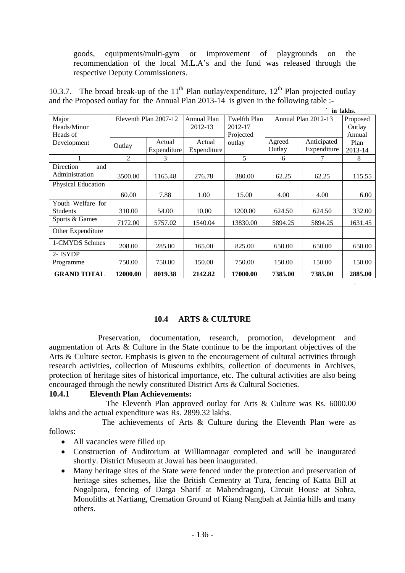goods, equipments/multi-gym or improvement of playgrounds on the recommendation of the local M.L.A's and the fund was released through the respective Deputy Commissioners.

10.3.7. The broad break-up of the  $11<sup>th</sup>$  Plan outlay/expenditure,  $12<sup>th</sup>$  Plan projected outlay and the Proposed outlay for the Annual Plan 2013-14 is given in the following table :-

|  | in lakh |
|--|---------|

.

|                    |          |                       |             |              |         | $\cdot$             | in lakhs. |
|--------------------|----------|-----------------------|-------------|--------------|---------|---------------------|-----------|
| Major              |          | Eleventh Plan 2007-12 | Annual Plan | Twelfth Plan |         | Annual Plan 2012-13 | Proposed  |
| Heads/Minor        |          |                       | 2012-13     | 2012-17      |         |                     | Outlay    |
| Heads of           |          |                       |             | Projected    |         |                     |           |
| Development        | Outlay   | Actual                | Actual      | outlay       | Agreed  | Anticipated         | Plan      |
|                    |          | Expenditure           | Expenditure |              | Outlay  | Expenditure         | 2013-14   |
|                    | 2        | 3                     |             | 5            | 6       | 7                   | 8         |
| Direction<br>and   |          |                       |             |              |         |                     |           |
| Administration     | 3500.00  | 1165.48               | 276.78      | 380.00       | 62.25   | 62.25               | 115.55    |
| Physical Education |          |                       |             |              |         |                     |           |
|                    | 60.00    | 7.88                  | 1.00        | 15.00        | 4.00    | 4.00                | 6.00      |
| Youth Welfare for  |          |                       |             |              |         |                     |           |
| <b>Students</b>    | 310.00   | 54.00                 | 10.00       | 1200.00      | 624.50  | 624.50              | 332.00    |
| Sports & Games     | 7172.00  | 5757.02               | 1540.04     | 13830.00     | 5894.25 | 5894.25             | 1631.45   |
| Other Expenditure  |          |                       |             |              |         |                     |           |
| 1-CMYDS Schmes     | 208.00   | 285.00                | 165.00      | 825.00       | 650.00  | 650.00              | 650.00    |
| 2-ISYDP            |          |                       |             |              |         |                     |           |
| Programme          | 750.00   | 750.00                | 150.00      | 750.00       | 150.00  | 150.00              | 150.00    |
| <b>GRAND TOTAL</b> | 12000.00 | 8019.38               | 2142.82     | 17000.00     | 7385.00 | 7385.00             | 2885.00   |

## **10.4 ARTS & CULTURE**

 Preservation, documentation, research, promotion, development and augmentation of Arts & Culture in the State continue to be the important objectives of the Arts & Culture sector. Emphasis is given to the encouragement of cultural activities through research activities, collection of Museums exhibits, collection of documents in Archives, protection of heritage sites of historical importance, etc. The cultural activities are also being encouraged through the newly constituted District Arts & Cultural Societies.

## **10.4.1 Eleventh Plan Achievements:**

 The Eleventh Plan approved outlay for Arts & Culture was Rs. 6000.00 lakhs and the actual expenditure was Rs. 2899.32 lakhs.

The achievements of Arts  $\&$  Culture during the Eleventh Plan were as follows:

- All vacancies were filled up
- Construction of Auditorium at Williamnagar completed and will be inaugurated shortly. District Museum at Jowai has been inaugurated.
- Many heritage sites of the State were fenced under the protection and preservation of heritage sites schemes, like the British Cementry at Tura, fencing of Katta Bill at Nogalpara, fencing of Darga Sharif at Mahendraganj, Circuit House at Sohra, Monoliths at Nartiang, Cremation Ground of Kiang Nangbah at Jaintia hills and many others.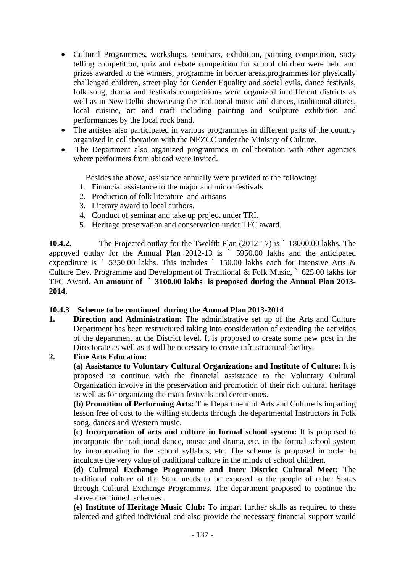- Cultural Programmes, workshops, seminars, exhibition, painting competition, stoty telling competition, quiz and debate competition for school children were held and prizes awarded to the winners, programme in border areas,programmes for physically challenged children, street play for Gender Equality and social evils, dance festivals, folk song, drama and festivals competitions were organized in different districts as well as in New Delhi showcasing the traditional music and dances, traditional attires, local cuisine, art and craft including painting and sculpture exhibition and performances by the local rock band.
- The artistes also participated in various programmes in different parts of the country organized in collaboration with the NEZCC under the Ministry of Culture.
- The Department also organized programmes in collaboration with other agencies where performers from abroad were invited.

Besides the above, assistance annually were provided to the following:

- 1. Financial assistance to the major and minor festivals
- 2. Production of folk literature and artisans
- 3. Literary award to local authors.
- 4. Conduct of seminar and take up project under TRI.
- 5. Heritage preservation and conservation under TFC award.

**10.4.2.** The Projected outlay for the Twelfth Plan (2012-17) is ` 18000.00 lakhs. The approved outlay for the Annual Plan 2012-13 is ` 5950.00 lakhs and the anticipated expenditure is ` 5350.00 lakhs. This includes ` 150.00 lakhs each for Intensive Arts & Culture Dev. Programme and Development of Traditional & Folk Music, ` 625.00 lakhs for TFC Award. **An amount of ` 3100.00 lakhs is proposed during the Annual Plan 2013- 2014.** 

#### **10.4.3 Scheme to be continued during the Annual Plan 2013-2014**

**1. Direction and Administration:** The administrative set up of the Arts and Culture Department has been restructured taking into consideration of extending the activities of the department at the District level. It is proposed to create some new post in the Directorate as well as it will be necessary to create infrastructural facility.

### **2. Fine Arts Education:**

**(a) Assistance to Voluntary Cultural Organizations and Institute of Culture:** It is proposed to continue with the financial assistance to the Voluntary Cultural Organization involve in the preservation and promotion of their rich cultural heritage as well as for organizing the main festivals and ceremonies.

**(b) Promotion of Performing Arts:** The Department of Arts and Culture is imparting lesson free of cost to the willing students through the departmental Instructors in Folk song, dances and Western music.

**(c) Incorporation of arts and culture in formal school system:** It is proposed to incorporate the traditional dance, music and drama, etc. in the formal school system by incorporating in the school syllabus, etc. The scheme is proposed in order to inculcate the very value of traditional culture in the minds of school children.

**(d) Cultural Exchange Programme and Inter District Cultural Meet:** The traditional culture of the State needs to be exposed to the people of other States through Cultural Exchange Programmes. The department proposed to continue the above mentioned schemes .

**(e) Institute of Heritage Music Club:** To impart further skills as required to these talented and gifted individual and also provide the necessary financial support would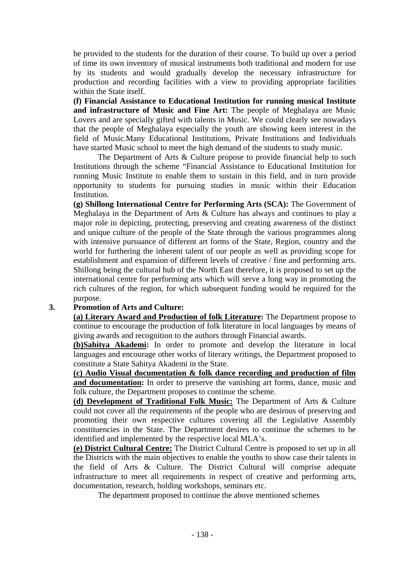be provided to the students for the duration of their course. To build up over a period of time its own inventory of musical instruments both traditional and modern for use by its students and would gradually develop the necessary infrastructure for production and recording facilities with a view to providing appropriate facilities within the State itself.

**(f) Financial Assistance to Educational Institution for running musical Institute and infrastructure of Music and Fine Art:** The people of Meghalaya are Music Lovers and are specially gifted with talents in Music. We could clearly see nowadays that the people of Meghalaya especially the youth are showing keen interest in the field of Music.Many Educational Institutions, Private Institutions and Individuals have started Music school to meet the high demand of the students to study music.

 The Department of Arts & Culture propose to provide financial help to such Institutions through the scheme "Financial Assistance to Educational Institution for running Music Institute to enable them to sustain in this field, and in turn provide opportunity to students for pursuing studies in music within their Education Institution.

**(g) Shillong International Centre for Performing Arts (SCA):** The Government of Meghalaya in the Department of Arts & Culture has always and continues to play a major role in depicting, protecting, preserving and creating awareness of the distinct and unique culture of the people of the State through the various programmes along with intensive pursuance of different art forms of the State, Region, country and the world for furthering the inherent talent of our people as well as providing scope for establishment and expansion of different levels of creative / fine and performing arts. Shillong being the cultural hub of the North East therefore, it is proposed to set up the international centre for performing arts which will serve a long way in promoting the rich cultures of the region, for which subsequent funding would be required for the purpose.

## **3. Promotion of Arts and Culture:**

**(a) Literary Award and Production of folk Literature:** The Department propose to continue to encourage the production of folk literature in local languages by means of giving awards and recognition to the authors through Financial awards.

**(b)Sahitya Akademi:** In order to promote and develop the literature in local languages and encourage other works of literary writings, the Department proposed to constitute a State Sahitya Akademi in the State.

**(c) Audio Visual documentation & folk dance recording and production of film and documentation:** In order to preserve the vanishing art forms, dance, music and folk culture, the Department proposes to continue the scheme.

**(d) Development of Traditional Folk Music:** The Department of Arts & Culture could not cover all the requirements of the people who are desirous of preserving and promoting their own respective cultures covering all the Legislative Assembly constituencies in the State. The Department desires to continue the schemes to be identified and implemented by the respective local MLA's.

**(e) District Cultural Centre:** The District Cultural Centre is proposed to set up in all the Districts with the main objectives to enable the youths to show case their talents in the field of Arts & Culture. The District Cultural will comprise adequate infrastructure to meet all requirements in respect of creative and performing arts, documentation, research, holding workshops, seminars etc.

The department proposed to continue the above mentioned schemes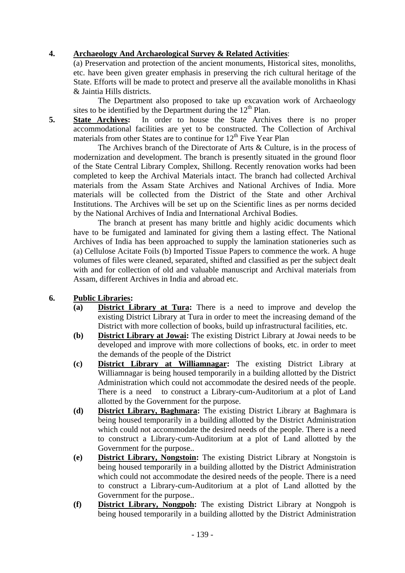# **4. Archaeology And Archaeological Survey & Related Activities**:

(a) Preservation and protection of the ancient monuments, Historical sites, monoliths, etc. have been given greater emphasis in preserving the rich cultural heritage of the State. Efforts will be made to protect and preserve all the available monoliths in Khasi & Jaintia Hills districts.

The Department also proposed to take up excavation work of Archaeology sites to be identified by the Department during the  $12<sup>th</sup>$  Plan.

**5. State Archives:** In order to house the State Archives there is no proper accommodational facilities are yet to be constructed. The Collection of Archival materials from other States are to continue for  $12<sup>th</sup>$  Five Year Plan

 The Archives branch of the Directorate of Arts & Culture, is in the process of modernization and development. The branch is presently situated in the ground floor of the State Central Library Complex, Shillong. Recently renovation works had been completed to keep the Archival Materials intact. The branch had collected Archival materials from the Assam State Archives and National Archives of India. More materials will be collected from the District of the State and other Archival Institutions. The Archives will be set up on the Scientific lines as per norms decided by the National Archives of India and International Archival Bodies.

 The branch at present has many brittle and highly acidic documents which have to be fumigated and laminated for giving them a lasting effect. The National Archives of India has been approached to supply the lamination stationeries such as (a) Cellulose Acitate Foils (b) Imported Tissue Papers to commence the work. A huge volumes of files were cleaned, separated, shifted and classified as per the subject dealt with and for collection of old and valuable manuscript and Archival materials from Assam, different Archives in India and abroad etc.

## **6. Public Libraries:**

- **(a) District Library at Tura:** There is a need to improve and develop the existing District Library at Tura in order to meet the increasing demand of the District with more collection of books, build up infrastructural facilities, etc.
- **(b) District Library at Jowai:** The existing District Library at Jowai needs to be developed and improve with more collections of books, etc. in order to meet the demands of the people of the District
- **(c) District Library at Williamnagar:** The existing District Library at Williamnagar is being housed temporarily in a building allotted by the District Administration which could not accommodate the desired needs of the people. There is a need to construct a Library-cum-Auditorium at a plot of Land allotted by the Government for the purpose.
- **(d) District Library, Baghmara:** The existing District Library at Baghmara is being housed temporarily in a building allotted by the District Administration which could not accommodate the desired needs of the people. There is a need to construct a Library-cum-Auditorium at a plot of Land allotted by the Government for the purpose..
- **(e) District Library, Nongstoin:** The existing District Library at Nongstoin is being housed temporarily in a building allotted by the District Administration which could not accommodate the desired needs of the people. There is a need to construct a Library-cum-Auditorium at a plot of Land allotted by the Government for the purpose..
- **(f) District Library, Nongpoh:** The existing District Library at Nongpoh is being housed temporarily in a building allotted by the District Administration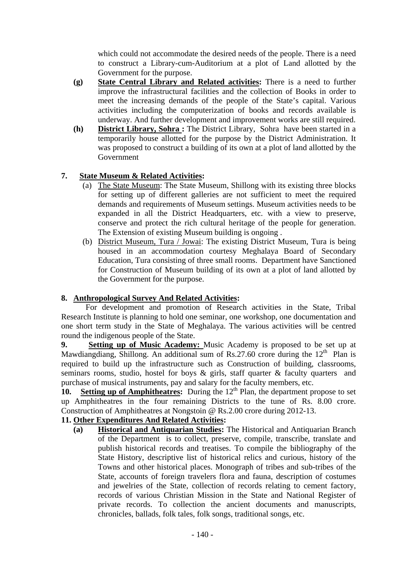which could not accommodate the desired needs of the people. There is a need to construct a Library-cum-Auditorium at a plot of Land allotted by the Government for the purpose.

- **(g) State Central Library and Related activities:** There is a need to further improve the infrastructural facilities and the collection of Books in order to meet the increasing demands of the people of the State's capital. Various activities including the computerization of books and records available is underway. And further development and improvement works are still required.
- **(h) District Library, Sohra :** The District Library, Sohra have been started in a temporarily house allotted for the purpose by the District Administration. It was proposed to construct a building of its own at a plot of land allotted by the Government

# **7. State Museum & Related Activities:**

- (a) The State Museum: The State Museum, Shillong with its existing three blocks for setting up of different galleries are not sufficient to meet the required demands and requirements of Museum settings. Museum activities needs to be expanded in all the District Headquarters, etc. with a view to preserve, conserve and protect the rich cultural heritage of the people for generation. The Extension of existing Museum building is ongoing .
- (b) District Museum, Tura / Jowai: The existing District Museum, Tura is being housed in an accommodation courtesy Meghalaya Board of Secondary Education, Tura consisting of three small rooms. Department have Sanctioned for Construction of Museum building of its own at a plot of land allotted by the Government for the purpose.

## **8. Anthropological Survey And Related Activities:**

For development and promotion of Research activities in the State, Tribal Research Institute is planning to hold one seminar, one workshop, one documentation and one short term study in the State of Meghalaya. The various activities will be centred round the indigenous people of the State.

**9. Setting up of Music Academy:** Music Academy is proposed to be set up at Mawdiangdiang, Shillong. An additional sum of Rs.27.60 crore during the  $12<sup>th</sup>$  Plan is required to build up the infrastructure such as Construction of building, classrooms, seminars rooms, studio, hostel for boys & girls, staff quarter & faculty quarters and purchase of musical instruments, pay and salary for the faculty members, etc.

10. Setting up of Amphitheatres: During the 12<sup>th</sup> Plan, the department propose to set up Amphitheatres in the four remaining Districts to the tune of Rs. 8.00 crore. Construction of Amphitheatres at Nongstoin @ Rs.2.00 crore during 2012-13.

# **11. Other Expenditures And Related Activities:**

**(a) Historical and Antiquarian Studies:** The Historical and Antiquarian Branch of the Department is to collect, preserve, compile, transcribe, translate and publish historical records and treatises. To compile the bibliography of the State History, descriptive list of historical relics and curious, history of the Towns and other historical places. Monograph of tribes and sub-tribes of the State, accounts of foreign travelers flora and fauna, description of costumes and jewelries of the State, collection of records relating to cement factory, records of various Christian Mission in the State and National Register of private records. To collection the ancient documents and manuscripts, chronicles, ballads, folk tales, folk songs, traditional songs, etc.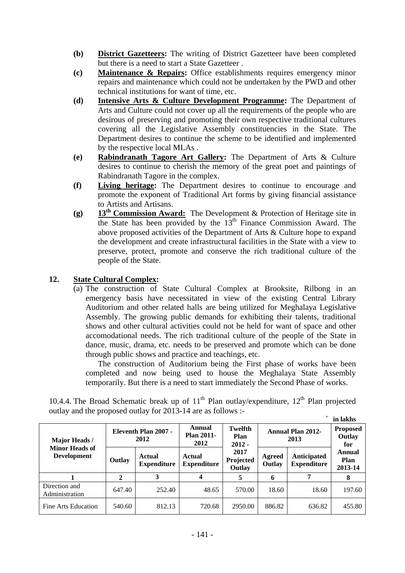- **(b) District Gazetteers:** The writing of District Gazetteer have been completed but there is a need to start a State Gazetteer .
- **(c) Maintenance & Repairs:** Office establishments requires emergency minor repairs and maintenance which could not be undertaken by the PWD and other technical institutions for want of time, etc.
- **(d) Intensive Arts & Culture Development Programme:** The Department of Arts and Culture could not cover up all the requirements of the people who are desirous of preserving and promoting their own respective traditional cultures covering all the Legislative Assembly constituencies in the State. The Department desires to continue the scheme to be identified and implemented by the respective local MLAs .
- **(e) Rabindranath Tagore Art Gallery:** The Department of Arts & Culture desires to continue to cherish the memory of the great poet and paintings of Rabindranath Tagore in the complex.
- **(f) Living heritage:** The Department desires to continue to encourage and promote the exponent of Traditional Art forms by giving financial assistance to Artists and Artisans.
- **(g) 13th Commission Award:** The Development & Protection of Heritage site in the State has been provided by the  $13<sup>th</sup>$  Finance Commission Award. The above proposed activities of the Department of Arts & Culture hope to expand the development and create infrastructural facilities in the State with a view to preserve, protect, promote and conserve the rich traditional culture of the people of the State.

# **12. State Cultural Complex:**

(a) The construction of State Cultural Complex at Brooksite, Rilbong in an emergency basis have necessitated in view of the existing Central Library Auditorium and other related halls are being utilized for Meghalaya Legislative Assembly. The growing public demands for exhibiting their talents, traditional shows and other cultural activities could not be held for want of space and other accomodational needs. The rich traditional culture of the people of the State in dance, music, drama, etc. needs to be preserved and promote which can be done through public shows and practice and teachings, etc.

The construction of Auditorium being the First phase of works have been completed and now being used to house the Meghalaya State Assembly temporarily. But there is a need to start immediately the Second Phase of works.

|                                             |                                     |                              |                                     |                             |                                  |                                   | in lakhs                  |
|---------------------------------------------|-------------------------------------|------------------------------|-------------------------------------|-----------------------------|----------------------------------|-----------------------------------|---------------------------|
| Major Heads/                                | <b>Eleventh Plan 2007 -</b><br>2012 |                              | Annual<br><b>Plan 2011-</b><br>2012 | Twelfth<br>Plan<br>$2012 -$ | <b>Annual Plan 2012-</b><br>2013 | <b>Proposed</b><br>Outlay<br>for  |                           |
| <b>Minor Heads of</b><br><b>Development</b> | Outlay                              | Actual<br><b>Expenditure</b> | Actual<br><b>Expenditure</b>        | 2017<br>Projected<br>Outlay | Agreed<br>Outlay                 | Anticipated<br><b>Expenditure</b> | Annual<br>Plan<br>2013-14 |
|                                             | 2                                   | 3                            |                                     | 5                           | 6                                | 7                                 | 8                         |
| Direction and<br>Administration             | 647.40                              | 252.40                       | 48.65                               | 570.00                      | 18.60                            | 18.60                             | 197.60                    |
| Fine Arts Education                         | 540.60                              | 812.13                       | 720.68                              | 2950.00                     | 886.82                           | 636.82                            | 455.80                    |

10.4.4. The Broad Schematic break up of  $11<sup>th</sup>$  Plan outlay/expenditure,  $12<sup>th</sup>$  Plan projected outlay and the proposed outlay for 2013-14 are as follows :-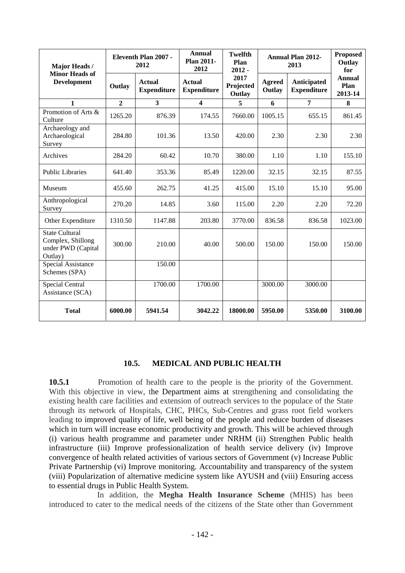| Major Heads /                                                               | Eleventh Plan 2007 -<br>2012 |                                     | <b>Annual</b><br><b>Plan 2011-</b><br>2012 | <b>Twelfth</b><br>Plan<br>$2012 -$ |                         | <b>Annual Plan 2012-</b><br>2013  | <b>Proposed</b><br>Outlay<br>for |  |
|-----------------------------------------------------------------------------|------------------------------|-------------------------------------|--------------------------------------------|------------------------------------|-------------------------|-----------------------------------|----------------------------------|--|
| <b>Minor Heads of</b><br><b>Development</b>                                 | Outlay                       | <b>Actual</b><br><b>Expenditure</b> | <b>Actual</b><br><b>Expenditure</b>        | 2017<br>Projected<br>Outlay        | <b>Agreed</b><br>Outlay | Anticipated<br><b>Expenditure</b> | <b>Annual</b><br>Plan<br>2013-14 |  |
| 1                                                                           | $\overline{2}$               | $\overline{\mathbf{3}}$             | $\overline{\mathbf{4}}$                    | 5                                  | 6                       | 7                                 | 8                                |  |
| Promotion of Arts &<br>Culture                                              | 1265.20                      | 876.39                              | 174.55                                     | 7660.00                            | 1005.15                 | 655.15                            | 861.45                           |  |
| Archaeology and<br>Archaeological<br>Survey                                 | 284.80                       | 101.36                              | 13.50                                      | 420.00                             | 2.30                    | 2.30                              | 2.30                             |  |
| Archives                                                                    | 284.20                       | 60.42                               | 10.70                                      | 380.00                             | 1.10                    | 1.10                              | 155.10                           |  |
| <b>Public Libraries</b>                                                     | 641.40                       | 353.36                              | 85.49                                      | 1220.00                            | 32.15                   | 32.15                             | 87.55                            |  |
| Museum                                                                      | 455.60                       | 262.75                              | 41.25                                      | 415.00                             | 15.10                   | 15.10                             | 95.00                            |  |
| Anthropological<br>Survey                                                   | 270.20                       | 14.85                               | 3.60                                       | 115.00                             | 2.20                    | 2.20                              | 72.20                            |  |
| Other Expenditure                                                           | 1310.50                      | 1147.88                             | 203.80                                     | 3770.00                            | 836.58                  | 836.58                            | 1023.00                          |  |
| <b>State Cultural</b><br>Complex, Shillong<br>under PWD (Capital<br>Outlay) | 300.00                       | 210.00                              | 40.00                                      | 500.00                             | 150.00                  | 150.00                            | 150.00                           |  |
| Special Assistance<br>Schemes (SPA)                                         |                              | 150.00                              |                                            |                                    |                         |                                   |                                  |  |
| <b>Special Central</b><br>Assistance (SCA)                                  |                              | 1700.00                             | 1700.00                                    |                                    | 3000.00                 | 3000.00                           |                                  |  |
| <b>Total</b>                                                                | 6000.00                      | 5941.54                             | 3042.22                                    | 18000.00                           | 5950.00                 | 5350.00                           | 3100.00                          |  |

#### **10.5. MEDICAL AND PUBLIC HEALTH**

**10.5.1** Promotion of health care to the people is the priority of the Government. With this objective in view, the Department aims at strengthening and consolidating the existing health care facilities and extension of outreach services to the populace of the State through its network of Hospitals, CHC, PHCs, Sub-Centres and grass root field workers leading to improved quality of life, well being of the people and reduce burden of diseases which in turn will increase economic productivity and growth. This will be achieved through (i) various health programme and parameter under NRHM (ii) Strengthen Public health infrastructure (iii) Improve professionalization of health service delivery (iv) Improve convergence of health related activities of various sectors of Government (v) Increase Public Private Partnership (vi) Improve monitoring. Accountability and transparency of the system (viii) Popularization of alternative medicine system like AYUSH and (viii) Ensuring access to essential drugs in Public Health System.

In addition, the **Megha Health Insurance Scheme** (MHIS) has been introduced to cater to the medical needs of the citizens of the State other than Government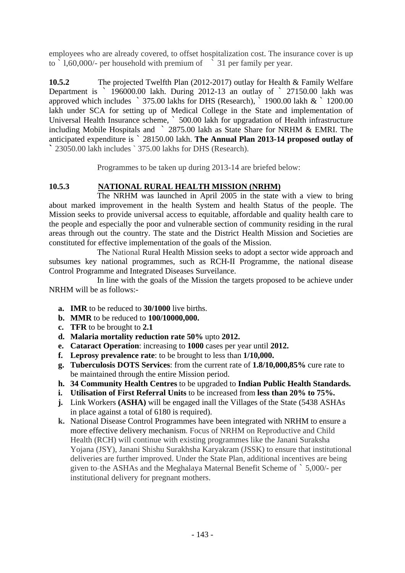employees who are already covered, to offset hospitalization cost. The insurance cover is up to ` l,60,000/- per household with premium of ` 31 per family per year.

**10.5.2** The projected Twelfth Plan (2012-2017) outlay for Health & Family Welfare Department is ` 196000.00 lakh. During 2012-13 an outlay of ` 27150.00 lakh was approved which includes ` 375.00 lakhs for DHS (Research), ` 1900.00 lakh & ` 1200.00 lakh under SCA for setting up of Medical College in the State and implementation of Universal Health Insurance scheme, ` 500.00 lakh for upgradation of Health infrastructure including Mobile Hospitals and ` 2875.00 lakh as State Share for NRHM & EMRI. The anticipated expenditure is ` 28150.00 lakh. **The Annual Plan 2013-14 proposed outlay of `** 23050.00 lakh includes ` 375.00 lakhs for DHS (Research).

Programmes to be taken up during 2013-14 are briefed below:

# **10.5.3 NATIONAL RURAL HEALTH MISSION (NRHM)**

The NRHM was launched in April 2005 in the state with a view to bring about marked improvement in the health System and health Status of the people. The Mission seeks to provide universal access to equitable, affordable and quality health care to the people and especially the poor and vulnerable section of community residing in the rural areas through out the country. The state and the District Health Mission and Societies are constituted for effective implementation of the goals of the Mission.

The National Rural Health Mission seeks to adopt a sector wide approach and subsumes key national programmes, such as RCH-II Programme, the national disease Control Programme and Integrated Diseases Surveilance.

In line with the goals of the Mission the targets proposed to be achieve under NRHM will be as follows:-

- **a. IMR** to be reduced to **30/1000** live births.
- **b. MMR** to be reduced to **100/10000,000.**
- **c. TFR** to be brought to **2.1**
- **d. Malaria mortality reduction rate 50%** upto **2012.**
- **e. Cataract Operation**: increasing to **1000** cases per year until **2012.**
- **f. Leprosy prevalence rate**: to be brought to less than **1/10,000.**
- **g. Tuberculosis DOTS Services**: from the current rate of **1.8/10,000,85%** cure rate to be maintained through the entire Mission period.
- **h. 34 Community Health Centres** to be upgraded to **Indian Public Health Standards.**
- **i. Utilisation of First Referral Units** to be increased from **less than 20% to 75%.**
- **j.** Link Workers **(ASHA)** will be engaged inall the Villages of the State (5438 ASHAs in place against a total of 6180 is required).
- **k.** National Disease Control Programmes have been integrated with NRHM to ensure a more effective delivery mechanism. Focus of NRHM on Reproductive and Child Health (RCH) will continue with existing programmes like the Janani Suraksha Yojana (JSY), Janani Shishu Surakhsha Karyakram (JSSK) to ensure that institutional deliveries are further improved. Under the State Plan, additional incentives are being given to-the ASHAs and the Meghalaya Maternal Benefit Scheme of ` 5,000/- per institutional delivery for pregnant mothers.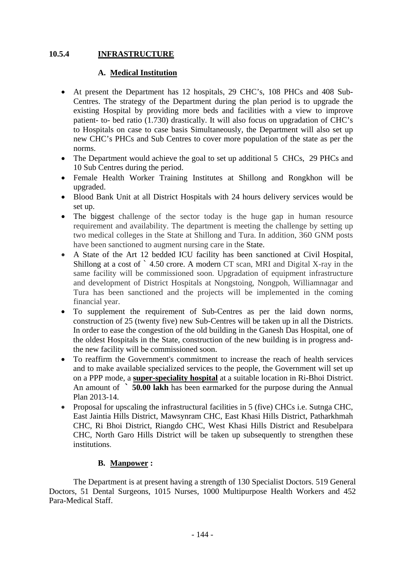# **10.5.4 INFRASTRUCTURE**

## **A. Medical Institution**

- At present the Department has 12 hospitals, 29 CHC's, 108 PHCs and 408 Sub-Centres. The strategy of the Department during the plan period is to upgrade the existing Hospital by providing more beds and facilities with a view to improve patient- to- bed ratio (1.730) drastically. It will also focus on upgradation of CHC's to Hospitals on case to case basis Simultaneously, the Department will also set up new CHC's PHCs and Sub Centres to cover more population of the state as per the norms.
- The Department would achieve the goal to set up additional 5 CHCs, 29 PHCs and 10 Sub Centres during the period.
- Female Health Worker Training Institutes at Shillong and Rongkhon will be upgraded.
- Blood Bank Unit at all District Hospitals with 24 hours delivery services would be set up.
- The biggest challenge of the sector today is the huge gap in human resource requirement and availability. The department is meeting the challenge by setting up two medical colleges in the State at Shillong and Tura. In addition, 360 GNM posts have been sanctioned to augment nursing care in the State.
- A State of the Art 12 bedded ICU facility has been sanctioned at Civil Hospital, Shillong at a cost of ` 4.50 crore. A modern CT scan, MRI and Digital X-ray in the same facility will be commissioned soon. Upgradation of equipment infrastructure and development of District Hospitals at Nongstoing, Nongpoh, Williamnagar and Tura has been sanctioned and the projects will be implemented in the coming financial year.
- To supplement the requirement of Sub-Centres as per the laid down norms, construction of 25 (twenty five) new Sub-Centres will be taken up in all the Districts. In order to ease the congestion of the old building in the Ganesh Das Hospital, one of the oldest Hospitals in the State, construction of the new building is in progress andthe new facility will be commissioned soon.
- To reaffirm the Government's commitment to increase the reach of health services and to make available specialized services to the people, the Government will set up on a PPP mode, a **super-speciality hospital** at a suitable location in Ri-Bhoi District. An amount of **` 50.00 lakh** has been earmarked for the purpose during the Annual Plan 2013-14.
- Proposal for upscaling the infrastructural facilities in 5 (five) CHCs i.e. Sutnga CHC, East Jaintia Hills District, Mawsynram CHC, East Khasi Hills District, Patharkhmah CHC, Ri Bhoi District, Riangdo CHC, West Khasi Hills District and Resubelpara CHC, North Garo Hills District will be taken up subsequently to strengthen these institutions.

## **B. Manpower :**

 The Department is at present having a strength of 130 Specialist Doctors. 519 General Doctors, 51 Dental Surgeons, 1015 Nurses, 1000 Multipurpose Health Workers and 452 Para-Medical Staff.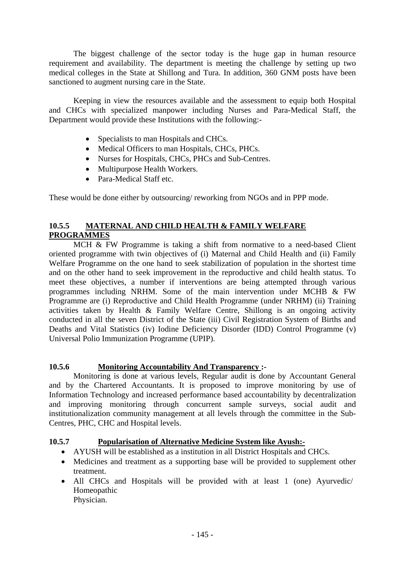The biggest challenge of the sector today is the huge gap in human resource requirement and availability. The department is meeting the challenge by setting up two medical colleges in the State at Shillong and Tura. In addition, 360 GNM posts have been sanctioned to augment nursing care in the State.

 Keeping in view the resources available and the assessment to equip both Hospital and CHCs with specialized manpower including Nurses and Para-Medical Staff, the Department would provide these Institutions with the following:-

- Specialists to man Hospitals and CHCs.
- Medical Officers to man Hospitals, CHCs, PHCs.
- Nurses for Hospitals, CHCs, PHCs and Sub-Centres.
- Multipurpose Health Workers.
- Para-Medical Staff etc.

These would be done either by outsourcing/ reworking from NGOs and in PPP mode.

# **10.5.5 MATERNAL AND CHILD HEALTH & FAMILY WELFARE PROGRAMMES**

 MCH & FW Programme is taking a shift from normative to a need-based Client oriented programme with twin objectives of (i) Maternal and Child Health and (ii) Family Welfare Programme on the one hand to seek stabilization of population in the shortest time and on the other hand to seek improvement in the reproductive and child health status. To meet these objectives, a number if interventions are being attempted through various programmes including NRHM. Some of the main intervention under MCHB & FW Programme are (i) Reproductive and Child Health Programme (under NRHM) (ii) Training activities taken by Health & Family Welfare Centre, Shillong is an ongoing activity conducted in all the seven District of the State (iii) Civil Registration System of Births and Deaths and Vital Statistics (iv) Iodine Deficiency Disorder (IDD) Control Programme (v) Universal Polio Immunization Programme (UPIP).

## **10.5.6 Monitoring Accountability And Transparency :-**

Monitoring is done at various levels, Regular audit is done by Accountant General and by the Chartered Accountants. It is proposed to improve monitoring by use of Information Technology and increased performance based accountability by decentralization and improving monitoring through concurrent sample surveys, social audit and institutionalization community management at all levels through the committee in the Sub-Centres, PHC, CHC and Hospital levels.

## **10.5.7 Popularisation of Alternative Medicine System like Ayush:-**

- AYUSH will be established as a institution in all District Hospitals and CHCs.
- Medicines and treatment as a supporting base will be provided to supplement other treatment.
- All CHCs and Hospitals will be provided with at least 1 (one) Ayurvedic/ Homeopathic Physician.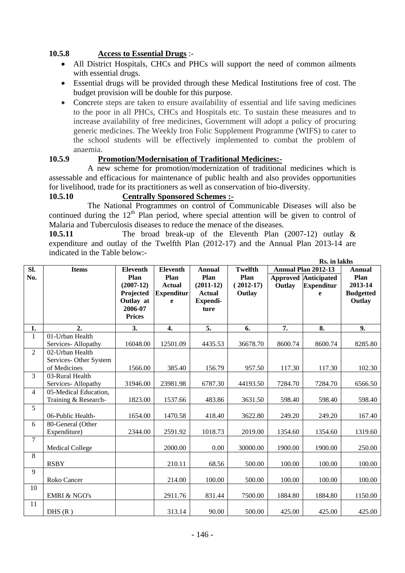# **10.5.8 Access to Essential Drugs** :-

- All District Hospitals, CHCs and PHCs will support the need of common ailments with essential drugs.
- Essential drugs will be provided through these Medical Institutions free of cost. The budget provision will be double for this purpose.
- Concrete steps are taken to ensure availability of essential and life saving medicines to the poor in all PHCs, CHCs and Hospitals etc. To sustain these measures and to increase availability of free medicines, Government will adopt a policy of procuring generic medicines. The Weekly Iron Folic Supplement Programme (WIFS) to cater to the school students will be effectively implemented to combat the problem of anaemia.

# **10.5.9 Promotion/Modernisation of Traditional Medicines:-**

A new scheme for promotion/modernization of traditional medicines which is assessable and efficacious for maintenance of public health and also provides opportunities for livelihood, trade for its practitioners as well as conservation of bio-diversity.

## **10.5.10 Centrally Sponsored Schemes :-**

The National Programmes on control of Communicable Diseases will also be continued during the  $12<sup>th</sup>$  Plan period, where special attention will be given to control of Malaria and Tuberculosis diseases to reduce the menace of the diseases.

**10.5.11** The broad break-up of the Eleventh Plan (2007-12) outlay & expenditure and outlay of the Twelfth Plan (2012-17) and the Annual Plan 2013-14 are indicated in the Table below:- **Rs. in lakhs** 

|                |                               |                 |                   |               |                | KS. In lakns                                |                             |                  |  |
|----------------|-------------------------------|-----------------|-------------------|---------------|----------------|---------------------------------------------|-----------------------------|------------------|--|
| Sl.            | <b>Items</b>                  | <b>Eleventh</b> | <b>Eleventh</b>   | <b>Annual</b> | <b>Twelfth</b> | <b>Annual Plan 2012-13</b><br><b>Annual</b> |                             |                  |  |
| No.            |                               | Plan            | Plan              | Plan          | Plan           |                                             | <b>Approved Anticipated</b> | Plan             |  |
|                |                               | $(2007-12)$     | <b>Actual</b>     | $(2011-12)$   | $(2012-17)$    | Outlay                                      | <b>Expenditur</b>           | 2013-14          |  |
|                |                               | Projected       | <b>Expenditur</b> | <b>Actual</b> | Outlay         |                                             | e                           | <b>Budgetted</b> |  |
|                |                               | Outlay at       | e                 | Expendi-      |                |                                             |                             | Outlay           |  |
|                |                               | 2006-07         |                   | ture          |                |                                             |                             |                  |  |
|                |                               | <b>Prices</b>   |                   |               |                |                                             |                             |                  |  |
|                |                               |                 |                   |               |                |                                             |                             |                  |  |
| 1.             | 2.                            | 3.              | 4.                | 5.            | 6.             | 7.                                          | 8.                          | 9.               |  |
| $\mathbf{1}$   | 01-Urban Health               |                 |                   |               |                |                                             |                             |                  |  |
|                | Services-Allopathy            | 16048.00        | 12501.09          | 4435.53       | 36678.70       | 8600.74                                     | 8600.74                     | 8285.80          |  |
| $\overline{2}$ | $\overline{02}$ -Urban Health |                 |                   |               |                |                                             |                             |                  |  |
|                | Services-Other System         |                 |                   |               |                |                                             |                             |                  |  |
|                | of Medicines                  | 1566.00         | 385.40            | 156.79        | 957.50         | 117.30                                      | 117.30                      | 102.30           |  |
| 3              | 03-Rural Health               |                 |                   |               |                |                                             |                             |                  |  |
|                | Services-Allopathy            | 31946.00        | 23981.98          | 6787.30       | 44193.50       | 7284.70                                     | 7284.70                     | 6566.50          |  |
| $\overline{4}$ | 05-Medical Education,         |                 |                   |               |                |                                             |                             |                  |  |
|                | Training & Research-          | 1823.00         | 1537.66           | 483.86        | 3631.50        | 598.40                                      | 598.40                      | 598.40           |  |
| 5              |                               |                 |                   |               |                |                                             |                             |                  |  |
|                | 06-Public Health-             | 1654.00         | 1470.58           | 418.40        | 3622.80        | 249.20                                      | 249.20                      | 167.40           |  |
| 6              | 80-General (Other             |                 |                   |               |                |                                             |                             |                  |  |
|                | Expenditure)                  | 2344.00         | 2591.92           | 1018.73       | 2019.00        | 1354.60                                     | 1354.60                     | 1319.60          |  |
| $\tau$         |                               |                 |                   |               |                |                                             |                             |                  |  |
|                | <b>Medical College</b>        |                 | 2000.00           | 0.00          | 30000.00       | 1900.00                                     | 1900.00                     | 250.00           |  |
| 8              |                               |                 |                   |               |                |                                             |                             |                  |  |
|                | <b>RSBY</b>                   |                 | 210.11            | 68.56         | 500.00         | 100.00                                      | 100.00                      | 100.00           |  |
| 9              |                               |                 |                   |               |                |                                             |                             |                  |  |
|                | Roko Cancer                   |                 | 214.00            | 100.00        | 500.00         | 100.00                                      | 100.00                      | 100.00           |  |
| 10             |                               |                 |                   |               |                |                                             |                             |                  |  |
|                | <b>EMRI &amp; NGO's</b>       |                 | 2911.76           | 831.44        | 7500.00        | 1884.80                                     | 1884.80                     | 1150.00          |  |
| 11             |                               |                 |                   |               |                |                                             |                             |                  |  |
|                | DHS(R)                        |                 | 313.14            | 90.00         | 500.00         | 425.00                                      | 425.00                      | 425.00           |  |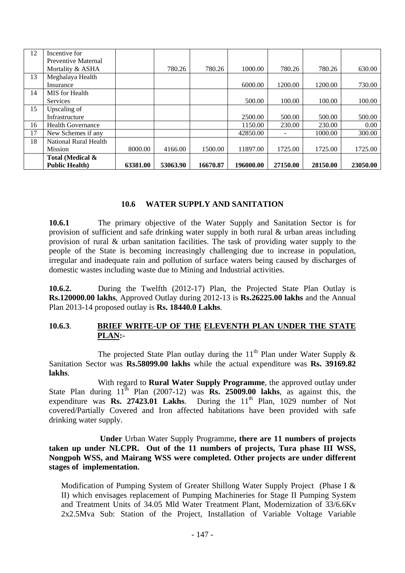| 12 | Incentive for            |          |          |          |           |          |          |          |
|----|--------------------------|----------|----------|----------|-----------|----------|----------|----------|
|    | Preventive Maternal      |          |          |          |           |          |          |          |
|    | Mortality & ASHA         |          | 780.26   | 780.26   | 1000.00   | 780.26   | 780.26   | 630.00   |
| 13 | Meghalaya Health         |          |          |          |           |          |          |          |
|    | Insurance                |          |          |          | 6000.00   | 1200.00  | 1200.00  | 730.00   |
| 14 | MIS for Health           |          |          |          |           |          |          |          |
|    | <b>Services</b>          |          |          |          | 500.00    | 100.00   | 100.00   | 100.00   |
| 15 | Upscaling of             |          |          |          |           |          |          |          |
|    | Infrastructure           |          |          |          | 2500.00   | 500.00   | 500.00   | 500.00   |
| 16 | <b>Health Governance</b> |          |          |          | 1150.00   | 230.00   | 230.00   | 0.00     |
| 17 | New Schemes if any       |          |          |          | 42850.00  |          | 1000.00  | 300.00   |
| 18 | National Rural Health    |          |          |          |           |          |          |          |
|    | <b>Mission</b>           | 8000.00  | 4166.00  | 1500.00  | 11897.00  | 1725.00  | 1725.00  | 1725.00  |
|    | Total (Medical &         |          |          |          |           |          |          |          |
|    | <b>Public Health</b> )   | 63381.00 | 53063.90 | 16670.87 | 196000.00 | 27150.00 | 28150.00 | 23050.00 |

## **10.6 WATER SUPPLY AND SANITATION**

**10.6.1** The primary objective of the Water Supply and Sanitation Sector is for provision of sufficient and safe drinking water supply in both rural & urban areas including provision of rural & urban sanitation facilities. The task of providing water supply to the people of the State is becoming increasingly challenging due to increase in population, irregular and inadequate rain and pollution of surface waters being caused by discharges of domestic wastes including waste due to Mining and Industrial activities.

**10.6.2.** During the Twelfth (2012-17) Plan, the Projected State Plan Outlay is **Rs.120000.00 lakhs**, Approved Outlay during 2012-13 is **Rs.26225.00 lakhs** and the Annual Plan 2013-14 proposed outlay is **Rs. 18440.0 Lakhs**.

## **10.6.3**. **BRIEF WRITE-UP OF THE ELEVENTH PLAN UNDER THE STATE PLAN:-**

The projected State Plan outlay during the 11<sup>th</sup> Plan under Water Supply  $\&$ Sanitation Sector was **Rs.58099.00 lakhs** while the actual expenditure was **Rs. 39169.82 lakhs**.

With regard to **Rural Water Supply Programme**, the approved outlay under State Plan during  $11<sup>th</sup>$  Plan (2007-12) was **Rs. 25009.00 lakhs**, as against this, the expenditure was **Rs. 27423.01 Lakhs**. During the  $11<sup>th</sup>$  Plan, 1029 number of Not covered/Partially Covered and Iron affected habitations have been provided with safe drinking water supply.

 **Under** Urban Water Supply Programme**, there are 11 numbers of projects taken up under NLCPR. Out of the 11 numbers of projects, Tura phase III WSS, Nongpoh WSS, and Mairang WSS were completed. Other projects are under different stages of implementation.** 

Modification of Pumping System of Greater Shillong Water Supply Project (Phase I & II) which envisages replacement of Pumping Machineries for Stage II Pumping System and Treatment Units of 34.05 Mld Water Treatment Plant, Modernization of 33/6.6Kv 2x2.5Mva Sub: Station of the Project, Installation of Variable Voltage Variable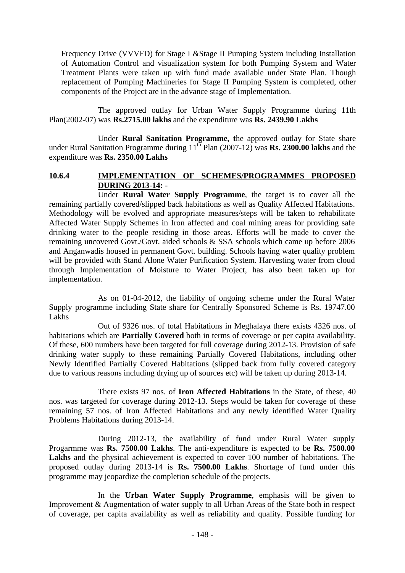Frequency Drive (VVVFD) for Stage I &Stage II Pumping System including Installation of Automation Control and visualization system for both Pumping System and Water Treatment Plants were taken up with fund made available under State Plan. Though replacement of Pumping Machineries for Stage II Pumping System is completed, other components of the Project are in the advance stage of Implementation.

The approved outlay for Urban Water Supply Programme during 11th Plan(2002-07) was **Rs.2715.00 lakhs** and the expenditure was **Rs. 2439.90 Lakhs**

Under **Rural Sanitation Programme, t**he approved outlay for State share under Rural Sanitation Programme during 11<sup>th</sup> Plan (2007-12) was **Rs. 2300.00 lakhs** and the expenditure was **Rs. 2350.00 Lakhs**

## **10.6.4 IMPLEMENTATION OF SCHEMES/PROGRAMMES PROPOSED DURING 2013-14: -**

Under **Rural Water Supply Programme**, the target is to cover all the remaining partially covered/slipped back habitations as well as Quality Affected Habitations. Methodology will be evolved and appropriate measures/steps will be taken to rehabilitate Affected Water Supply Schemes in Iron affected and coal mining areas for providing safe drinking water to the people residing in those areas. Efforts will be made to cover the remaining uncovered Govt./Govt. aided schools & SSA schools which came up before 2006 and Anganwadis housed in permanent Govt. building. Schools having water quality problem will be provided with Stand Alone Water Purification System. Harvesting water from cloud through Implementation of Moisture to Water Project, has also been taken up for implementation.

As on 01-04-2012, the liability of ongoing scheme under the Rural Water Supply programme including State share for Centrally Sponsored Scheme is Rs. 19747.00 Lakhs

 Out of 9326 nos. of total Habitations in Meghalaya there exists 4326 nos. of habitations which are **Partially Covered** both in terms of coverage or per capita availability. Of these, 600 numbers have been targeted for full coverage during 2012-13. Provision of safe drinking water supply to these remaining Partially Covered Habitations, including other Newly Identified Partially Covered Habitations (slipped back from fully covered category due to various reasons including drying up of sources etc) will be taken up during 2013-14.

There exists 97 nos. of **Iron Affected Habitations** in the State, of these, 40 nos. was targeted for coverage during 2012-13. Steps would be taken for coverage of these remaining 57 nos. of Iron Affected Habitations and any newly identified Water Quality Problems Habitations during 2013-14.

During 2012-13, the availability of fund under Rural Water supply Progarmme was **Rs. 7500.00 Lakhs**. The anti-expenditure is expected to be **Rs. 7500.00 Lakhs** and the physical achievement is expected to cover 100 number of habitations. The proposed outlay during 2013-14 is **Rs. 7500.00 Lakhs**. Shortage of fund under this programme may jeopardize the completion schedule of the projects.

In the **Urban Water Supply Programme**, emphasis will be given to Improvement & Augmentation of water supply to all Urban Areas of the State both in respect of coverage, per capita availability as well as reliability and quality. Possible funding for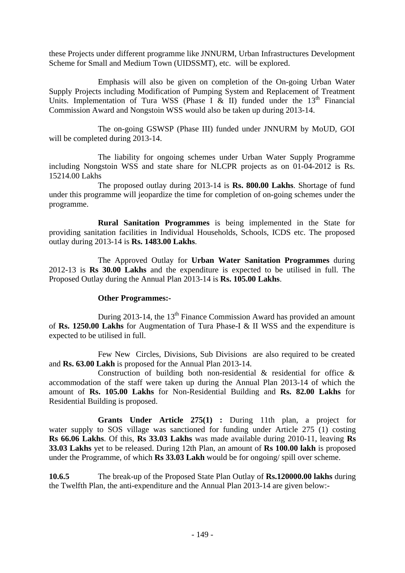these Projects under different programme like JNNURM, Urban Infrastructures Development Scheme for Small and Medium Town (UIDSSMT), etc. will be explored.

Emphasis will also be given on completion of the On-going Urban Water Supply Projects including Modification of Pumping System and Replacement of Treatment Units. Implementation of Tura WSS (Phase I & II) funded under the  $13<sup>th</sup>$  Financial Commission Award and Nongstoin WSS would also be taken up during 2013-14.

The on-going GSWSP (Phase III) funded under JNNURM by MoUD, GOI will be completed during 2013-14.

The liability for ongoing schemes under Urban Water Supply Programme including Nongstoin WSS and state share for NLCPR projects as on 01-04-2012 is Rs. 15214.00 Lakhs

The proposed outlay during 2013-14 is **Rs. 800.00 Lakhs**. Shortage of fund under this programme will jeopardize the time for completion of on-going schemes under the programme.

 **Rural Sanitation Programmes** is being implemented in the State for providing sanitation facilities in Individual Households, Schools, ICDS etc. The proposed outlay during 2013-14 is **Rs. 1483.00 Lakhs**.

 The Approved Outlay for **Urban Water Sanitation Programmes** during 2012-13 is **Rs 30.00 Lakhs** and the expenditure is expected to be utilised in full. The Proposed Outlay during the Annual Plan 2013-14 is **Rs. 105.00 Lakhs**.

## **Other Programmes:-**

During 2013-14, the  $13<sup>th</sup>$  Finance Commission Award has provided an amount of **Rs. 1250.00 Lakhs** for Augmentation of Tura Phase-I & II WSS and the expenditure is expected to be utilised in full.

 Few New Circles, Divisions, Sub Divisions are also required to be created and **Rs. 63.00 Lakh** is proposed for the Annual Plan 2013-14.

Construction of building both non-residential  $\&$  residential for office  $\&$ accommodation of the staff were taken up during the Annual Plan 2013-14 of which the amount of **Rs. 105.00 Lakhs** for Non-Residential Building and **Rs. 82.00 Lakhs** for Residential Building is proposed.

 **Grants Under Article 275(1) :** During 11th plan, a project for water supply to SOS village was sanctioned for funding under Article 275 (1) costing **Rs 66.06 Lakhs**. Of this, **Rs 33.03 Lakhs** was made available during 2010-11, leaving **Rs 33.03 Lakhs** yet to be released. During 12th Plan, an amount of **Rs 100.00 lakh** is proposed under the Programme, of which **Rs 33.03 Lakh** would be for ongoing/ spill over scheme.

**10.6.5** The break-up of the Proposed State Plan Outlay of **Rs.120000.00 lakhs** during the Twelfth Plan, the anti-expenditure and the Annual Plan 2013-14 are given below:-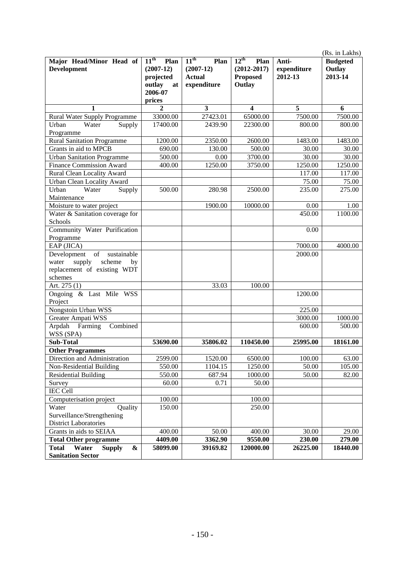|                                                |                                                                                 |                                                                  |                                                                          |                                 | (Rs. in Lakhs)                       |
|------------------------------------------------|---------------------------------------------------------------------------------|------------------------------------------------------------------|--------------------------------------------------------------------------|---------------------------------|--------------------------------------|
| Major Head/Minor Head of<br><b>Development</b> | $11^{\text{th}}$<br>Plan<br>$(2007-12)$<br>projected<br>outlay<br>at<br>2006-07 | $11^{th}$<br>Plan<br>$(2007-12)$<br><b>Actual</b><br>expenditure | $12^{\text{th}}$<br>Plan<br>$(2012 - 2017)$<br><b>Proposed</b><br>Outlay | Anti-<br>expenditure<br>2012-13 | <b>Budgeted</b><br>Outlay<br>2013-14 |
|                                                | prices                                                                          |                                                                  |                                                                          |                                 |                                      |
| 1                                              | $\mathbf{2}$                                                                    | 3                                                                | 4                                                                        | 5                               | 6                                    |
| Rural Water Supply Programme                   | 33000.00                                                                        | 27423.01                                                         | 65000.00                                                                 | 7500.00                         | 7500.00                              |
| Urban<br>Water<br>Supply                       | 17400.00                                                                        | 2439.90                                                          | 22300.00                                                                 | 800.00                          | 800.00                               |
| Programme                                      |                                                                                 |                                                                  |                                                                          |                                 |                                      |
| <b>Rural Sanitation Programme</b>              | 1200.00                                                                         | 2350.00                                                          | 2600.00                                                                  | 1483.00                         | 1483.00                              |
| Grants in aid to MPCB                          | 690.00                                                                          | 130.00                                                           | 500.00                                                                   | 30.00                           | 30.00                                |
| <b>Urban Sanitation Programme</b>              | 500.00                                                                          | 0.00                                                             | 3700.00                                                                  | 30.00                           | 30.00                                |
| <b>Finance Commission Award</b>                | 400.00                                                                          | 1250.00                                                          | 3750.00                                                                  | 1250.00                         | 1250.00                              |
| Rural Clean Locality Award                     |                                                                                 |                                                                  |                                                                          | 117.00                          | 117.00                               |
| Urban Clean Locality Award                     |                                                                                 |                                                                  |                                                                          | 75.00                           | 75.00                                |
| Urban<br>Water<br>Supply<br>Maintenance        | 500.00                                                                          | 280.98                                                           | 2500.00                                                                  | 235.00                          | 275.00                               |
| Moisture to water project                      |                                                                                 | 1900.00                                                          | 10000.00                                                                 | 0.00                            | 1.00                                 |
| Water & Sanitation coverage for                |                                                                                 |                                                                  |                                                                          | 450.00                          | 1100.00                              |
| Schools                                        |                                                                                 |                                                                  |                                                                          |                                 |                                      |
| Community Water Purification                   |                                                                                 |                                                                  |                                                                          | 0.00                            |                                      |
| Programme                                      |                                                                                 |                                                                  |                                                                          |                                 |                                      |
| EAP (JICA)                                     |                                                                                 |                                                                  |                                                                          | 7000.00                         | 4000.00                              |
| of<br>sustainable<br>Development               |                                                                                 |                                                                  |                                                                          | 2000.00                         |                                      |
| supply<br>scheme<br>water<br>by                |                                                                                 |                                                                  |                                                                          |                                 |                                      |
| replacement of existing WDT                    |                                                                                 |                                                                  |                                                                          |                                 |                                      |
| schemes                                        |                                                                                 |                                                                  |                                                                          |                                 |                                      |
| Art. 275 (1)                                   |                                                                                 | 33.03                                                            | 100.00                                                                   |                                 |                                      |
| Ongoing & Last Mile WSS<br>Project             |                                                                                 |                                                                  |                                                                          | 1200.00                         |                                      |
| Nongstoin Urban WSS                            |                                                                                 |                                                                  |                                                                          | 225.00                          |                                      |
| Greater Ampati WSS                             |                                                                                 |                                                                  |                                                                          | 3000.00                         | 1000.00                              |
| Combined<br>Arpdah<br>Farming<br>WSS (SPA)     |                                                                                 |                                                                  |                                                                          | 600.00                          | 500.00                               |
| <b>Sub-Total</b>                               | 53690.00                                                                        | 35806.02                                                         | 110450.00                                                                | 25995.00                        | 18161.00                             |
| <b>Other Programmes</b>                        |                                                                                 |                                                                  |                                                                          |                                 |                                      |
| Direction and Administration                   | 2599.00                                                                         | 1520.00                                                          | 6500.00                                                                  | 100.00                          | 63.00                                |
| Non-Residential Building                       | 550.00                                                                          | 1104.15                                                          | 1250.00                                                                  | 50.00                           | 105.00                               |
| <b>Residential Building</b>                    | 550.00                                                                          | 687.94                                                           | 1000.00                                                                  | 50.00                           | 82.00                                |
| Survey                                         | 60.00                                                                           | 0.71                                                             | 50.00                                                                    |                                 |                                      |
| <b>IEC Cell</b>                                |                                                                                 |                                                                  |                                                                          |                                 |                                      |
| Computerisation project                        | 100.00                                                                          |                                                                  | 100.00                                                                   |                                 |                                      |
| Water<br>Quality                               | 150.00                                                                          |                                                                  | 250.00                                                                   |                                 |                                      |
| Surveillance/Strengthening                     |                                                                                 |                                                                  |                                                                          |                                 |                                      |
| <b>District Laboratories</b>                   |                                                                                 |                                                                  |                                                                          |                                 |                                      |
| Grants in aids to SEIAA                        | 400.00                                                                          | 50.00                                                            | 400.00                                                                   | 30.00                           | 29.00                                |
| <b>Total Other programme</b>                   | 4409.00                                                                         | 3362.90                                                          | 9550.00                                                                  | 230.00                          | 279.00                               |
| Water<br><b>Total</b><br><b>Supply</b><br>&    | 58099.00                                                                        | 39169.82                                                         | 120000.00                                                                | 26225.00                        | 18440.00                             |
| <b>Sanitation Sector</b>                       |                                                                                 |                                                                  |                                                                          |                                 |                                      |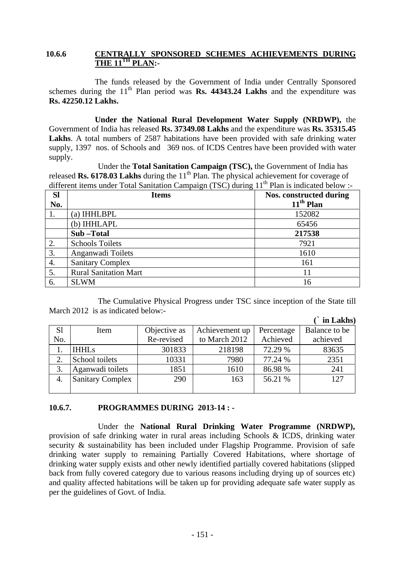#### **10.6.6 CENTRALLY SPONSORED SCHEMES ACHIEVEMENTS DURING THE 11TH PLAN:-**

The funds released by the Government of India under Centrally Sponsored schemes during the  $11<sup>th</sup>$  Plan period was **Rs. 44343.24 Lakhs** and the expenditure was **Rs. 42250.12 Lakhs.**

 **Under the National Rural Development Water Supply (NRDWP),** the Government of India has released **Rs. 37349.08 Lakhs** and the expenditure was **Rs. 35315.45**  Lakhs. A total numbers of 2587 habitations have been provided with safe drinking water supply, 1397 nos. of Schools and 369 nos. of ICDS Centres have been provided with water supply.

 Under the **Total Sanitation Campaign (TSC),** the Government of India has released **Rs. 6178.03 Lakhs** during the  $11<sup>th</sup>$  Plan. The physical achievement for coverage of different items under Total Sanitation Campaign (TSC) during  $11<sup>th</sup>$  Plan is indicated below :-

| <b>SI</b> | <b>Items</b>                 | Nos. constructed during |
|-----------|------------------------------|-------------------------|
| No.       |                              | $11th$ Plan             |
|           | (a) IHHLBPL                  | 152082                  |
|           | (b) IHHLAPL                  | 65456                   |
|           | Sub-Total                    | 217538                  |
| 2.        | <b>Schools Toilets</b>       | 7921                    |
| 3.        | Anganwadi Toilets            | 1610                    |
| 4.        | <b>Sanitary Complex</b>      | 161                     |
| 5.        | <b>Rural Sanitation Mart</b> | 11                      |
| 6.        | <b>SLWM</b>                  | 16                      |

The Cumulative Physical Progress under TSC since inception of the State till March 2012 is as indicated below:-

|                |                         |              |                |            | in Lakhs)     |
|----------------|-------------------------|--------------|----------------|------------|---------------|
| S <sub>1</sub> | Item                    | Objective as | Achievement up | Percentage | Balance to be |
| No.            |                         | Re-revised   | to March 2012  | Achieved   | achieved      |
|                | <b>IHHLs</b>            | 301833       | 218198         | 72.29 %    | 83635         |
| 2.             | School toilets          | 10331        | 7980           | 77.24 %    | 2351          |
| 3.             | Aganwadi toilets        | 1851         | 1610           | 86.98 %    | 241           |
| 4.             | <b>Sanitary Complex</b> | 290          | 163            | 56.21 %    | 127           |
|                |                         |              |                |            |               |

#### **10.6.7. PROGRAMMES DURING 2013-14 : -**

Under the **National Rural Drinking Water Programme (NRDWP),**  provision of safe drinking water in rural areas including Schools & ICDS, drinking water security & sustainability has been included under Flagship Programme. Provision of safe drinking water supply to remaining Partially Covered Habitations, where shortage of drinking water supply exists and other newly identified partially covered habitations (slipped back from fully covered category due to various reasons including drying up of sources etc) and quality affected habitations will be taken up for providing adequate safe water supply as per the guidelines of Govt. of India.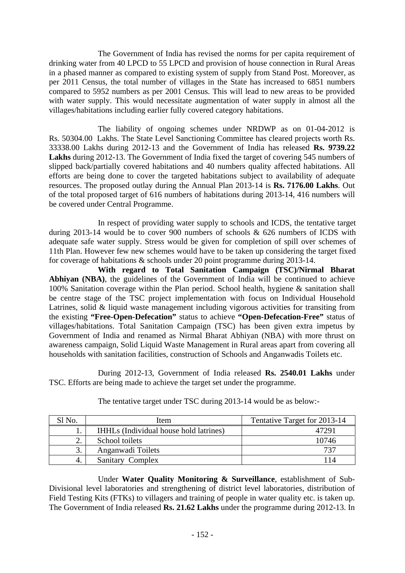The Government of India has revised the norms for per capita requirement of drinking water from 40 LPCD to 55 LPCD and provision of house connection in Rural Areas in a phased manner as compared to existing system of supply from Stand Post. Moreover, as per 2011 Census, the total number of villages in the State has increased to 6851 numbers compared to 5952 numbers as per 2001 Census. This will lead to new areas to be provided with water supply. This would necessitate augmentation of water supply in almost all the villages/habitations including earlier fully covered category habitations.

The liability of ongoing schemes under NRDWP as on 01-04-2012 is Rs. 50304.00 Lakhs. The State Level Sanctioning Committee has cleared projects worth Rs. 33338.00 Lakhs during 2012-13 and the Government of India has released **Rs. 9739.22 Lakhs** during 2012-13. The Government of India fixed the target of covering 545 numbers of slipped back/partially covered habitations and 40 numbers quality affected habitations. All efforts are being done to cover the targeted habitations subject to availability of adequate resources. The proposed outlay during the Annual Plan 2013-14 is **Rs. 7176.00 Lakhs**. Out of the total proposed target of 616 numbers of habitations during 2013-14, 416 numbers will be covered under Central Programme.

 In respect of providing water supply to schools and ICDS, the tentative target during 2013-14 would be to cover 900 numbers of schools & 626 numbers of ICDS with adequate safe water supply. Stress would be given for completion of spill over schemes of 11th Plan. However few new schemes would have to be taken up considering the target fixed for coverage of habitations & schools under 20 point programme during 2013-14.

**With regard to Total Sanitation Campaign (TSC)/Nirmal Bharat Abhiyan (NBA)**, the guidelines of the Government of India will be continued to achieve 100% Sanitation coverage within the Plan period. School health, hygiene & sanitation shall be centre stage of the TSC project implementation with focus on Individual Household Latrines, solid & liquid waste management including vigorous activities for transiting from the existing **"Free-Open-Defecation"** status to achieve **"Open-Defecation-Free"** status of villages/habitations. Total Sanitation Campaign (TSC) has been given extra impetus by Government of India and renamed as Nirmal Bharat Abhiyan (NBA) with more thrust on awareness campaign, Solid Liquid Waste Management in Rural areas apart from covering all households with sanitation facilities, construction of Schools and Anganwadis Toilets etc.

During 2012-13, Government of India released **Rs. 2540.01 Lakhs** under TSC. Efforts are being made to achieve the target set under the programme.

| Sl No | Item                                   | Tentative Target for 2013-14 |
|-------|----------------------------------------|------------------------------|
|       | IHHLs (Individual house hold latrines) |                              |
|       | School toilets                         | 10746                        |
|       | Anganwadi Toilets                      | 737                          |
|       | Sanitary Complex                       | 114                          |

The tentative target under TSC during 2013-14 would be as below:-

Under **Water Quality Monitoring & Surveillance**, establishment of Sub-Divisional level laboratories and strengthening of district level laboratories, distribution of Field Testing Kits (FTKs) to villagers and training of people in water quality etc. is taken up. The Government of India released **Rs. 21.62 Lakhs** under the programme during 2012-13. In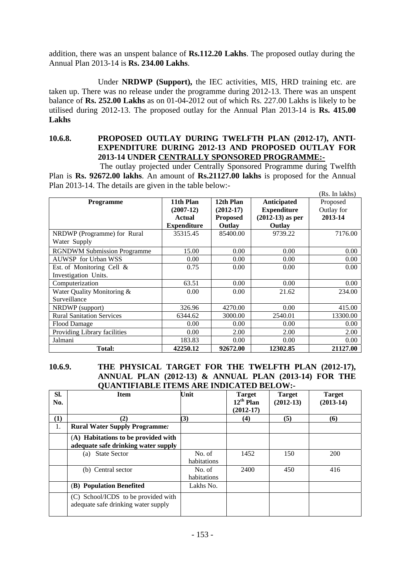addition, there was an unspent balance of **Rs.112.20 Lakhs**. The proposed outlay during the Annual Plan 2013-14 is **Rs. 234.00 Lakhs**.

Under **NRDWP (Support),** the IEC activities, MIS, HRD training etc. are taken up. There was no release under the programme during 2012-13. There was an unspent balance of **Rs. 252.00 Lakhs** as on 01-04-2012 out of which Rs. 227.00 Lakhs is likely to be utilised during 2012-13. The proposed outlay for the Annual Plan 2013-14 is **Rs. 415.00 Lakhs**

#### **10.6.8. PROPOSED OUTLAY DURING TWELFTH PLAN (2012-17), ANTI-EXPENDITURE DURING 2012-13 AND PROPOSED OUTLAY FOR 2013-14 UNDER CENTRALLY SPONSORED PROGRAMME:-**

 The outlay projected under Centrally Sponsored Programme during Twelfth Plan is **Rs. 92672.00 lakhs**. An amount of **Rs.21127.00 lakhs** is proposed for the Annual Plan 2013-14. The details are given in the table below:-

|                                    |                    |                 |                    | (Rs. In lakhs) |
|------------------------------------|--------------------|-----------------|--------------------|----------------|
| <b>Programme</b>                   | 11th Plan          | 12th Plan       | <b>Anticipated</b> | Proposed       |
|                                    | $(2007-12)$        | $(2012-17)$     | <b>Expenditure</b> | Outlay for     |
|                                    | <b>Actual</b>      | <b>Proposed</b> | $(2012-13)$ as per | 2013-14        |
|                                    | <b>Expenditure</b> | Outlay          | Outlay             |                |
| NRDWP (Programme) for Rural        | 35315.45           | 85400.00        | 9739.22            | 7176.00        |
| Water Supply                       |                    |                 |                    |                |
| <b>RGNDWM Submission Programme</b> | 15.00              | 0.00            | 0.00               | 0.00           |
| <b>AUWSP</b> for Urban WSS         | 0.00               | 0.00            | 0.00               | 0.00           |
| Est. of Monitoring Cell $\&$       | 0.75               | 0.00            | 0.00               | 0.00           |
| Investigation Units.               |                    |                 |                    |                |
| Computerization                    | 63.51              | 0.00            | 0.00               | 0.00           |
| Water Quality Monitoring &         | 0.00               | 0.00            | 21.62              | 234.00         |
| Surveillance                       |                    |                 |                    |                |
| NRDWP (support)                    | 326.96             | 4270.00         | 0.00               | 415.00         |
| <b>Rural Sanitation Services</b>   | 6344.62            | 3000.00         | 2540.01            | 13300.00       |
| <b>Flood Damage</b>                | 0.00               | 0.00            | 0.00               | 0.00           |
| Providing Library facilities       | 0.00               | 2.00            | 2.00               | 2.00           |
| Jalmani                            | 183.83             | 0.00            | 0.00               | 0.00           |
| Total:                             | 42250.12           | 92672.00        | 12302.85           | 21127.00       |

## **10.6.9. THE PHYSICAL TARGET FOR THE TWELFTH PLAN (2012-17), ANNUAL PLAN (2012-13) & ANNUAL PLAN (2013-14) FOR THE QUANTIFIABLE ITEMS ARE INDICATED BELOW:-**

| SI.<br>No. | <b>Item</b>                                                                | Unit                  | <b>Target</b><br>$12^{th}$ Plan<br>$(2012-17)$ | <b>Target</b><br>$(2012-13)$ | <b>Target</b><br>$(2013-14)$ |
|------------|----------------------------------------------------------------------------|-----------------------|------------------------------------------------|------------------------------|------------------------------|
| $\bf(1)$   | (2)                                                                        | (3)                   | (4)                                            | (5)                          | (6)                          |
| 1.         | <b>Rural Water Supply Programme:</b>                                       |                       |                                                |                              |                              |
|            | (A) Habitations to be provided with<br>adequate safe drinking water supply |                       |                                                |                              |                              |
|            | <b>State Sector</b><br>(a)                                                 | No. of<br>habitations | 1452                                           | 150                          | 200                          |
|            | (b) Central sector                                                         | No. of<br>habitations | 2400                                           | 450                          | 416                          |
|            | (B) Population Benefited                                                   | Lakhs No.             |                                                |                              |                              |
|            | (C) School/ICDS to be provided with<br>adequate safe drinking water supply |                       |                                                |                              |                              |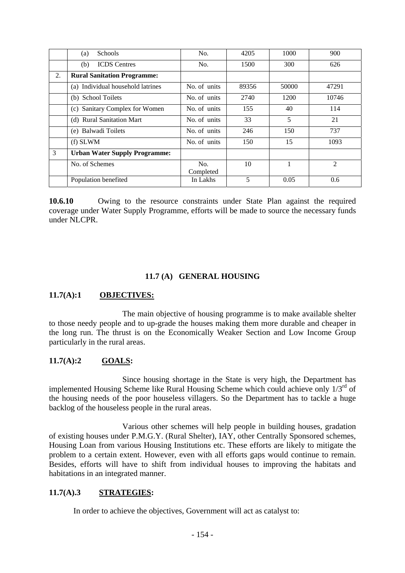|    | Schools<br>(a)                       | No.              | 4205  | 1000  | 900            |
|----|--------------------------------------|------------------|-------|-------|----------------|
|    | <b>ICDS</b> Centres<br>(b)           | No.              | 1500  | 300   | 626            |
| 2. | <b>Rural Sanitation Programme:</b>   |                  |       |       |                |
|    | (a) Individual household latrines    | No. of units     | 89356 | 50000 | 47291          |
|    | (b) School Toilets                   | No. of units     | 2740  | 1200  | 10746          |
|    | (c) Sanitary Complex for Women       | No. of units     | 155   | 40    | 114            |
|    | (d) Rural Sanitation Mart            | No. of units     | 33    | 5     | 21             |
|    | (e) Balwadi Toilets                  | No. of units     | 246   | 150   | 737            |
|    | $(f)$ SLWM                           | No. of units     | 150   | 15    | 1093           |
| 3  | <b>Urban Water Supply Programme:</b> |                  |       |       |                |
|    | No. of Schemes                       | No.<br>Completed | 10    |       | $\overline{c}$ |
|    | Population benefited                 | In Lakhs         | 5     | 0.05  | 0.6            |

**10.6.10** Owing to the resource constraints under State Plan against the required coverage under Water Supply Programme, efforts will be made to source the necessary funds under NLCPR.

## **11.7 (A) GENERAL HOUSING**

## **11.7(A):1 OBJECTIVES:**

The main objective of housing programme is to make available shelter to those needy people and to up-grade the houses making them more durable and cheaper in the long run. The thrust is on the Economically Weaker Section and Low Income Group particularly in the rural areas.

# **11.7(A):2 GOALS:**

 Since housing shortage in the State is very high, the Department has implemented Housing Scheme like Rural Housing Scheme which could achieve only  $1/3<sup>rd</sup>$  of the housing needs of the poor houseless villagers. So the Department has to tackle a huge backlog of the houseless people in the rural areas.

Various other schemes will help people in building houses, gradation of existing houses under P.M.G.Y. (Rural Shelter), IAY, other Centrally Sponsored schemes, Housing Loan from various Housing Institutions etc. These efforts are likely to mitigate the problem to a certain extent. However, even with all efforts gaps would continue to remain. Besides, efforts will have to shift from individual houses to improving the habitats and habitations in an integrated manner.

## **11.7(A).3 STRATEGIES:**

In order to achieve the objectives, Government will act as catalyst to: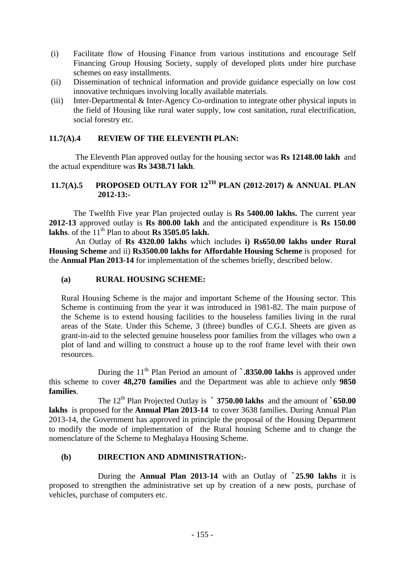- (i) Facilitate flow of Housing Finance from various institutions and encourage Self Financing Group Housing Society, supply of developed plots under hire purchase schemes on easy installments.
- (ii) Dissemination of technical information and provide guidance especially on low cost innovative techniques involving locally available materials.
- (iii) Inter-Departmental & Inter-Agency Co-ordination to integrate other physical inputs in the field of Housing like rural water supply, low cost sanitation, rural electrification, social forestry etc.

## **11.7(A).4 REVIEW OF THE ELEVENTH PLAN:**

The Eleventh Plan approved outlay for the housing sector was **Rs 12148.00 lakh** and the actual expenditure was **Rs 3438.71 lakh**.

# **11.7(A).5 PROPOSED OUTLAY FOR 12TH PLAN (2012-2017) & ANNUAL PLAN 2012-13:-**

The Twelfth Five year Plan projected outlay is **Rs 5400.00 lakhs.** The current year **2012-13** approved outlay is **Rs 800.00 lakh** and the anticipated expenditure is **Rs 150.00**  lakhs. of the  $11<sup>th</sup>$  Plan to about **Rs 3505.05 lakh.** 

 An Outlay of **Rs 4320.00 lakhs** which includes **i) Rs650.00 lakhs under Rural Housing Scheme** and ii) **Rs3500.00 lakhs for Affordable Housing Scheme** is proposed for the **Annual Plan 2013-14** for implementation of the schemes briefly, described below.

#### **(a) RURAL HOUSING SCHEME:**

Rural Housing Scheme is the major and important Scheme of the Housing sector. This Scheme is continuing from the year it was introduced in 1981-82. The main purpose of the Scheme is to extend housing facilities to the houseless families living in the rural areas of the State. Under this Scheme, 3 (three) bundles of C.G.I. Sheets are given as grant-in-aid to the selected genuine houseless poor families from the villages who own a plot of land and willing to construct a house up to the roof frame level with their own resources.

During the 11<sup>th</sup> Plan Period an amount of **`.8350.00 lakhs** is approved under this scheme to cover **48,270 families** and the Department was able to achieve only **9850 families**.

 The 12th Plan Projected Outlay is **` 3750.00 lakhs** and the amount of **`650.00 lakhs** is proposed for the **Annual Plan 2013-14** to cover 3638 families. During Annual Plan 2013-14, the Government has approved in principle the proposal of the Housing Department to modify the mode of implementation of the Rural housing Scheme and to change the nomenclature of the Scheme to Meghalaya Housing Scheme.

#### **(b) DIRECTION AND ADMINISTRATION:-**

During the **Annual Plan 2013-14** with an Outlay of **`25.90 lakhs** it is proposed to strengthen the administrative set up by creation of a new posts, purchase of vehicles, purchase of computers etc.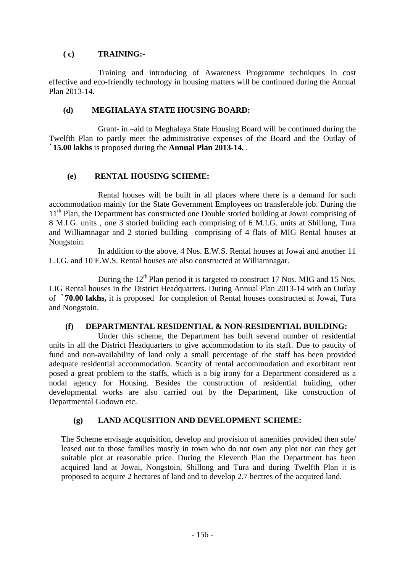## **( c) TRAINING:-**

Training and introducing of Awareness Programme techniques in cost effective and eco-friendly technology in housing matters will be continued during the Annual Plan 2013-14.

## **(d) MEGHALAYA STATE HOUSING BOARD:**

Grant- in –aid to Meghalaya State Housing Board will be continued during the Twelfth Plan to partly meet the administrative expenses of the Board and the Outlay of **`15.00 lakhs** is proposed during the **Annual Plan 2013-14.** .

## **(e) RENTAL HOUSING SCHEME:**

Rental houses will be built in all places where there is a demand for such accommodation mainly for the State Government Employees on transferable job. During the 11<sup>th</sup> Plan, the Department has constructed one Double storied building at Jowai comprising of 8 M.I.G. units , one 3 storied building each comprising of 6 M.I.G. units at Shillong, Tura and Williamnagar and 2 storied building comprising of 4 flats of MIG Rental houses at Nongstoin.

In addition to the above, 4 Nos. E.W.S. Rental houses at Jowai and another 11 L.I.G. and 10 E.W.S. Rental houses are also constructed at Williamnagar.

During the  $12<sup>th</sup>$  Plan period it is targeted to construct 17 Nos. MIG and 15 Nos. LIG Rental houses in the District Headquarters. During Annual Plan 2013-14 with an Outlay of **`70.00 lakhs,** it is proposedfor completion of Rental houses constructed at Jowai, Tura and Nongstoin.

#### **(f) DEPARTMENTAL RESIDENTIAL & NON-RESIDENTIAL BUILDING:**

Under this scheme, the Department has built several number of residential units in all the District Headquarters to give accommodation to its staff. Due to paucity of fund and non-availability of land only a small percentage of the staff has been provided adequate residential accommodation. Scarcity of rental accommodation and exorbitant rent posed a great problem to the staffs, which is a big irony for a Department considered as a nodal agency for Housing. Besides the construction of residential building, other developmental works are also carried out by the Department, like construction of Departmental Godown etc.

## **(g) LAND ACQUSITION AND DEVELOPMENT SCHEME:**

The Scheme envisage acquisition, develop and provision of amenities provided then sole/ leased out to those families mostly in town who do not own any plot nor can they get suitable plot at reasonable price. During the Eleventh Plan the Department has been acquired land at Jowai, Nongstoin, Shillong and Tura and during Twelfth Plan it is proposed to acquire 2 hectares of land and to develop 2.7 hectres of the acquired land.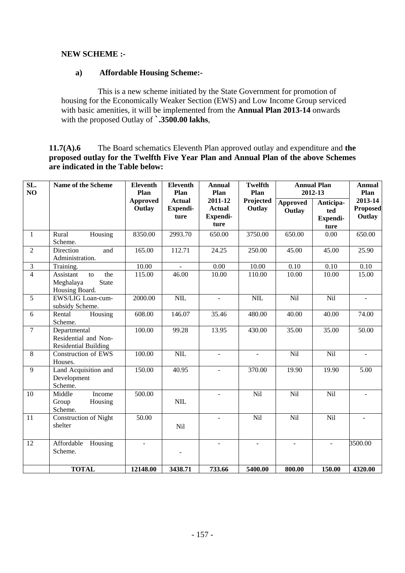# **NEW SCHEME :-**

## **a) Affordable Housing Scheme:-**

 This is a new scheme initiated by the State Government for promotion of housing for the Economically Weaker Section (EWS) and Low Income Group serviced with basic amenities, it will be implemented from the **Annual Plan 2013-14** onwards with the proposed Outlay of **`.3500.00 lakhs**,

**11.7(A).6** The Board schematics Eleventh Plan approved outlay and expenditure and **the proposed outlay for the Twelfth Five Year Plan and Annual Plan of the above Schemes are indicated in the Table below:** 

| SL.<br>NO      | Name of the Scheme                                                  | <b>Eleventh</b><br>Plan   | <b>Eleventh</b><br>Plan           | <b>Annual</b><br>Plan                        | <b>Twelfth</b><br>Plan | <b>Annual Plan</b><br>2012-13 |                                      | <b>Annual</b><br>Plan         |
|----------------|---------------------------------------------------------------------|---------------------------|-----------------------------------|----------------------------------------------|------------------------|-------------------------------|--------------------------------------|-------------------------------|
|                |                                                                     | <b>Approved</b><br>Outlay | <b>Actual</b><br>Expendi-<br>ture | 2011-12<br><b>Actual</b><br>Expendi-<br>ture | Projected<br>Outlay    | <b>Approved</b><br>Outlay     | Anticipa-<br>ted<br>Expendi-<br>ture | 2013-14<br>Proposed<br>Outlay |
| $\mathbf{1}$   | Rural<br>Housing<br>Scheme.                                         | 8350.00                   | 2993.70                           | 650.00                                       | 3750.00                | 650.00                        | 0.00                                 | 650.00                        |
| $\overline{2}$ | Direction<br>and<br>Administration.                                 | 165.00                    | 112.71                            | 24.25                                        | 250.00                 | 45.00                         | 45.00                                | 25.90                         |
| $\mathfrak{Z}$ | Training.                                                           | 10.00                     |                                   | 0.00                                         | 10.00                  | 0.10                          | 0.10                                 | 0.10                          |
| $\overline{4}$ | Assistant<br>the<br>to<br>Meghalaya<br>State<br>Housing Board.      | 115.00                    | 46.00                             | 10.00                                        | 110.00                 | 10.00                         | 10.00                                | 15.00                         |
| $\overline{5}$ | EWS/LIG Loan-cum-<br>subsidy Scheme.                                | 2000.00                   | NIL                               | $\overline{\phantom{a}}$                     | <b>NIL</b>             | Nil                           | Nil                                  | $\blacksquare$                |
| 6              | Rental<br>Housing<br>Scheme.                                        | 608.00                    | 146.07                            | 35.46                                        | 480.00                 | 40.00                         | 40.00                                | 74.00                         |
| $\overline{7}$ | Departmental<br>Residential and Non-<br><b>Residential Building</b> | 100.00                    | 99.28                             | 13.95                                        | 430.00                 | 35.00                         | 35.00                                | 50.00                         |
| 8              | Construction of EWS<br>Houses.                                      | 100.00                    | $NIL$                             | $\omega$                                     | $\mathbb{Z}^2$         | Nil                           | Nil                                  | $\mathbb{Z}^2$                |
| 9              | Land Acquisition and<br>Development<br>Scheme.                      | 150.00                    | 40.95                             | $\mathbf{r}$                                 | 370.00                 | 19.90                         | 19.90                                | 5.00                          |
| 10             | Income<br>Middle<br>Group<br>Housing<br>Scheme.                     | 500.00                    | NIL                               |                                              | Nil                    | Nil                           | Nil                                  |                               |
| 11             | <b>Construction of Night</b><br>shelter                             | $\overline{50.00}$        | Nil                               |                                              | Nil                    | Nil                           | Nil                                  |                               |
| 12             | Affordable<br>Housing<br>Scheme.                                    | $\blacksquare$            | $\blacksquare$                    | $\blacksquare$                               | $\blacksquare$         | $\blacksquare$                | $\overline{a}$                       | 3500.00                       |
|                | <b>TOTAL</b>                                                        | 12148.00                  | 3438.71                           | 733.66                                       | 5400.00                | 800.00                        | 150.00                               | 4320.00                       |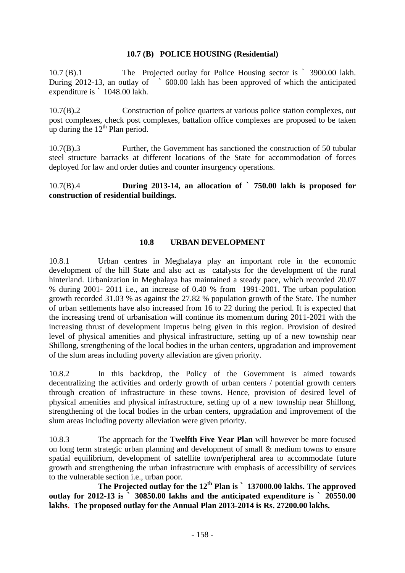## **10.7 (B) POLICE HOUSING (Residential)**

10.7 (B).1 The Projected outlay for Police Housing sector is ` 3900.00 lakh. During 2012-13, an outlay of  $\sim 600.00$  lakh has been approved of which the anticipated expenditure is ` 1048.00 lakh.

10.7(B).2 Construction of police quarters at various police station complexes, out post complexes, check post complexes, battalion office complexes are proposed to be taken up during the  $12<sup>th</sup>$  Plan period.

10.7(B).3 Further, the Government has sanctioned the construction of 50 tubular steel structure barracks at different locations of the State for accommodation of forces deployed for law and order duties and counter insurgency operations.

10.7(B).4 **During 2013-14, an allocation of ` 750.00 lakh is proposed for construction of residential buildings.** 

## **10.8 URBAN DEVELOPMENT**

10.8.1 Urban centres in Meghalaya play an important role in the economic development of the hill State and also act as catalysts for the development of the rural hinterland. Urbanization in Meghalaya has maintained a steady pace, which recorded 20.07 % during 2001- 2011 i.e., an increase of 0.40 % from 1991-2001. The urban population growth recorded 31.03 % as against the 27.82 % population growth of the State. The number of urban settlements have also increased from 16 to 22 during the period. It is expected that the increasing trend of urbanisation will continue its momentum during 2011-2021 with the increasing thrust of development impetus being given in this region. Provision of desired level of physical amenities and physical infrastructure, setting up of a new township near Shillong, strengthening of the local bodies in the urban centers, upgradation and improvement of the slum areas including poverty alleviation are given priority.

10.8.2 In this backdrop, the Policy of the Government is aimed towards decentralizing the activities and orderly growth of urban centers / potential growth centers through creation of infrastructure in these towns. Hence, provision of desired level of physical amenities and physical infrastructure, setting up of a new township near Shillong, strengthening of the local bodies in the urban centers, upgradation and improvement of the slum areas including poverty alleviation were given priority.

10.8.3 The approach for the **Twelfth Five Year Plan** will however be more focused on long term strategic urban planning and development of small & medium towns to ensure spatial equilibrium, development of satellite town/peripheral area to accommodate future growth and strengthening the urban infrastructure with emphasis of accessibility of services to the vulnerable section i.e., urban poor.

 **The Projected outlay for the 12th Plan is ` 137000.00 lakhs. The approved outlay for 2012-13 is ` 30850.00 lakhs and the anticipated expenditure is ` 20550.00 lakhs. The proposed outlay for the Annual Plan 2013-2014 is Rs. 27200.00 lakhs.**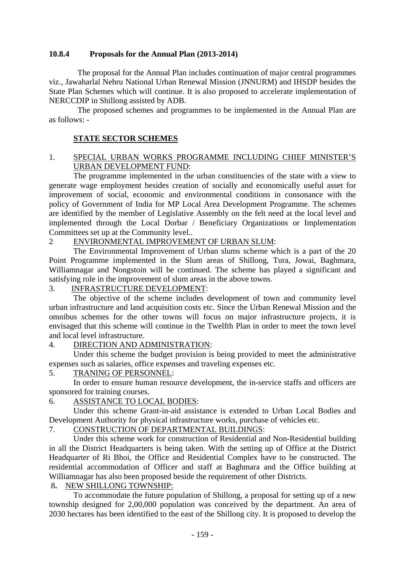## **10.8.4 Proposals for the Annual Plan (2013-2014)**

 The proposal for the Annual Plan includes continuation of major central programmes viz., Jawaharlal Nehru National Urban Renewal Mission (JNNURM) and IHSDP besides the State Plan Schemes which will continue. It is also proposed to accelerate implementation of NERCCDIP in Shillong assisted by ADB.

 The proposed schemes and programmes to be implemented in the Annual Plan are as follows: -

## **STATE SECTOR SCHEMES**

## 1. SPECIAL URBAN WORKS PROGRAMME INCLUDING CHIEF MINISTER'S URBAN DEVELOPMENT FUND:

 The programme implemented in the urban constituencies of the state with a view to generate wage employment besides creation of socially and economically useful asset for improvement of social, economic and environmental conditions in consonance with the policy of Government of India for MP Local Area Development Programme. The schemes are identified by the member of Legislative Assembly on the felt need at the local level and implemented through the Local Dorbar / Beneficiary Organizations or Implementation Committees set up at the Community level..

## 2 ENVIRONMENTAL IMPROVEMENT OF URBAN SLUM:

The Environmental Improvement of Urban slums scheme which is a part of the 20 Point Programme implemented in the Slum areas of Shillong, Tura, Jowai, Baghmara, Williamnagar and Nongstoin will be continued. The scheme has played a significant and satisfying role in the improvement of slum areas in the above towns.

#### 3. INFRASTRUCTURE DEVELOPMENT:

The objective of the scheme includes development of town and community level urban infrastructure and land acquisition costs etc. Since the Urban Renewal Mission and the omnibus schemes for the other towns will focus on major infrastructure projects, it is envisaged that this scheme will continue in the Twelfth Plan in order to meet the town level and local level infrastructure.

## 4. DIRECTION AND ADMINISTRATION:

Under this scheme the budget provision is being provided to meet the administrative expenses such as salaries, office expenses and traveling expenses etc.

#### 5. TRANING OF PERSONNEL:

In order to ensure human resource development, the in-service staffs and officers are sponsored for training courses.

## 6. ASSISTANCE TO LOCAL BODIES:

Under this scheme Grant-in-aid assistance is extended to Urban Local Bodies and Development Authority for physical infrastructure works, purchase of vehicles etc.

# 7. CONSTRUCTION OF DEPARTMENTAL BUILDINGS:

Under this scheme work for construction of Residential and Non-Residential building in all the District Headquarters is being taken. With the setting up of Office at the District Headquarter of Ri Bhoi, the Office and Residential Complex have to be constructed. The residential accommodation of Officer and staff at Baghmara and the Office building at Williamnagar has also been proposed beside the requirement of other Districts.

## 8**.** NEW SHILLONG TOWNSHIP:

To accommodate the future population of Shillong, a proposal for setting up of a new township designed for 2,00,000 population was conceived by the department. An area of 2030 hectares has been identified to the east of the Shillong city. It is proposed to develop the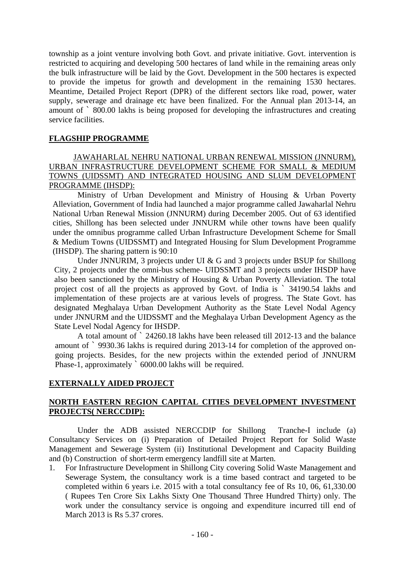township as a joint venture involving both Govt. and private initiative. Govt. intervention is restricted to acquiring and developing 500 hectares of land while in the remaining areas only the bulk infrastructure will be laid by the Govt. Development in the 500 hectares is expected to provide the impetus for growth and development in the remaining 1530 hectares. Meantime, Detailed Project Report (DPR) of the different sectors like road, power, water supply, sewerage and drainage etc have been finalized. For the Annual plan 2013-14, an amount of ` 800.00 lakhs is being proposed for developing the infrastructures and creating service facilities.

## **FLAGSHIP PROGRAMME**

## JAWAHARLAL NEHRU NATIONAL URBAN RENEWAL MISSION (JNNURM), URBAN INFRASTRUCTURE DEVELOPMENT SCHEME FOR SMALL & MEDIUM TOWNS (UIDSSMT) AND INTEGRATED HOUSING AND SLUM DEVELOPMENT PROGRAMME (IHSDP):

Ministry of Urban Development and Ministry of Housing & Urban Poverty Alleviation, Government of India had launched a major programme called Jawaharlal Nehru National Urban Renewal Mission (JNNURM) during December 2005. Out of 63 identified cities, Shillong has been selected under JNNURM while other towns have been qualify under the omnibus programme called Urban Infrastructure Development Scheme for Small & Medium Towns (UIDSSMT) and Integrated Housing for Slum Development Programme (IHSDP). The sharing pattern is 90:10

Under JNNURIM, 3 projects under UI & G and 3 projects under BSUP for Shillong City, 2 projects under the omni-bus scheme- UIDSSMT and 3 projects under IHSDP have also been sanctioned by the Ministry of Housing & Urban Poverty Alleviation. The total project cost of all the projects as approved by Govt. of India is ` 34190.54 lakhs and implementation of these projects are at various levels of progress. The State Govt. has designated Meghalaya Urban Development Authority as the State Level Nodal Agency under JNNURM and the UIDSSMT and the Meghalaya Urban Development Agency as the State Level Nodal Agency for IHSDP.

A total amount of ` 24260.18 lakhs have been released till 2012-13 and the balance amount of ` 9930.36 lakhs is required during 2013-14 for completion of the approved ongoing projects. Besides, for the new projects within the extended period of JNNURM Phase-1, approximately ` 6000.00 lakhs will be required.

## **EXTERNALLY AIDED PROJECT**

## **NORTH EASTERN REGION CAPITAL CITIES DEVELOPMENT INVESTMENT PROJECTS( NERCCDIP):**

Under the ADB assisted NERCCDIP for Shillong Tranche-I include (a) Consultancy Services on (i) Preparation of Detailed Project Report for Solid Waste Management and Sewerage System (ii) Institutional Development and Capacity Building and (b) Construction of short-term emergency landfill site at Marten.

1. For Infrastructure Development in Shillong City covering Solid Waste Management and Sewerage System, the consultancy work is a time based contract and targeted to be completed within 6 years i.e. 2015 with a total consultancy fee of Rs 10, 06, 61,330.00 ( Rupees Ten Crore Six Lakhs Sixty One Thousand Three Hundred Thirty) only. The work under the consultancy service is ongoing and expenditure incurred till end of March 2013 is Rs 5.37 crores.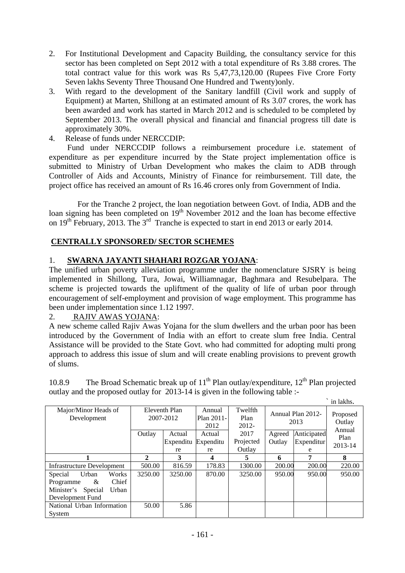- 2. For Institutional Development and Capacity Building, the consultancy service for this sector has been completed on Sept 2012 with a total expenditure of Rs 3.88 crores. The total contract value for this work was Rs 5,47,73,120.00 (Rupees Five Crore Forty Seven lakhs Seventy Three Thousand One Hundred and Twenty)only.
- 3. With regard to the development of the Sanitary landfill (Civil work and supply of Equipment) at Marten, Shillong at an estimated amount of Rs 3.07 crores, the work has been awarded and work has started in March 2012 and is scheduled to be completed by September 2013. The overall physical and financial and financial progress till date is approximately 30%.
- 4. Release of funds under NERCCDIP:

 Fund under NERCCDIP follows a reimbursement procedure i.e. statement of expenditure as per expenditure incurred by the State project implementation office is submitted to Ministry of Urban Development who makes the claim to ADB through Controller of Aids and Accounts, Ministry of Finance for reimbursement. Till date, the project office has received an amount of Rs 16.46 crores only from Government of India.

For the Tranche 2 project, the loan negotiation between Govt. of India, ADB and the loan signing has been completed on 19<sup>th</sup> November 2012 and the loan has become effective on 19<sup>th</sup> February, 2013. The 3<sup>rd</sup> Tranche is expected to start in end 2013 or early 2014.

# **CENTRALLY SPONSORED/ SECTOR SCHEMES**

# 1. **SWARNA JAYANTI SHAHARI ROZGAR YOJANA**:

The unified urban poverty alleviation programme under the nomenclature SJSRY is being implemented in Shillong, Tura, Jowai, Williamnagar, Baghmara and Resubelpara. The scheme is projected towards the upliftment of the quality of life of urban poor through encouragement of self-employment and provision of wage employment. This programme has been under implementation since 1.12 1997.

## 2. RAJIV AWAS YOJANA:

A new scheme called Rajiv Awas Yojana for the slum dwellers and the urban poor has been introduced by the Government of India with an effort to create slum free India. Central Assistance will be provided to the State Govt. who had committed for adopting multi prong approach to address this issue of slum and will create enabling provisions to prevent growth of slums.

10.8.9 The Broad Schematic break up of  $11<sup>th</sup>$  Plan outlay/expenditure,  $12<sup>th</sup>$  Plan projected outlay and the proposed outlay for 2013-14 is given in the following table :-

|                                     |                            |           |                              |                          |                           |             | in lakhs.                    |
|-------------------------------------|----------------------------|-----------|------------------------------|--------------------------|---------------------------|-------------|------------------------------|
| Major/Minor Heads of<br>Development | Eleventh Plan<br>2007-2012 |           | Annual<br>Plan 2011-<br>2012 | Twelfth<br>Plan<br>2012- | Annual Plan 2012-<br>2013 |             | Proposed<br>Outlay<br>Annual |
|                                     | Outlay                     | Actual    | Actual                       | 2017                     | Agreed                    | Anticipated | Plan                         |
|                                     |                            | Expenditu | Expenditu                    | Projected                | Outlay                    | Expenditur  | 2013-14                      |
|                                     |                            | re        | re                           | Outlay                   |                           | e           |                              |
|                                     | 2                          | 3         | 4                            | 5                        | 6                         | 7           | 8                            |
| Infrastructure Development          | 500.00                     | 816.59    | 178.83                       | 1300.00                  | 200.00                    | 200.00      | 220.00                       |
| Works<br>Special<br>Urban           | 3250.00                    | 3250.00   | 870.00                       | 3250.00                  | 950.00                    | 950.00      | 950.00                       |
| Chief<br>Programme<br>&             |                            |           |                              |                          |                           |             |                              |
| Minister's<br>Special<br>Urban      |                            |           |                              |                          |                           |             |                              |
| Development Fund                    |                            |           |                              |                          |                           |             |                              |
| National Urban Information          | 50.00                      | 5.86      |                              |                          |                           |             |                              |
| System                              |                            |           |                              |                          |                           |             |                              |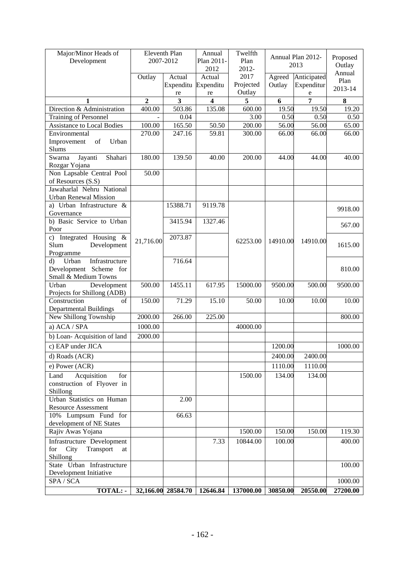| Major/Minor Heads of<br>Development                                                                                        | Eleventh Plan<br>2007-2012 |                               | Annual<br>Plan 2011- | Twelfth<br>Plan   | Annual Plan 2012-<br>2013 |                 | Proposed<br>Outlay |
|----------------------------------------------------------------------------------------------------------------------------|----------------------------|-------------------------------|----------------------|-------------------|---------------------------|-----------------|--------------------|
|                                                                                                                            |                            |                               | 2012                 | 2012-             |                           |                 | Annual             |
|                                                                                                                            | Outlay                     | Actual<br>Expenditu Expenditu | Actual               | 2017<br>Projected | Agreed                    | Anticipated     | Plan               |
|                                                                                                                            |                            | re                            | re                   | Outlay            | Outlay                    | Expenditur<br>e | 2013-14            |
| 1                                                                                                                          | $\overline{2}$             | 3                             | $\boldsymbol{4}$     | 5                 | 6                         | 7               | 8                  |
| Direction & Administration                                                                                                 | 400.00                     | 503.86                        | 135.08               | 600.00            | 19.50                     | 19.50           | 19.20              |
| <b>Training of Personnel</b>                                                                                               |                            | 0.04                          |                      | 3.00              | 0.50                      | 0.50            | 0.50               |
| <b>Assistance to Local Bodies</b>                                                                                          | 100.00                     | 165.50                        | 50.50                | 200.00            | 56.00                     | 56.00           | 65.00              |
| Environmental                                                                                                              | 270.00                     | 247.16                        | 59.81                | 300.00            | 66.00                     | 66.00           | 66.00              |
| $% \left( \left( \mathcal{A},\mathcal{A}\right) \right) =\left( \mathcal{A},\mathcal{A}\right)$ of<br>Urban<br>Improvement |                            |                               |                      |                   |                           |                 |                    |
| Slums                                                                                                                      |                            |                               |                      |                   |                           |                 |                    |
| Jayanti<br>Shahari<br>Swarna                                                                                               | 180.00                     | 139.50                        | 40.00                | 200.00            | 44.00                     | 44.00           | 40.00              |
| Rozgar Yojana                                                                                                              |                            |                               |                      |                   |                           |                 |                    |
| Non Lapsable Central Pool                                                                                                  | 50.00                      |                               |                      |                   |                           |                 |                    |
| of Resources (S.S)                                                                                                         |                            |                               |                      |                   |                           |                 |                    |
| Jawaharlal Nehru National                                                                                                  |                            |                               |                      |                   |                           |                 |                    |
| <b>Urban Renewal Mission</b>                                                                                               |                            |                               |                      |                   |                           |                 |                    |
| a) Urban Infrastructure &<br>Governance                                                                                    |                            | 15388.71                      | 9119.78              |                   |                           |                 | 9918.00            |
| b) Basic Service to Urban<br>Poor                                                                                          |                            | 3415.94                       | 1327.46              |                   |                           |                 | 567.00             |
| Integrated Housing &<br>c)<br>Slum<br>Development<br>Programme                                                             | 21,716.00                  | 2073.87                       |                      | 62253.00          | 14910.00                  | 14910.00        | 1615.00            |
| Infrastructure<br>$\rm d$<br>Urban<br>Development Scheme for<br>Small & Medium Towns                                       |                            | 716.64                        |                      |                   |                           |                 | 810.00             |
| Urban<br>Development                                                                                                       | 500.00                     | 1455.11                       | 617.95               | 15000.00          | 9500.00                   | 500.00          | 9500.00            |
| Projects for Shillong (ADB)                                                                                                |                            |                               |                      |                   |                           |                 |                    |
| of<br>Construction                                                                                                         | 150.00                     | 71.29                         | 15.10                | 50.00             | 10.00                     | 10.00           | 10.00              |
| <b>Departmental Buildings</b><br>New Shillong Township                                                                     | 2000.00                    | 266.00                        | 225.00               |                   |                           |                 | 800.00             |
|                                                                                                                            |                            |                               |                      |                   |                           |                 |                    |
| a) ACA / SPA                                                                                                               | 1000.00                    |                               |                      | 40000.00          |                           |                 |                    |
| b) Loan-Acquisition of land                                                                                                | 2000.00                    |                               |                      |                   |                           |                 |                    |
| c) EAP under JICA                                                                                                          |                            |                               |                      |                   | 1200.00                   |                 | 1000.00            |
| d) Roads (ACR)                                                                                                             |                            |                               |                      |                   | 2400.00                   | 2400.00         |                    |
| e) Power (ACR)                                                                                                             |                            |                               |                      |                   | 1110.00                   | 1110.00         |                    |
| Land<br>Acquisition<br>for                                                                                                 |                            |                               |                      | 1500.00           | 134.00                    | 134.00          |                    |
| construction of Flyover in                                                                                                 |                            |                               |                      |                   |                           |                 |                    |
| Shillong                                                                                                                   |                            |                               |                      |                   |                           |                 |                    |
| Urban Statistics on Human                                                                                                  |                            | 2.00                          |                      |                   |                           |                 |                    |
| <b>Resource Assessment</b>                                                                                                 |                            |                               |                      |                   |                           |                 |                    |
| 10% Lumpsum Fund for                                                                                                       |                            | 66.63                         |                      |                   |                           |                 |                    |
| development of NE States                                                                                                   |                            |                               |                      |                   |                           |                 |                    |
| Rajiv Awas Yojana                                                                                                          |                            |                               |                      | 1500.00           | 150.00                    | 150.00          | 119.30             |
| Infrastructure Development<br>City<br>Transport<br>for<br>at<br>Shillong                                                   |                            |                               | 7.33                 | 10844.00          | 100.00                    |                 | 400.00             |
| State Urban Infrastructure                                                                                                 |                            |                               |                      |                   |                           |                 | 100.00             |
| Development Initiative                                                                                                     |                            |                               |                      |                   |                           |                 |                    |
| SPA / SCA                                                                                                                  |                            |                               |                      |                   |                           |                 | 1000.00            |
| <b>TOTAL:</b>                                                                                                              |                            | 32,166.00 28584.70            | 12646.84             | 137000.00         | 30850.00                  | 20550.00        | 27200.00           |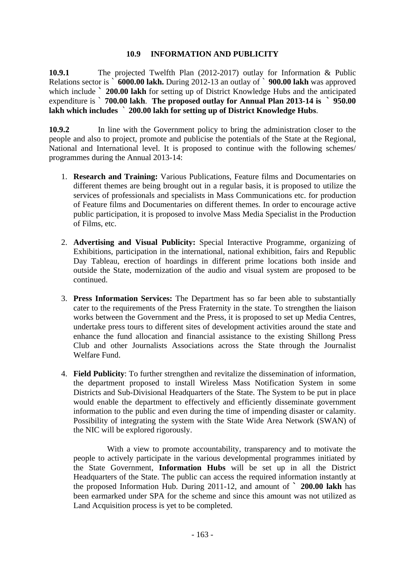## **10.9 INFORMATION AND PUBLICITY**

**10.9.1** The projected Twelfth Plan (2012-2017) outlay for Information & Public Relations sector is ` **6000.00 lakh.** During 2012-13 an outlay of ` **900.00 lakh** was approved which include **` 200.00 lakh** for setting up of District Knowledge Hubs and the anticipated expenditure is ` **700.00 lakh**. **The proposed outlay for Annual Plan 2013-14 is ` 950.00 lakh which includes** ` **200.00 lakh for setting up of District Knowledge Hubs**.

**10.9.2** In line with the Government policy to bring the administration closer to the people and also to project, promote and publicise the potentials of the State at the Regional, National and International level. It is proposed to continue with the following schemes/ programmes during the Annual 2013-14:

- 1. **Research and Training:** Various Publications, Feature films and Documentaries on different themes are being brought out in a regular basis, it is proposed to utilize the services of professionals and specialists in Mass Communications etc. for production of Feature films and Documentaries on different themes. In order to encourage active public participation, it is proposed to involve Mass Media Specialist in the Production of Films, etc.
- 2. **Advertising and Visual Publicity:** Special Interactive Programme, organizing of Exhibitions, participation in the international, national exhibition, fairs and Republic Day Tableau, erection of hoardings in different prime locations both inside and outside the State, modernization of the audio and visual system are proposed to be continued.
- 3. **Press Information Services:** The Department has so far been able to substantially cater to the requirements of the Press Fraternity in the state. To strengthen the liaison works between the Government and the Press, it is proposed to set up Media Centres, undertake press tours to different sites of development activities around the state and enhance the fund allocation and financial assistance to the existing Shillong Press Club and other Journalists Associations across the State through the Journalist Welfare Fund.
- 4. **Field Publicity**: To further strengthen and revitalize the dissemination of information, the department proposed to install Wireless Mass Notification System in some Districts and Sub-Divisional Headquarters of the State. The System to be put in place would enable the department to effectively and efficiently disseminate government information to the public and even during the time of impending disaster or calamity. Possibility of integrating the system with the State Wide Area Network (SWAN) of the NIC will be explored rigorously.

With a view to promote accountability, transparency and to motivate the people to actively participate in the various developmental programmes initiated by the State Government, **Information Hubs** will be set up in all the District Headquarters of the State. The public can access the required information instantly at the proposed Information Hub. During 2011-12, and amount of **` 200.00 lakh** has been earmarked under SPA for the scheme and since this amount was not utilized as Land Acquisition process is yet to be completed.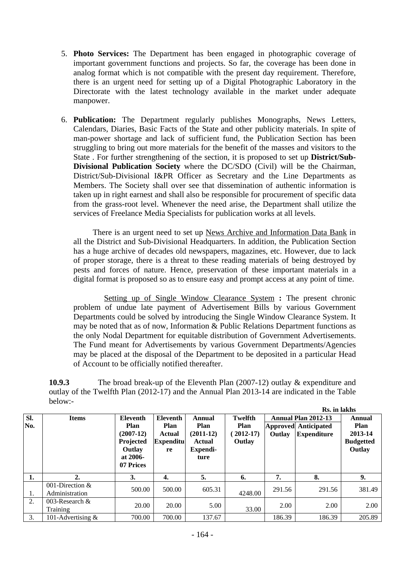- 5. **Photo Services:** The Department has been engaged in photographic coverage of important government functions and projects. So far, the coverage has been done in analog format which is not compatible with the present day requirement. Therefore, there is an urgent need for setting up of a Digital Photographic Laboratory in the Directorate with the latest technology available in the market under adequate manpower.
- 6. **Publication:** The Department regularly publishes Monographs, News Letters, Calendars, Diaries, Basic Facts of the State and other publicity materials. In spite of man-power shortage and lack of sufficient fund, the Publication Section has been struggling to bring out more materials for the benefit of the masses and visitors to the State . For further strengthening of the section, it is proposed to set up **District/Sub-Divisional Publication Society** where the DC/SDO (Civil) will be the Chairman, District/Sub-Divisional I&PR Officer as Secretary and the Line Departments as Members. The Society shall over see that dissemination of authentic information is taken up in right earnest and shall also be responsible for procurement of specific data from the grass-root level. Whenever the need arise, the Department shall utilize the services of Freelance Media Specialists for publication works at all levels.

 There is an urgent need to set up News Archive and Information Data Bank in all the District and Sub-Divisional Headquarters. In addition, the Publication Section has a huge archive of decades old newspapers, magazines, etc. However, due to lack of proper storage, there is a threat to these reading materials of being destroyed by pests and forces of nature. Hence, preservation of these important materials in a digital format is proposed so as to ensure easy and prompt access at any point of time.

 Setting up of Single Window Clearance System **:** The present chronic problem of undue late payment of Advertisement Bills by various Government Departments could be solved by introducing the Single Window Clearance System. It may be noted that as of now, Information & Public Relations Department functions as the only Nodal Department for equitable distribution of Government Advertisements. The Fund meant for Advertisements by various Government Departments/Agencies may be placed at the disposal of the Department to be deposited in a particular Head of Account to be officially notified thereafter.

**10.9.3** The broad break-up of the Eleventh Plan (2007-12) outlay & expenditure and outlay of the Twelfth Plan (2012-17) and the Annual Plan 2013-14 are indicated in the Table below:- **Rs. in lakhs** 

|            |                                     |                                                                                 |                                                             |                                                             |                                                 |        | <b>Ks.</b> in lakhs                                                      |                                                                |
|------------|-------------------------------------|---------------------------------------------------------------------------------|-------------------------------------------------------------|-------------------------------------------------------------|-------------------------------------------------|--------|--------------------------------------------------------------------------|----------------------------------------------------------------|
| SI.<br>No. | <b>Items</b>                        | Eleventh<br>Plan<br>$(2007-12)$<br>Projected<br>Outlay<br>at 2006-<br>07 Prices | Eleventh<br><b>Plan</b><br>Actual<br><b>Expenditu</b><br>re | Annual<br>Plan<br>$(2011-12)$<br>Actual<br>Expendi-<br>ture | Twelfth<br><b>Plan</b><br>$2012 - 17$<br>Outlay | Outlay | Annual Plan 2012-13<br><b>Approved Anticipated</b><br><b>Expenditure</b> | Annual<br><b>Plan</b><br>2013-14<br><b>Budgetted</b><br>Outlay |
| 1.         | $\overline{2}$ .                    | 3.                                                                              | 4.                                                          | 5.                                                          | 6.                                              | 7.     | 8.                                                                       | 9.                                                             |
| 1.         | 001-Direction $&$<br>Administration | 500.00                                                                          | 500.00                                                      | 605.31                                                      | 4248.00                                         | 291.56 | 291.56                                                                   | 381.49                                                         |
| 2.         | 003-Research $\&$<br>Training       | 20.00                                                                           | 20.00                                                       | 5.00                                                        | 33.00                                           | 2.00   | 2.00                                                                     | 2.00                                                           |
| 3.         | 101-Advertising &                   | 700.00                                                                          | 700.00                                                      | 137.67                                                      |                                                 | 186.39 | 186.39                                                                   | 205.89                                                         |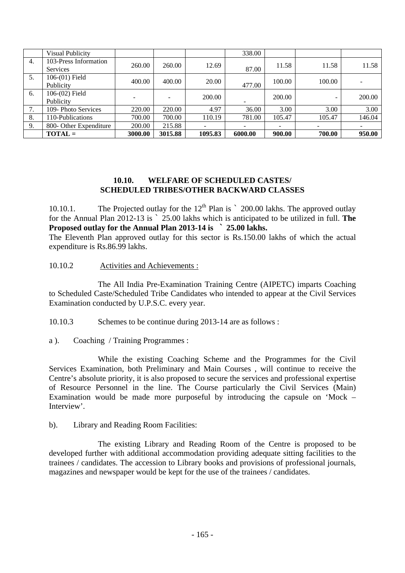|    | <b>Visual Publicity</b>       |         |                          |         | 338.00                   |        |        |        |
|----|-------------------------------|---------|--------------------------|---------|--------------------------|--------|--------|--------|
| 4. | 103-Press Information         | 260.00  | 260.00                   | 12.69   |                          | 11.58  | 11.58  | 11.58  |
|    | <b>Services</b>               |         |                          |         | 87.00                    |        |        |        |
| 5. | $106-(01)$ Field<br>Publicity | 400.00  | 400.00                   | 20.00   | 477.00                   | 100.00 | 100.00 |        |
| 6. | $106-(02)$ Field<br>Publicity |         | $\overline{\phantom{a}}$ | 200.00  | $\overline{\phantom{0}}$ | 200.00 | -      | 200.00 |
| 7. | 109- Photo Services           | 220.00  | 220.00                   | 4.97    | 36.00                    | 3.00   | 3.00   | 3.00   |
| 8. | 110-Publications              | 700.00  | 700.00                   | 110.19  | 781.00                   | 105.47 | 105.47 | 146.04 |
| 9. | 800- Other Expenditure        | 200.00  | 215.88                   |         | $\overline{\phantom{0}}$ | -      |        | -      |
|    | $TOTAL =$                     | 3000.00 | 3015.88                  | 1095.83 | 6000.00                  | 900.00 | 700.00 | 950.00 |

## **10.10. WELFARE OF SCHEDULED CASTES/ SCHEDULED TRIBES/OTHER BACKWARD CLASSES**

10.10.1. The Projected outlay for the  $12<sup>th</sup>$  Plan is  $\degree$  200.00 lakhs. The approved outlay for the Annual Plan 2012-13 is ` 25.00 lakhs which is anticipated to be utilized in full. **The Proposed outlay for the Annual Plan 2013-14 is ` 25.00 lakhs.**

The Eleventh Plan approved outlay for this sector is Rs.150.00 lakhs of which the actual expenditure is Rs.86.99 lakhs.

## 10.10.2 Activities and Achievements :

The All India Pre-Examination Training Centre (AIPETC) imparts Coaching to Scheduled Caste/Scheduled Tribe Candidates who intended to appear at the Civil Services Examination conducted by U.P.S.C. every year.

10.10.3 Schemes to be continue during 2013-14 are as follows :

a ). Coaching / Training Programmes :

 While the existing Coaching Scheme and the Programmes for the Civil Services Examination, both Preliminary and Main Courses , will continue to receive the Centre's absolute priority, it is also proposed to secure the services and professional expertise of Resource Personnel in the line. The Course particularly the Civil Services (Main) Examination would be made more purposeful by introducing the capsule on 'Mock – Interview'.

b). Library and Reading Room Facilities:

 The existing Library and Reading Room of the Centre is proposed to be developed further with additional accommodation providing adequate sitting facilities to the trainees / candidates. The accession to Library books and provisions of professional journals, magazines and newspaper would be kept for the use of the trainees / candidates.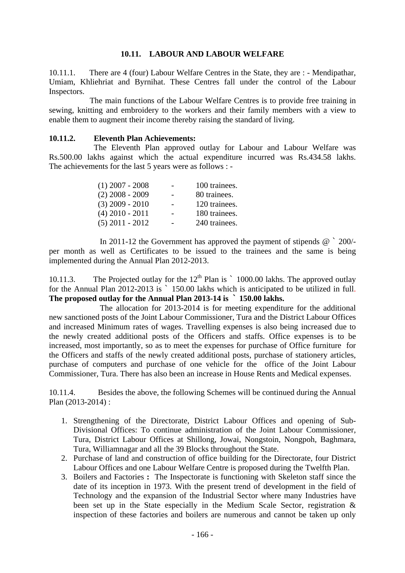## **10.11. LABOUR AND LABOUR WELFARE**

10.11.1. There are 4 (four) Labour Welfare Centres in the State, they are : - Mendipathar, Umiam, Khliehriat and Byrnihat. These Centres fall under the control of the Labour Inspectors.

 The main functions of the Labour Welfare Centres is to provide free training in sewing, knitting and embroidery to the workers and their family members with a view to enable them to augment their income thereby raising the standard of living.

#### **10.11.2. Eleventh Plan Achievements:**

 The Eleventh Plan approved outlay for Labour and Labour Welfare was Rs.500.00 lakhs against which the actual expenditure incurred was Rs.434.58 lakhs. The achievements for the last 5 years were as follows : -

| $(1)$ 2007 - 2008 | 100 trainees. |
|-------------------|---------------|
| $(2)$ 2008 - 2009 | 80 trainees.  |
| $(3)$ 2009 - 2010 | 120 trainees. |
| $(4)$ 2010 - 2011 | 180 trainees. |
| $(5)$ 2011 - 2012 | 240 trainees. |

In 2011-12 the Government has approved the payment of stipends @ ` 200/ per month as well as Certificates to be issued to the trainees and the same is being implemented during the Annual Plan 2012-2013.

10.11.3. The Projected outlay for the 12<sup>th</sup> Plan is ` 1000.00 lakhs. The approved outlay for the Annual Plan 2012-2013 is ` 150.00 lakhs which is anticipated to be utilized in full. **The proposed outlay for the Annual Plan 2013-14 is ` 150.00 lakhs.**

 The allocation for 2013-2014 is for meeting expenditure for the additional new sanctioned posts of the Joint Labour Commissioner, Tura and the District Labour Offices and increased Minimum rates of wages. Travelling expenses is also being increased due to the newly created additional posts of the Officers and staffs. Office expenses is to be increased, most importantly, so as to meet the expenses for purchase of Office furniture for the Officers and staffs of the newly created additional posts, purchase of stationery articles, purchase of computers and purchase of one vehicle for the office of the Joint Labour Commissioner, Tura. There has also been an increase in House Rents and Medical expenses.

10.11.4. Besides the above, the following Schemes will be continued during the Annual Plan (2013-2014) :

- 1. Strengthening of the Directorate, District Labour Offices and opening of Sub-Divisional Offices: To continue administration of the Joint Labour Commissioner, Tura, District Labour Offices at Shillong, Jowai, Nongstoin, Nongpoh, Baghmara, Tura, Williamnagar and all the 39 Blocks throughout the State.
- 2. Purchase of land and construction of office building for the Directorate, four District Labour Offices and one Labour Welfare Centre is proposed during the Twelfth Plan.
- 3. Boilers and Factories **:** The Inspectorate is functioning with Skeleton staff since the date of its inception in 1973. With the present trend of development in the field of Technology and the expansion of the Industrial Sector where many Industries have been set up in the State especially in the Medium Scale Sector, registration & inspection of these factories and boilers are numerous and cannot be taken up only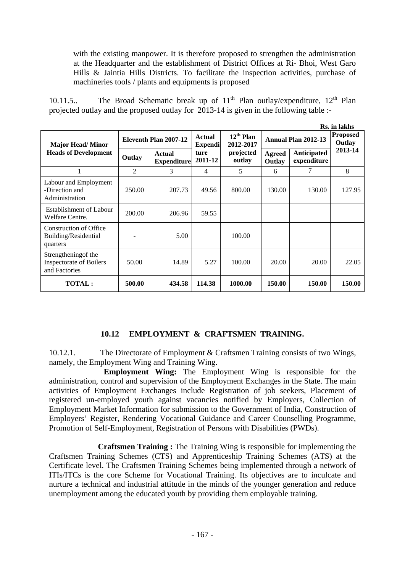with the existing manpower. It is therefore proposed to strengthen the administration at the Headquarter and the establishment of District Offices at Ri- Bhoi, West Garo Hills & Jaintia Hills Districts. To facilitate the inspection activities, purchase of machineries tools / plants and equipments is proposed

10.11.5.. The Broad Schematic break up of  $11<sup>th</sup>$  Plan outlay/expenditure,  $12<sup>th</sup>$  Plan projected outlay and the proposed outlay for 2013-14 is given in the following table :-

|                                                                         |                       |                              |                          |                             |                         |                            | Rs. in lakhs |
|-------------------------------------------------------------------------|-----------------------|------------------------------|--------------------------|-----------------------------|-------------------------|----------------------------|--------------|
| <b>Major Head/Minor</b>                                                 | Eleventh Plan 2007-12 |                              | Actual<br><b>Expendi</b> | $12^{th}$ Plan<br>2012-2017 | Annual Plan 2012-13     | <b>Proposed</b><br>Outlay  |              |
| <b>Heads of Development</b>                                             | Outlay                | Actual<br><b>Expenditure</b> | ture<br>2011-12          | projected<br>outlay         | <b>Agreed</b><br>Outlay | Anticipated<br>expenditure | 2013-14      |
|                                                                         | $\mathcal{L}$         | 3                            | 4                        | 5                           | 6                       | 7                          | 8            |
| Labour and Employment<br>-Direction and<br>Administration               | 250.00                | 207.73                       | 49.56                    | 800.00                      | 130.00                  | 130.00                     | 127.95       |
| Establishment of Labour<br>Welfare Centre.                              | 200.00                | 206.96                       | 59.55                    |                             |                         |                            |              |
| Construction of Office<br>Building/Residential<br>quarters              |                       | 5.00                         |                          | 100.00                      |                         |                            |              |
| Strengthening of the<br><b>Inspectorate of Boilers</b><br>and Factories | 50.00                 | 14.89                        | 5.27                     | 100.00                      | 20.00                   | 20.00                      | 22.05        |
| <b>TOTAL:</b>                                                           | 500.00                | 434.58                       | 114.38                   | 1000.00                     | 150.00                  | 150.00                     | 150.00       |

## **10.12 EMPLOYMENT & CRAFTSMEN TRAINING.**

10.12.1. The Directorate of Employment & Craftsmen Training consists of two Wings, namely, the Employment Wing and Training Wing.

 **Employment Wing:** The Employment Wing is responsible for the administration, control and supervision of the Employment Exchanges in the State. The main activities of Employment Exchanges include Registration of job seekers, Placement of registered un-employed youth against vacancies notified by Employers, Collection of Employment Market Information for submission to the Government of India, Construction of Employers' Register, Rendering Vocational Guidance and Career Counselling Programme, Promotion of Self-Employment, Registration of Persons with Disabilities (PWDs).

 **Craftsmen Training :** The Training Wing is responsible for implementing the Craftsmen Training Schemes (CTS) and Apprenticeship Training Schemes (ATS) at the Certificate level. The Craftsmen Training Schemes being implemented through a network of ITIs/ITCs is the core Scheme for Vocational Training. Its objectives are to inculcate and nurture a technical and industrial attitude in the minds of the younger generation and reduce unemployment among the educated youth by providing them employable training.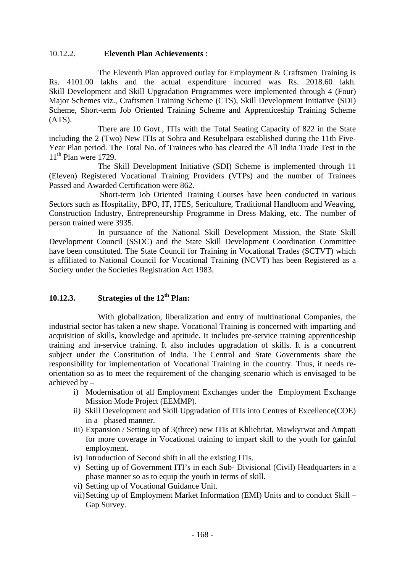#### 10.12.2. **Eleventh Plan Achievements** :

 The Eleventh Plan approved outlay for Employment & Craftsmen Training is Rs. 4101.00 lakhs and the actual expenditure incurred was Rs. 2018.60 lakh. Skill Development and Skill Upgradation Programmes were implemented through 4 (Four) Major Schemes viz., Craftsmen Training Scheme (CTS), Skill Development Initiative (SDI) Scheme, Short-term Job Oriented Training Scheme and Apprenticeship Training Scheme (ATS).

 There are 10 Govt., ITIs with the Total Seating Capacity of 822 in the State including the 2 (Two) New ITIs at Sohra and Resubelpara established during the 11th Five-Year Plan period. The Total No. of Trainees who has cleared the All India Trade Test in the  $11<sup>th</sup>$  Plan were 1729.

 The Skill Development Initiative (SDI) Scheme is implemented through 11 (Eleven) Registered Vocational Training Providers (VTPs) and the number of Trainees Passed and Awarded Certification were 862.

 Short-term Job Oriented Training Courses have been conducted in various Sectors such as Hospitality, BPO, IT, ITES, Sericulture, Traditional Handloom and Weaving, Construction Industry, Entrepreneurship Programme in Dress Making, etc. The number of person trained were 3935.

 In pursuance of the National Skill Development Mission, the State Skill Development Council (SSDC) and the State Skill Development Coordination Committee have been constituted. The State Council for Training in Vocational Trades (SCTVT) which is affiliated to National Council for Vocational Training (NCVT) has been Registered as a Society under the Societies Registration Act 1983.

# **10.12.3.** Strategies of the 12<sup>th</sup> Plan:

With globalization, liberalization and entry of multinational Companies, the industrial sector has taken a new shape. Vocational Training is concerned with imparting and acquisition of skills, knowledge and aptitude. It includes pre-service training apprenticeship training and in-service training. It also includes upgradation of skills. It is a concurrent subject under the Constitution of India. The Central and State Governments share the responsibility for implementation of Vocational Training in the country. Thus, it needs reorientation so as to meet the requirement of the changing scenario which is envisaged to be achieved by –

- i) Modernisation of all Employment Exchanges under the Employment Exchange Mission Mode Project (EEMMP).
- ii) Skill Development and Skill Upgradation of ITIs into Centres of Excellence(COE) in a phased manner.
- iii) Expansion / Setting up of 3(three) new ITIs at Khliehriat, Mawkyrwat and Ampati for more coverage in Vocational training to impart skill to the youth for gainful employment.
- iv) Introduction of Second shift in all the existing ITIs.
- v) Setting up of Government ITI's in each Sub- Divisional (Civil) Headquarters in a phase manner so as to equip the youth in terms of skill.
- vi) Setting up of Vocational Guidance Unit.
- vii)Setting up of Employment Market Information (EMI) Units and to conduct Skill Gap Survey.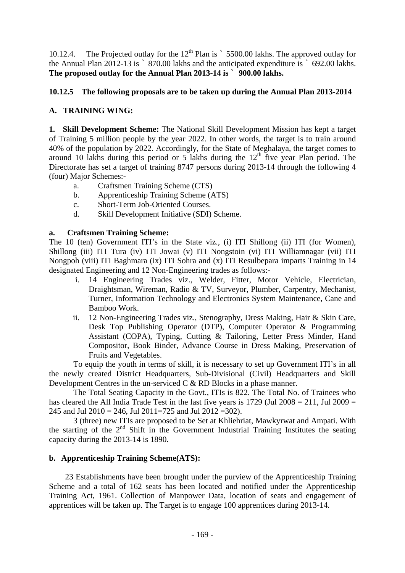10.12.4. The Projected outlay for the 12<sup>th</sup> Plan is  $\degree$  5500.00 lakhs. The approved outlay for the Annual Plan 2012-13 is ` 870.00 lakhs and the anticipated expenditure is ` 692.00 lakhs. **The proposed outlay for the Annual Plan 2013-14 is** ` **900.00 lakhs.** 

# **10.12.5 The following proposals are to be taken up during the Annual Plan 2013-2014**

# **A. TRAINING WING:**

**1. Skill Development Scheme:** The National Skill Development Mission has kept a target of Training 5 million people by the year 2022. In other words, the target is to train around 40% of the population by 2022. Accordingly, for the State of Meghalaya, the target comes to around 10 lakhs during this period or 5 lakhs during the  $12<sup>th</sup>$  five year Plan period. The Directorate has set a target of training 8747 persons during 2013-14 through the following 4 (four) Major Schemes:-

- a. Craftsmen Training Scheme (CTS)
- b. Apprenticeship Training Scheme (ATS)
- c. Short-Term Job-Oriented Courses.
- d. Skill Development Initiative (SDI) Scheme.

## **a. Craftsmen Training Scheme:**

The 10 (ten) Government ITI's in the State viz., (i) ITI Shillong (ii) ITI (for Women), Shillong (iii) ITI Tura (iv) ITI Jowai (v) ITI Nongstoin (vi) ITI Williamnagar (vii) ITI Nongpoh (viii) ITI Baghmara (ix) ITI Sohra and (x) ITI Resulbepara imparts Training in 14 designated Engineering and 12 Non-Engineering trades as follows:-

- i. 14 Engineering Trades viz., Welder, Fitter, Motor Vehicle, Electrician, Draightsman, Wireman, Radio & TV, Surveyor, Plumber, Carpentry, Mechanist, Turner, Information Technology and Electronics System Maintenance, Cane and Bamboo Work.
- ii. 12 Non-Engineering Trades viz., Stenography, Dress Making, Hair & Skin Care, Desk Top Publishing Operator (DTP), Computer Operator & Programming Assistant (COPA), Typing, Cutting & Tailoring, Letter Press Minder, Hand Compositor, Book Binder, Advance Course in Dress Making, Preservation of Fruits and Vegetables.

 To equip the youth in terms of skill, it is necessary to set up Government ITI's in all the newly created District Headquarters, Sub-Divisional (Civil) Headquarters and Skill Development Centres in the un-serviced C & RD Blocks in a phase manner.

 The Total Seating Capacity in the Govt., ITIs is 822. The Total No. of Trainees who has cleared the All India Trade Test in the last five years is  $1729$  (Jul  $2008 = 211$ , Jul  $2009 =$ 245 and Jul 2010 = 246, Jul 2011=725 and Jul 2012 = 302).

 3 (three) new ITIs are proposed to be Set at Khliehriat, Mawkyrwat and Ampati. With the starting of the 2nd Shift in the Government Industrial Training Institutes the seating capacity during the 2013-14 is 1890.

## **b. Apprenticeship Training Scheme(ATS):**

23 Establishments have been brought under the purview of the Apprenticeship Training Scheme and a total of 162 seats has been located and notified under the Apprenticeship Training Act, 1961. Collection of Manpower Data, location of seats and engagement of apprentices will be taken up. The Target is to engage 100 apprentices during 2013-14.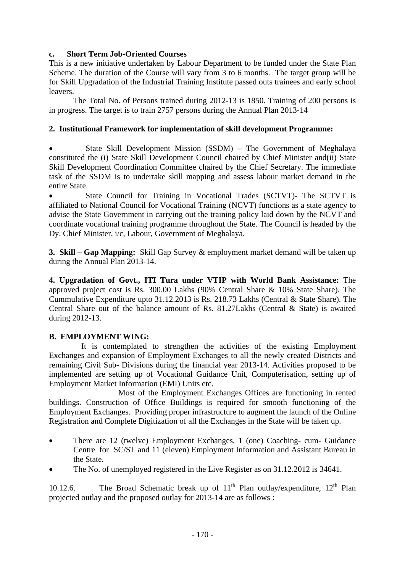## **c. Short Term Job-Oriented Courses**

This is a new initiative undertaken by Labour Department to be funded under the State Plan Scheme. The duration of the Course will vary from 3 to 6 months. The target group will be for Skill Upgradation of the Industrial Training Institute passed outs trainees and early school leavers.

The Total No. of Persons trained during 2012-13 is 1850. Training of 200 persons is in progress. The target is to train 2757 persons during the Annual Plan 2013-14

## **2. Institutional Framework for implementation of skill development Programme:**

 State Skill Development Mission (SSDM) – The Government of Meghalaya constituted the (i) State Skill Development Council chaired by Chief Minister and(ii) State Skill Development Coordination Committee chaired by the Chief Secretary. The immediate task of the SSDM is to undertake skill mapping and assess labour market demand in the entire State.

 State Council for Training in Vocational Trades (SCTVT)- The SCTVT is affiliated to National Council for Vocational Training (NCVT) functions as a state agency to advise the State Government in carrying out the training policy laid down by the NCVT and coordinate vocational training programme throughout the State. The Council is headed by the Dy. Chief Minister, i/c, Labour, Government of Meghalaya.

**3. Skill – Gap Mapping:** Skill Gap Survey & employment market demand will be taken up during the Annual Plan 2013-14.

**4. Upgradation of Govt., ITI Tura under VTIP with World Bank Assistance:** The approved project cost is Rs. 300.00 Lakhs (90% Central Share & 10% State Share). The Cummulative Expenditure upto 31.12.2013 is Rs. 218.73 Lakhs (Central & State Share). The Central Share out of the balance amount of Rs. 81.27Lakhs (Central & State) is awaited during 2012-13.

# **B. EMPLOYMENT WING:**

 It is contemplated to strengthen the activities of the existing Employment Exchanges and expansion of Employment Exchanges to all the newly created Districts and remaining Civil Sub- Divisions during the financial year 2013-14. Activities proposed to be implemented are setting up of Vocational Guidance Unit, Computerisation, setting up of Employment Market Information (EMI) Units etc.

 Most of the Employment Exchanges Offices are functioning in rented buildings. Construction of Office Buildings is required for smooth functioning of the Employment Exchanges. Providing proper infrastructure to augment the launch of the Online Registration and Complete Digitization of all the Exchanges in the State will be taken up.

- There are 12 (twelve) Employment Exchanges, 1 (one) Coaching- cum- Guidance Centre for SC/ST and 11 (eleven) Employment Information and Assistant Bureau in the State.
- The No. of unemployed registered in the Live Register as on 31.12.2012 is 34641.

10.12.6. The Broad Schematic break up of  $11<sup>th</sup>$  Plan outlay/expenditure,  $12<sup>th</sup>$  Plan projected outlay and the proposed outlay for 2013-14 are as follows :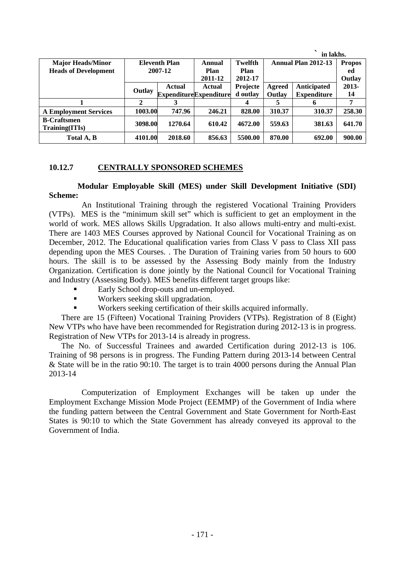|                                      |         |                      |                               |                 |        | in lakhs.                  |               |
|--------------------------------------|---------|----------------------|-------------------------------|-----------------|--------|----------------------------|---------------|
| <b>Major Heads/Minor</b>             |         | <b>Eleventh Plan</b> | Annual                        | <b>Twelfth</b>  |        | <b>Annual Plan 2012-13</b> | <b>Propos</b> |
| <b>Heads of Development</b>          | 2007-12 |                      | Plan                          | Plan            |        |                            | ed            |
|                                      |         |                      | 2011-12                       | 2012-17         |        |                            | Outlay        |
|                                      |         | <b>Actual</b>        | Actual                        | <b>Projecte</b> | Agreed | <b>Anticipated</b>         | $2013-$       |
|                                      | Outlay  |                      | <b>ExpenditureExpenditure</b> | d outlay        | Outlay | <b>Expenditure</b>         | 14            |
|                                      | 2       |                      |                               | 4               |        | n                          | 7             |
| <b>A Employment Services</b>         | 1003.00 | 747.96               | 246.21                        | 828.00          | 310.37 | 310.37                     | 258.30        |
| <b>B-Craftsmen</b><br>Training(ITIs) | 3098.00 | 1270.64              | 610.42                        | 4672.00         | 559.63 | 381.63                     | 641.70        |
| Total A, B                           | 4101.00 | 2018.60              | 856.63                        | 5500.00         | 870.00 | 692.00                     | 900.00        |

## **10.12.7 CENTRALLY SPONSORED SCHEMES**

**Modular Employable Skill (MES) under Skill Development Initiative (SDI) Scheme:** 

An Institutional Training through the registered Vocational Training Providers (VTPs). MES is the "minimum skill set" which is sufficient to get an employment in the world of work. MES allows Skills Upgradation. It also allows multi-entry and multi-exist. There are 1403 MES Courses approved by National Council for Vocational Training as on December, 2012. The Educational qualification varies from Class V pass to Class XII pass depending upon the MES Courses. . The Duration of Training varies from 50 hours to 600 hours. The skill is to be assessed by the Assessing Body mainly from the Industry Organization. Certification is done jointly by the National Council for Vocational Training and Industry (Assessing Body). MES benefits different target groups like:

- Early School drop-outs and un-employed.
- Workers seeking skill upgradation.
- Workers seeking certification of their skills acquired informally.

There are 15 (Fifteen) Vocational Training Providers (VTPs). Registration of 8 (Eight) New VTPs who have have been recommended for Registration during 2012-13 is in progress. Registration of New VTPs for 2013-14 is already in progress.

The No. of Successful Trainees and awarded Certification during 2012-13 is 106. Training of 98 persons is in progress. The Funding Pattern during 2013-14 between Central & State will be in the ratio 90:10. The target is to train 4000 persons during the Annual Plan 2013-14

Computerization of Employment Exchanges will be taken up under the Employment Exchange Mission Mode Project (EEMMP) of the Government of India where the funding pattern between the Central Government and State Government for North-East States is 90:10 to which the State Government has already conveyed its approval to the Government of India.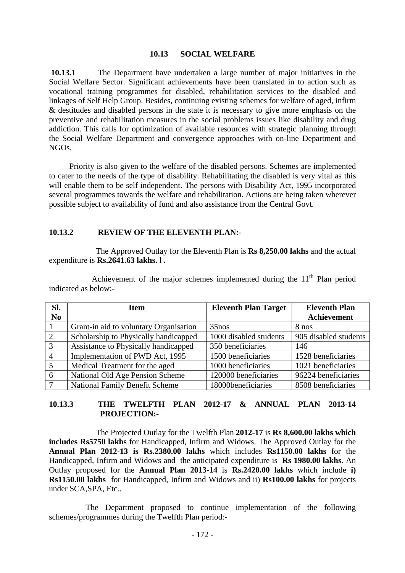#### **10.13 SOCIAL WELFARE**

**10.13.1** The Department have undertaken a large number of major initiatives in the Social Welfare Sector. Significant achievements have been translated in to action such as vocational training programmes for disabled, rehabilitation services to the disabled and linkages of Self Help Group. Besides, continuing existing schemes for welfare of aged, infirm & destitudes and disabled persons in the state it is necessary to give more emphasis on the preventive and rehabilitation measures in the social problems issues like disability and drug addiction. This calls for optimization of available resources with strategic planning through the Social Welfare Department and convergence approaches with on-line Department and NGOs.

 Priority is also given to the welfare of the disabled persons. Schemes are implemented to cater to the needs of the type of disability. Rehabilitating the disabled is very vital as this will enable them to be self independent. The persons with Disability Act, 1995 incorporated several programmes towards the welfare and rehabilitation. Actions are being taken wherever possible subject to availability of fund and also assistance from the Central Govt.

#### **10.13.2 REVIEW OF THE ELEVENTH PLAN:-**

 The Approved Outlay for the Eleventh Plan is **Rs 8,250.00 lakhs** and the actual expenditure is **Rs.2641.63 lakhs.** l **.** 

| Sl.            | <b>Item</b>                            | <b>Eleventh Plan Target</b> | <b>Eleventh Plan</b>  |
|----------------|----------------------------------------|-----------------------------|-----------------------|
| N <sub>0</sub> |                                        |                             | Achievement           |
|                | Grant-in aid to voluntary Organisation | $35$ nos                    | 8 nos                 |
| 2              | Scholarship to Physically handicapped  | 1000 disabled students      | 905 disabled students |
| 3              | Assistance to Physically handicapped   | 350 beneficiaries           | 146                   |
| $\overline{4}$ | Implementation of PWD Act, 1995        | 1500 beneficiaries          | 1528 beneficiaries    |
| 5              | Medical Treatment for the aged         | 1000 beneficiaries          | 1021 beneficiaries    |
| 6              | National Old Age Pension Scheme        | 120000 beneficiaries        | 96224 beneficiaries   |
| $\tau$         | <b>National Family Benefit Scheme</b>  | 18000beneficiaries          | 8508 beneficiaries    |

Achievement of the major schemes implemented during the  $11<sup>th</sup>$  Plan period indicated as below:-

## **10.13.3 THE TWELFTH PLAN 2012-17 & ANNUAL PLAN 2013-14 PROJECTION:-**

 The Projected Outlay for the Twelfth Plan **2012-17** is **Rs 8,600.00 lakhs which includes Rs5750 lakhs** for Handicapped, Infirm and Widows. The Approved Outlay for the **Annual Plan 2012-13 is Rs.2380.00 lakhs** which includes **Rs1150.00 lakhs** for the Handicapped, Infirm and Widows and the anticipated expenditure is **Rs 1980.00 lakhs**. An Outlay proposed for the **Annual Plan 2013-14** is **Rs.2420.00 lakhs** which include **i) Rs1150.00 lakhs** for Handicapped, Infirm and Widows and ii) **Rs100.00 lakhs** for projects under SCA,SPA, Etc..

 The Department proposed to continue implementation of the following schemes/programmes during the Twelfth Plan period:-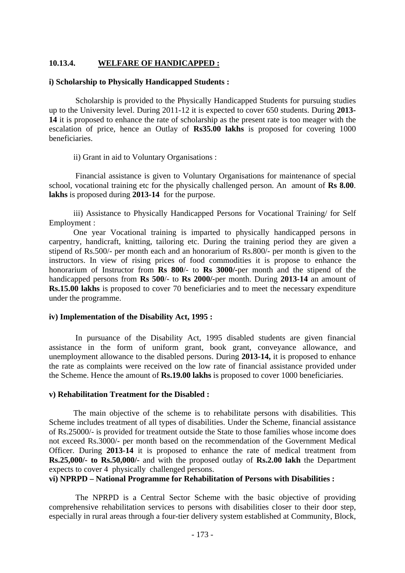## **10.13.4. WELFARE OF HANDICAPPED :**

#### **i) Scholarship to Physically Handicapped Students :**

 Scholarship is provided to the Physically Handicapped Students for pursuing studies up to the University level. During 2011-12 it is expected to cover 650 students. During **2013- 14** it is proposed to enhance the rate of scholarship as the present rate is too meager with the escalation of price, hence an Outlay of **Rs35.00 lakhs** is proposed for covering 1000 beneficiaries.

ii) Grant in aid to Voluntary Organisations :

 Financial assistance is given to Voluntary Organisations for maintenance of special school, vocational training etc for the physically challenged person. An amount of **Rs 8.00**. **lakhs** is proposed during **2013-14** for the purpose.

iii) Assistance to Physically Handicapped Persons for Vocational Training/ for Self Employment :

 One year Vocational training is imparted to physically handicapped persons in carpentry, handicraft, knitting, tailoring etc. During the training period they are given a stipend of Rs.500/- per month each and an honorarium of Rs.800/- per month is given to the instructors. In view of rising prices of food commodities it is propose to enhance the honorarium of Instructor from **Rs 800**/- to **Rs 3000/-**per month and the stipend of the handicapped persons from **Rs 500**/- to **Rs 2000/-**per month. During **2013-14** an amount of **Rs.15.00 lakhs** is proposed to cover 70 beneficiaries and to meet the necessary expenditure under the programme.

#### **iv) Implementation of the Disability Act, 1995 :**

 In pursuance of the Disability Act, 1995 disabled students are given financial assistance in the form of uniform grant, book grant, conveyance allowance, and unemployment allowance to the disabled persons. During **2013-14,** it is proposed to enhance the rate as complaints were received on the low rate of financial assistance provided under the Scheme. Hence the amount of **Rs.19.00 lakhs** is proposed to cover 1000 beneficiaries.

#### **v) Rehabilitation Treatment for the Disabled :**

 The main objective of the scheme is to rehabilitate persons with disabilities. This Scheme includes treatment of all types of disabilities. Under the Scheme, financial assistance of Rs.25000/- is provided for treatment outside the State to those families whose income does not exceed Rs.3000/- per month based on the recommendation of the Government Medical Officer. During **2013-14** it is proposed to enhance the rate of medical treatment from **Rs.25,000/- to Rs.50,000/-** and with the proposed outlay of **Rs.2.00 lakh** the Department expects to cover 4 physically challenged persons.

#### **vi) NPRPD – National Programme for Rehabilitation of Persons with Disabilities :**

The NPRPD is a Central Sector Scheme with the basic objective of providing comprehensive rehabilitation services to persons with disabilities closer to their door step, especially in rural areas through a four-tier delivery system established at Community, Block,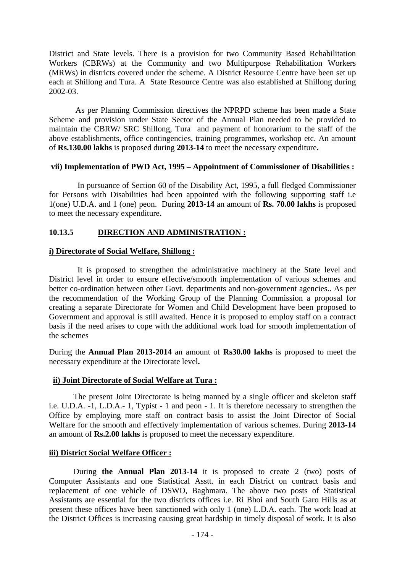District and State levels. There is a provision for two Community Based Rehabilitation Workers (CBRWs) at the Community and two Multipurpose Rehabilitation Workers (MRWs) in districts covered under the scheme. A District Resource Centre have been set up each at Shillong and Tura. A State Resource Centre was also established at Shillong during 2002-03.

 As per Planning Commission directives the NPRPD scheme has been made a State Scheme and provision under State Sector of the Annual Plan needed to be provided to maintain the CBRW/ SRC Shillong, Tura and payment of honorarium to the staff of the above establishments, office contingencies, training programmes, workshop etc. An amount of **Rs.130.00 lakhs** is proposed during **2013-14** to meet the necessary expenditure**.**

## **vii) Implementation of PWD Act, 1995 – Appointment of Commissioner of Disabilities :**

 In pursuance of Section 60 of the Disability Act, 1995, a full fledged Commissioner for Persons with Disabilities had been appointed with the following supporting staff i.e 1(one) U.D.A. and 1 (one) peon. During **2013-14** an amount of **Rs. 70.00 lakhs** is proposed to meet the necessary expenditure**.**

# **10.13.5 DIRECTION AND ADMINISTRATION :**

## **i) Directorate of Social Welfare, Shillong :**

 It is proposed to strengthen the administrative machinery at the State level and District level in order to ensure effective/smooth implementation of various schemes and better co-ordination between other Govt. departments and non-government agencies.. As per the recommendation of the Working Group of the Planning Commission a proposal for creating a separate Directorate for Women and Child Development have been proposed to Government and approval is still awaited. Hence it is proposed to employ staff on a contract basis if the need arises to cope with the additional work load for smooth implementation of the schemes

During the **Annual Plan 2013-2014** an amount of **Rs30.00 lakhs** is proposed to meet the necessary expenditure at the Directorate level**.**

## **ii) Joint Directorate of Social Welfare at Tura :**

 The present Joint Directorate is being manned by a single officer and skeleton staff i.e. U.D.A. -1, L.D.A.- 1, Typist - 1 and peon - 1. It is therefore necessary to strengthen the Office by employing more staff on contract basis to assist the Joint Director of Social Welfare for the smooth and effectively implementation of various schemes. During **2013-14**  an amount of **Rs.2.00 lakhs** is proposed to meet the necessary expenditure.

## **iii) District Social Welfare Officer :**

 During **the Annual Plan 2013-14** it is proposed to create 2 (two) posts of Computer Assistants and one Statistical Asstt. in each District on contract basis and replacement of one vehicle of DSWO, Baghmara. The above two posts of Statistical Assistants are essential for the two districts offices i.e. Ri Bhoi and South Garo Hills as at present these offices have been sanctioned with only 1 (one) L.D.A. each. The work load at the District Offices is increasing causing great hardship in timely disposal of work. It is also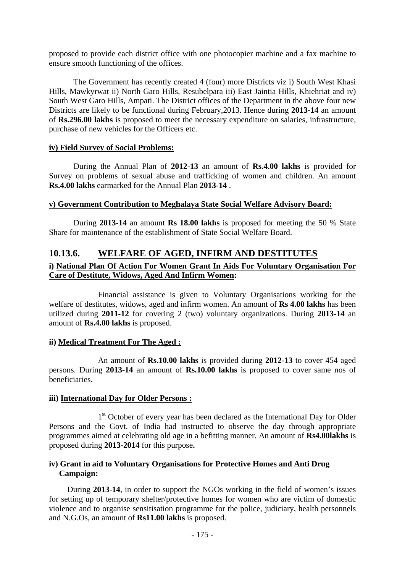proposed to provide each district office with one photocopier machine and a fax machine to ensure smooth functioning of the offices.

 The Government has recently created 4 (four) more Districts viz i) South West Khasi Hills, Mawkyrwat ii) North Garo Hills, Resubelpara iii) East Jaintia Hills, Khiehriat and iv) South West Garo Hills, Ampati. The District offices of the Department in the above four new Districts are likely to be functional during February,2013. Hence during **2013-14** an amount of **Rs.296.00 lakhs** is proposed to meet the necessary expenditure on salaries, infrastructure, purchase of new vehicles for the Officers etc.

#### **iv) Field Survey of Social Problems:**

 During the Annual Plan of **2012-13** an amount of **Rs.4.00 lakhs** is provided for Survey on problems of sexual abuse and trafficking of women and children. An amount **Rs.4.00 lakhs** earmarked for the Annual Plan **2013-14** .

## **v) Government Contribution to Meghalaya State Social Welfare Advisory Board:**

 During **2013-14** an amount **Rs 18.00 lakhs** is proposed for meeting the 50 % State Share for maintenance of the establishment of State Social Welfare Board.

# **10.13.6. WELFARE OF AGED, INFIRM AND DESTITUTES**

# **i) National Plan Of Action For Women Grant In Aids For Voluntary Organisation For Care of Destitute, Widows, Aged And Infirm Women:**

Financial assistance is given to Voluntary Organisations working for the welfare of destitutes, widows, aged and infirm women. An amount of **Rs 4.00 lakhs** has been utilized during **2011-12** for covering 2 (two) voluntary organizations. During **2013-14** an amount of **Rs.4.00 lakhs** is proposed.

#### **ii) Medical Treatment For The Aged :**

An amount of **Rs.10.00 lakhs** is provided during **2012-13** to cover 454 aged persons. During **2013-14** an amount of **Rs.10.00 lakhs** is proposed to cover same nos of beneficiaries.

#### **iii) International Day for Older Persons :**

1<sup>st</sup> October of every year has been declared as the International Day for Older Persons and the Govt. of India had instructed to observe the day through appropriate programmes aimed at celebrating old age in a befitting manner. An amount of **Rs4.00lakhs** is proposed during **2013-2014** for this purpose**.**

## **iv) Grant in aid to Voluntary Organisations for Protective Homes and Anti Drug Campaign:**

 During **2013-14**, in order to support the NGOs working in the field of women's issues for setting up of temporary shelter/protective homes for women who are victim of domestic violence and to organise sensitisation programme for the police, judiciary, health personnels and N.G.Os, an amount of **Rs11.00 lakhs** is proposed.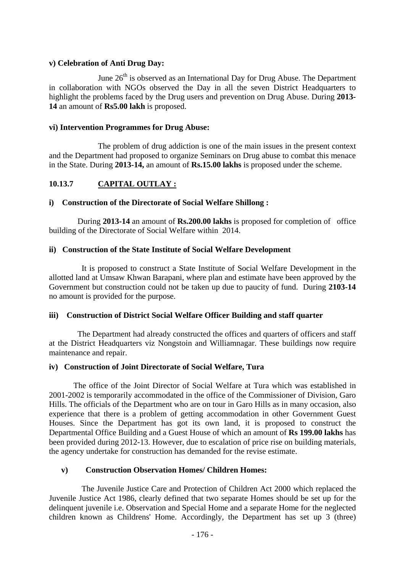## **v) Celebration of Anti Drug Day:**

June  $26<sup>th</sup>$  is observed as an International Day for Drug Abuse. The Department in collaboration with NGOs observed the Day in all the seven District Headquarters to highlight the problems faced by the Drug users and prevention on Drug Abuse. During **2013- 14** an amount of **Rs5.00 lakh** is proposed.

## **vi) Intervention Programmes for Drug Abuse:**

The problem of drug addiction is one of the main issues in the present context and the Department had proposed to organize Seminars on Drug abuse to combat this menace in the State. During **2013-14,** an amount of **Rs.15.00 lakhs** is proposed under the scheme.

# **10.13.7 CAPITAL OUTLAY :**

## **i) Construction of the Directorate of Social Welfare Shillong :**

 During **2013-14** an amount of **Rs.200.00 lakhs** is proposed for completion of office building of the Directorate of Social Welfare within 2014.

## **ii) Construction of the State Institute of Social Welfare Development**

 It is proposed to construct a State Institute of Social Welfare Development in the allotted land at Umsaw Khwan Barapani, where plan and estimate have been approved by the Government but construction could not be taken up due to paucity of fund. During **2103-14**  no amount is provided for the purpose.

#### **iii) Construction of District Social Welfare Officer Building and staff quarter**

 The Department had already constructed the offices and quarters of officers and staff at the District Headquarters viz Nongstoin and Williamnagar. These buildings now require maintenance and repair.

#### **iv) Construction of Joint Directorate of Social Welfare, Tura**

 The office of the Joint Director of Social Welfare at Tura which was established in 2001-2002 is temporarily accommodated in the office of the Commissioner of Division, Garo Hills. The officials of the Department who are on tour in Garo Hills as in many occasion, also experience that there is a problem of getting accommodation in other Government Guest Houses. Since the Department has got its own land, it is proposed to construct the Departmental Office Building and a Guest House of which an amount of **Rs 199.00 lakhs** has been provided during 2012-13. However, due to escalation of price rise on building materials, the agency undertake for construction has demanded for the revise estimate.

## **v) Construction Observation Homes/ Children Homes:**

The Juvenile Justice Care and Protection of Children Act 2000 which replaced the Juvenile Justice Act 1986, clearly defined that two separate Homes should be set up for the delinquent juvenile i.e. Observation and Special Home and a separate Home for the neglected children known as Childrens' Home. Accordingly, the Department has set up 3 (three)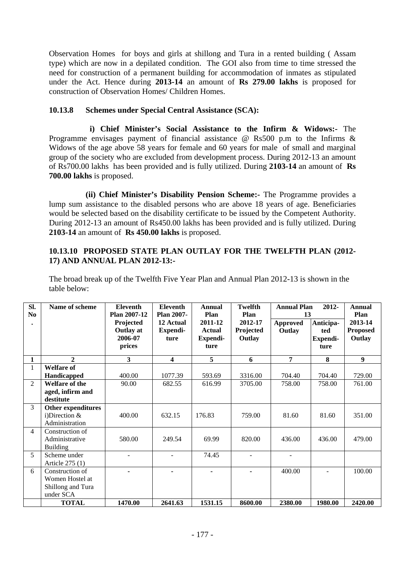Observation Homes for boys and girls at shillong and Tura in a rented building ( Assam type) which are now in a depilated condition. The GOI also from time to time stressed the need for construction of a permanent building for accommodation of inmates as stipulated under the Act. Hence during **2013-14** an amount of **Rs 279.00 lakhs** is proposed for construction of Observation Homes/ Children Homes.

# **10.13.8 Schemes under Special Central Assistance (SCA):**

 **i) Chief Minister's Social Assistance to the Infirm & Widows:-** The Programme envisages payment of financial assistance  $\omega$  Rs500 p.m to the Infirms  $\&$ Widows of the age above 58 years for female and 60 years for male of small and marginal group of the society who are excluded from development process. During 2012-13 an amount of Rs700.00 lakhs has been provided and is fully utilized. During **2103-14** an amount of **Rs 700.00 lakhs** is proposed.

 **(ii) Chief Minister's Disability Pension Scheme:-** The Programme provides a lump sum assistance to the disabled persons who are above 18 years of age. Beneficiaries would be selected based on the disability certificate to be issued by the Competent Authority. During 2012-13 an amount of Rs450.00 lakhs has been provided and is fully utilized. During **2103-14** an amount of **Rs 450.00 lakhs** is proposed.

## **10.13.10 PROPOSED STATE PLAN OUTLAY FOR THE TWELFTH PLAN (2012- 17) AND ANNUAL PLAN 2012-13:-**

The broad break up of the Twelfth Five Year Plan and Annual Plan 2012-13 is shown in the table below:

| SI.<br>N <sub>o</sub> | Name of scheme                                                       | <b>Eleventh</b><br>Plan 2007-12                    | <b>Eleventh</b><br><b>Plan 2007-</b> | <b>Annual</b><br>Plan                        | Twelfth<br>Plan                | <b>Annual Plan</b><br>13  | 2012-                                       | <b>Annual</b><br>Plan                |
|-----------------------|----------------------------------------------------------------------|----------------------------------------------------|--------------------------------------|----------------------------------------------|--------------------------------|---------------------------|---------------------------------------------|--------------------------------------|
|                       |                                                                      | Projected<br><b>Outlay at</b><br>2006-07<br>prices | 12 Actual<br>Expendi-<br>ture        | 2011-12<br><b>Actual</b><br>Expendi-<br>ture | 2012-17<br>Projected<br>Outlay | <b>Approved</b><br>Outlay | Anticipa-<br>ted<br><b>Expendi-</b><br>ture | 2013-14<br><b>Proposed</b><br>Outlay |
| 1                     | $\mathbf{2}$                                                         | $\overline{\mathbf{3}}$                            | 4                                    | 5                                            | 6                              | $\overline{7}$            | 8                                           | $\boldsymbol{9}$                     |
| 1                     | <b>Welfare of</b><br><b>Handicapped</b>                              | 400.00                                             | 1077.39                              | 593.69                                       | 3316.00                        | 704.40                    | 704.40                                      | 729.00                               |
| 2                     | Welfare of the<br>aged, infirm and<br>destitute                      | 90.00                                              | 682.55                               | 616.99                                       | 3705.00                        | 758.00                    | 758.00                                      | 761.00                               |
| 3                     | <b>Other expenditures</b><br>i)Direction $&$<br>Administration       | 400.00                                             | 632.15                               | 176.83                                       | 759.00                         | 81.60                     | 81.60                                       | 351.00                               |
| $\overline{4}$        | Construction of<br>Administrative<br><b>Building</b>                 | 580.00                                             | 249.54                               | 69.99                                        | 820.00                         | 436.00                    | 436.00                                      | 479.00                               |
| 5                     | Scheme under<br>Article 275 (1)                                      |                                                    |                                      | 74.45                                        |                                |                           |                                             |                                      |
| 6                     | Construction of<br>Women Hostel at<br>Shillong and Tura<br>under SCA |                                                    |                                      |                                              |                                | 400.00                    |                                             | 100.00                               |
|                       | <b>TOTAL</b>                                                         | 1470.00                                            | 2641.63                              | 1531.15                                      | 8600.00                        | 2380.00                   | 1980.00                                     | 2420.00                              |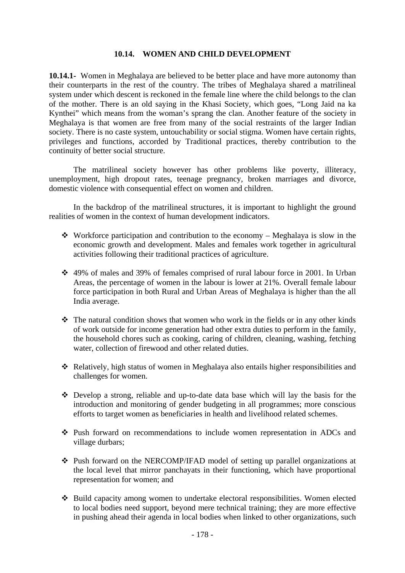#### **10.14. WOMEN AND CHILD DEVELOPMENT**

**10.14.1-** Women in Meghalaya are believed to be better place and have more autonomy than their counterparts in the rest of the country. The tribes of Meghalaya shared a matrilineal system under which descent is reckoned in the female line where the child belongs to the clan of the mother. There is an old saying in the Khasi Society, which goes, "Long Jaid na ka Kynthei" which means from the woman's sprang the clan. Another feature of the society in Meghalaya is that women are free from many of the social restraints of the larger Indian society. There is no caste system, untouchability or social stigma. Women have certain rights, privileges and functions, accorded by Traditional practices, thereby contribution to the continuity of better social structure.

 The matrilineal society however has other problems like poverty, illiteracy, unemployment, high dropout rates, teenage pregnancy, broken marriages and divorce, domestic violence with consequential effect on women and children.

 In the backdrop of the matrilineal structures, it is important to highlight the ground realities of women in the context of human development indicators.

- Workforce participation and contribution to the economy Meghalaya is slow in the economic growth and development. Males and females work together in agricultural activities following their traditional practices of agriculture.
- 49% of males and 39% of females comprised of rural labour force in 2001. In Urban Areas, the percentage of women in the labour is lower at 21%. Overall female labour force participation in both Rural and Urban Areas of Meghalaya is higher than the all India average.
- $\cdot \cdot$  The natural condition shows that women who work in the fields or in any other kinds of work outside for income generation had other extra duties to perform in the family, the household chores such as cooking, caring of children, cleaning, washing, fetching water, collection of firewood and other related duties.
- Relatively, high status of women in Meghalaya also entails higher responsibilities and challenges for women.
- Develop a strong, reliable and up-to-date data base which will lay the basis for the introduction and monitoring of gender budgeting in all programmes; more conscious efforts to target women as beneficiaries in health and livelihood related schemes.
- Push forward on recommendations to include women representation in ADCs and village durbars;
- Push forward on the NERCOMP/IFAD model of setting up parallel organizations at the local level that mirror panchayats in their functioning, which have proportional representation for women; and
- $\div$  Build capacity among women to undertake electoral responsibilities. Women elected to local bodies need support, beyond mere technical training; they are more effective in pushing ahead their agenda in local bodies when linked to other organizations, such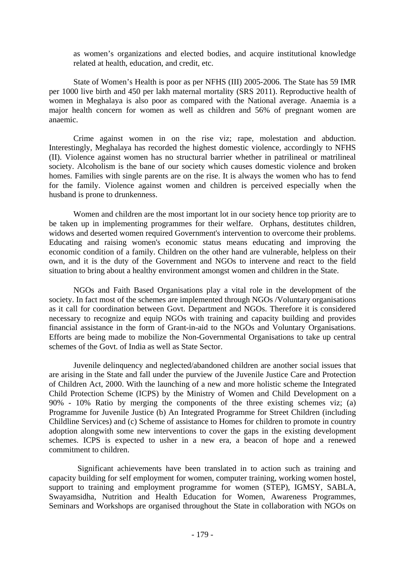as women's organizations and elected bodies, and acquire institutional knowledge related at health, education, and credit, etc.

State of Women's Health is poor as per NFHS (III) 2005-2006. The State has 59 IMR per 1000 live birth and 450 per lakh maternal mortality (SRS 2011). Reproductive health of women in Meghalaya is also poor as compared with the National average. Anaemia is a major health concern for women as well as children and 56% of pregnant women are anaemic.

Crime against women in on the rise viz; rape, molestation and abduction. Interestingly, Meghalaya has recorded the highest domestic violence, accordingly to NFHS (II). Violence against women has no structural barrier whether in patrilineal or matrilineal society. Alcoholism is the bane of our society which causes domestic violence and broken homes. Families with single parents are on the rise. It is always the women who has to fend for the family. Violence against women and children is perceived especially when the husband is prone to drunkenness.

 Women and children are the most important lot in our society hence top priority are to be taken up in implementing programmes for their welfare. Orphans, destitutes children, widows and deserted women required Government's intervention to overcome their problems. Educating and raising women's economic status means educating and improving the economic condition of a family. Children on the other hand are vulnerable, helpless on their own, and it is the duty of the Government and NGOs to intervene and react to the field situation to bring about a healthy environment amongst women and children in the State.

 NGOs and Faith Based Organisations play a vital role in the development of the society. In fact most of the schemes are implemented through NGOs /Voluntary organisations as it call for coordination between Govt. Department and NGOs. Therefore it is considered necessary to recognize and equip NGOs with training and capacity building and provides financial assistance in the form of Grant-in-aid to the NGOs and Voluntary Organisations. Efforts are being made to mobilize the Non-Governmental Organisations to take up central schemes of the Govt. of India as well as State Sector.

 Juvenile delinquency and neglected/abandoned children are another social issues that are arising in the State and fall under the purview of the Juvenile Justice Care and Protection of Children Act, 2000. With the launching of a new and more holistic scheme the Integrated Child Protection Scheme (ICPS) by the Ministry of Women and Child Development on a 90% - 10% Ratio by merging the components of the three existing schemes viz; (a) Programme for Juvenile Justice (b) An Integrated Programme for Street Children (including Childline Services) and (c) Scheme of assistance to Homes for children to promote in country adoption alongwith some new interventions to cover the gaps in the existing development schemes. ICPS is expected to usher in a new era, a beacon of hope and a renewed commitment to children.

 Significant achievements have been translated in to action such as training and capacity building for self employment for women, computer training, working women hostel, support to training and employment programme for women (STEP), IGMSY, SABLA, Swayamsidha, Nutrition and Health Education for Women, Awareness Programmes, Seminars and Workshops are organised throughout the State in collaboration with NGOs on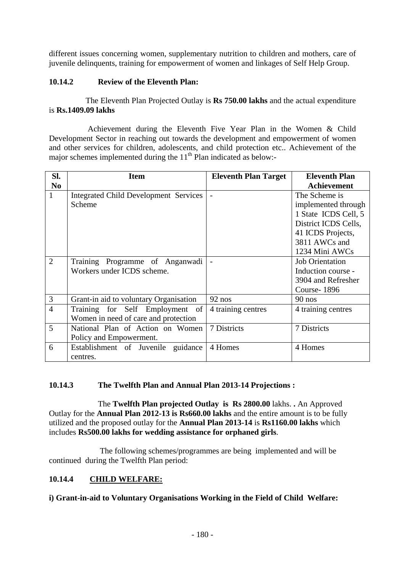different issues concerning women, supplementary nutrition to children and mothers, care of juvenile delinquents, training for empowerment of women and linkages of Self Help Group.

# **10.14.2 Review of the Eleventh Plan:**

 The Eleventh Plan Projected Outlay is **Rs 750.00 lakhs** and the actual expenditure is **Rs.1409.09 lakhs**

 Achievement during the Eleventh Five Year Plan in the Women & Child Development Sector in reaching out towards the development and empowerment of women and other services for children, adolescents, and child protection etc.. Achievement of the major schemes implemented during the  $11<sup>th</sup>$  Plan indicated as below:-

| SI.            | <b>Item</b>                                  | <b>Eleventh Plan Target</b> | <b>Eleventh Plan</b>   |
|----------------|----------------------------------------------|-----------------------------|------------------------|
| N <sub>0</sub> |                                              |                             | <b>Achievement</b>     |
| $\mathbf{1}$   | <b>Integrated Child Development Services</b> |                             | The Scheme is          |
|                | Scheme                                       |                             | implemented through    |
|                |                                              |                             | 1 State ICDS Cell, 5   |
|                |                                              |                             | District ICDS Cells,   |
|                |                                              |                             | 41 ICDS Projects,      |
|                |                                              |                             | 3811 AWCs and          |
|                |                                              |                             | 1234 Mini AWCs         |
| $\overline{2}$ | Training Programme of Anganwadi              |                             | <b>Job Orientation</b> |
|                | Workers under ICDS scheme.                   |                             | Induction course -     |
|                |                                              |                             | 3904 and Refresher     |
|                |                                              |                             | Course-1896            |
| $\mathfrak{Z}$ | Grant-in aid to voluntary Organisation       | $92$ nos                    | $90$ nos               |
| $\overline{4}$ | Training for Self Employment of              | 4 training centres          | 4 training centres     |
|                | Women in need of care and protection         |                             |                        |
| 5              | National Plan of Action on Women             | 7 Districts                 | 7 Districts            |
|                | Policy and Empowerment.                      |                             |                        |
| 6              | Establishment of Juvenile guidance           | 4 Homes                     | 4 Homes                |
|                | centres.                                     |                             |                        |

# **10.14.3 The Twelfth Plan and Annual Plan 2013-14 Projections :**

The **Twelfth Plan projected Outlay is Rs 2800.00** lakhs. **.** An Approved Outlay for the **Annual Plan 2012-13 is Rs660.00 lakhs** and the entire amount is to be fully utilized and the proposed outlay for the **Annual Plan 2013-14** is **Rs1160.00 lakhs** which includes **Rs500.00 lakhs for wedding assistance for orphaned girls**.

 The following schemes/programmes are being implemented and will be continued during the Twelfth Plan period:

## **10.14.4 CHILD WELFARE:**

# **i) Grant-in-aid to Voluntary Organisations Working in the Field of Child Welfare:**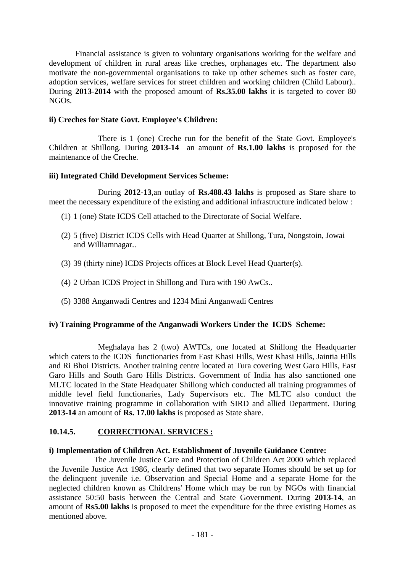Financial assistance is given to voluntary organisations working for the welfare and development of children in rural areas like creches, orphanages etc. The department also motivate the non-governmental organisations to take up other schemes such as foster care, adoption services, welfare services for street children and working children (Child Labour).. During **2013-2014** with the proposed amount of **Rs.35.00 lakhs** it is targeted to cover 80 NGOs.

## **ii) Creches for State Govt. Employee's Children:**

 There is 1 (one) Creche run for the benefit of the State Govt. Employee's Children at Shillong. During **2013-14** an amount of **Rs.1.00 lakhs** is proposed for the maintenance of the Creche.

## **iii) Integrated Child Development Services Scheme:**

During **2012-13**,an outlay of **Rs.488.43 lakhs** is proposed as Stare share to meet the necessary expenditure of the existing and additional infrastructure indicated below :

- (1) 1 (one) State ICDS Cell attached to the Directorate of Social Welfare.
- (2) 5 (five) District ICDS Cells with Head Quarter at Shillong, Tura, Nongstoin, Jowai and Williamnagar..
- (3) 39 (thirty nine) ICDS Projects offices at Block Level Head Quarter(s).
- (4) 2 Urban ICDS Project in Shillong and Tura with 190 AwCs..
- (5) 3388 Anganwadi Centres and 1234 Mini Anganwadi Centres

#### **iv) Training Programme of the Anganwadi Workers Under the ICDS Scheme:**

 Meghalaya has 2 (two) AWTCs, one located at Shillong the Headquarter which caters to the ICDS functionaries from East Khasi Hills, West Khasi Hills, Jaintia Hills and Ri Bhoi Districts. Another training centre located at Tura covering West Garo Hills, East Garo Hills and South Garo Hills Districts. Government of India has also sanctioned one MLTC located in the State Headquater Shillong which conducted all training programmes of middle level field functionaries, Lady Supervisors etc. The MLTC also conduct the innovative training programme in collaboration with SIRD and allied Department. During **2013-14** an amount of **Rs. 17.00 lakhs** is proposed as State share.

#### **10.14.5. CORRECTIONAL SERVICES :**

#### **i) Implementation of Children Act. Establishment of Juvenile Guidance Centre:**

 The Juvenile Justice Care and Protection of Children Act 2000 which replaced the Juvenile Justice Act 1986, clearly defined that two separate Homes should be set up for the delinquent juvenile i.e. Observation and Special Home and a separate Home for the neglected children known as Childrens' Home which may be run by NGOs with financial assistance 50:50 basis between the Central and State Government. During **2013-14**, an amount of **Rs5.00 lakhs** is proposed to meet the expenditure for the three existing Homes as mentioned above.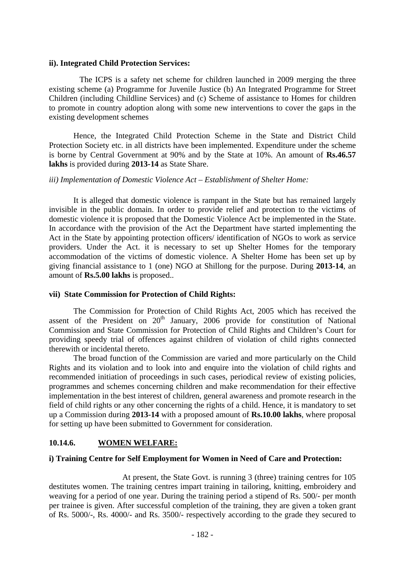#### **ii). Integrated Child Protection Services:**

The ICPS is a safety net scheme for children launched in 2009 merging the three existing scheme (a) Programme for Juvenile Justice (b) An Integrated Programme for Street Children (including Childline Services) and (c) Scheme of assistance to Homes for children to promote in country adoption along with some new interventions to cover the gaps in the existing development schemes

Hence, the Integrated Child Protection Scheme in the State and District Child Protection Society etc. in all districts have been implemented. Expenditure under the scheme is borne by Central Government at 90% and by the State at 10%. An amount of **Rs.46.57 lakhs** is provided during **2013-14** as State Share.

#### *iii) Implementation of Domestic Violence Act – Establishment of Shelter Home:*

It is alleged that domestic violence is rampant in the State but has remained largely invisible in the public domain. In order to provide relief and protection to the victims of domestic violence it is proposed that the Domestic Violence Act be implemented in the State. In accordance with the provision of the Act the Department have started implementing the Act in the State by appointing protection officers/ identification of NGOs to work as service providers. Under the Act. it is necessary to set up Shelter Homes for the temporary accommodation of the victims of domestic violence. A Shelter Home has been set up by giving financial assistance to 1 (one) NGO at Shillong for the purpose. During **2013-14**, an amount of **Rs.5.00 lakhs** is proposed..

#### **vii) State Commission for Protection of Child Rights:**

The Commission for Protection of Child Rights Act, 2005 which has received the assent of the President on  $20<sup>th</sup>$  January, 2006 provide for constitution of National Commission and State Commission for Protection of Child Rights and Children's Court for providing speedy trial of offences against children of violation of child rights connected therewith or incidental thereto.

The broad function of the Commission are varied and more particularly on the Child Rights and its violation and to look into and enquire into the violation of child rights and recommended initiation of proceedings in such cases, periodical review of existing policies, programmes and schemes concerning children and make recommendation for their effective implementation in the best interest of children, general awareness and promote research in the field of child rights or any other concerning the rights of a child. Hence, it is mandatory to set up a Commission during **2013-14** with a proposed amount of **Rs.10.00 lakhs**, where proposal for setting up have been submitted to Government for consideration.

## **10.14.6. WOMEN WELFARE:**

#### **i) Training Centre for Self Employment for Women in Need of Care and Protection:**

 At present, the State Govt. is running 3 (three) training centres for 105 destitutes women. The training centres impart training in tailoring, knitting, embroidery and weaving for a period of one year. During the training period a stipend of Rs. 500/- per month per trainee is given. After successful completion of the training, they are given a token grant of Rs. 5000/-, Rs. 4000/- and Rs. 3500/- respectively according to the grade they secured to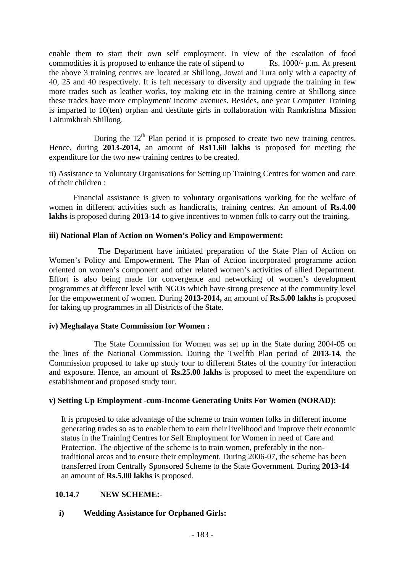enable them to start their own self employment. In view of the escalation of food commodities it is proposed to enhance the rate of stipend to Rs. 1000/- p.m. At present the above 3 training centres are located at Shillong, Jowai and Tura only with a capacity of 40, 25 and 40 respectively. It is felt necessary to diversify and upgrade the training in few more trades such as leather works, toy making etc in the training centre at Shillong since these trades have more employment/ income avenues. Besides, one year Computer Training is imparted to 10(ten) orphan and destitute girls in collaboration with Ramkrishna Mission Laitumkhrah Shillong.

During the  $12<sup>th</sup>$  Plan period it is proposed to create two new training centres. Hence, during **2013-2014,** an amount of **Rs11.60 lakhs** is proposed for meeting the expenditure for the two new training centres to be created.

ii) Assistance to Voluntary Organisations for Setting up Training Centres for women and care of their children :

 Financial assistance is given to voluntary organisations working for the welfare of women in different activities such as handicrafts, training centres. An amount of **Rs.4.00**  lakhs is proposed during 2013-14 to give incentives to women folk to carry out the training.

## **iii) National Plan of Action on Women's Policy and Empowerment:**

 The Department have initiated preparation of the State Plan of Action on Women's Policy and Empowerment. The Plan of Action incorporated programme action oriented on women's component and other related women's activities of allied Department. Effort is also being made for convergence and networking of women's development programmes at different level with NGOs which have strong presence at the community level for the empowerment of women. During **2013-2014,** an amount of **Rs.5.00 lakhs** is proposed for taking up programmes in all Districts of the State.

#### **iv) Meghalaya State Commission for Women :**

 The State Commission for Women was set up in the State during 2004-05 on the lines of the National Commission. During the Twelfth Plan period of **2013-14**, the Commission proposed to take up study tour to different States of the country for interaction and exposure. Hence, an amount of **Rs.25.00 lakhs** is proposed to meet the expenditure on establishment and proposed study tour.

## **v) Setting Up Employment -cum-Income Generating Units For Women (NORAD):**

It is proposed to take advantage of the scheme to train women folks in different income generating trades so as to enable them to earn their livelihood and improve their economic status in the Training Centres for Self Employment for Women in need of Care and Protection. The objective of the scheme is to train women, preferably in the nontraditional areas and to ensure their employment. During 2006-07, the scheme has been transferred from Centrally Sponsored Scheme to the State Government. During **2013-14**  an amount of **Rs.5.00 lakhs** is proposed.

## **10.14.7 NEW SCHEME:-**

## **i) Wedding Assistance for Orphaned Girls:**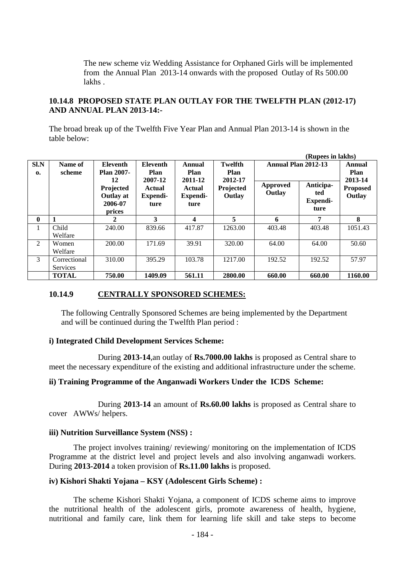The new scheme viz Wedding Assistance for Orphaned Girls will be implemented from the Annual Plan 2013-14 onwards with the proposed Outlay of Rs 500.00 lakhs .

**(Rupees in lakhs)** 

## **10.14.8 PROPOSED STATE PLAN OUTLAY FOR THE TWELFTH PLAN (2012-17) AND ANNUAL PLAN 2013-14:-**

The broad break up of the Twelfth Five Year Plan and Annual Plan 2013-14 is shown in the table below:

| S <sub>1</sub> N<br>$\mathbf{0}$ | Name of<br>scheme        | <b>Eleventh</b><br><b>Plan 2007-</b><br>12         | Eleventh<br>Plan<br>2007-12 | Annual<br>Plan<br>2011-12  | <b>Twelfth</b><br>Plan<br>2012-17 | Annual Plan 2012-13       |                                             | <b>Annual</b><br><b>Plan</b><br>2013-14 |
|----------------------------------|--------------------------|----------------------------------------------------|-----------------------------|----------------------------|-----------------------------------|---------------------------|---------------------------------------------|-----------------------------------------|
|                                  |                          | Projected<br><b>Outlay at</b><br>2006-07<br>prices | Actual<br>Expendi-<br>ture  | Actual<br>Expendi-<br>ture | Projected<br>Outlay               | <b>Approved</b><br>Outlay | Anticipa-<br>ted<br><b>Expendi-</b><br>ture | <b>Proposed</b><br>Outlay               |
| $\mathbf{0}$                     |                          | 2                                                  | 3                           | 4                          | 5                                 | 6                         | 7                                           | 8                                       |
| 1                                | Child<br>Welfare         | 240.00                                             | 839.66                      | 417.87                     | 1263.00                           | 403.48                    | 403.48                                      | 1051.43                                 |
| 2                                | Women<br>Welfare         | 200.00                                             | 171.69                      | 39.91                      | 320.00                            | 64.00                     | 64.00                                       | 50.60                                   |
| 3                                | Correctional<br>Services | 310.00                                             | 395.29                      | 103.78                     | 1217.00                           | 192.52                    | 192.52                                      | 57.97                                   |
|                                  | <b>TOTAL</b>             | 750.00                                             | 1409.09                     | 561.11                     | 2800.00                           | 660.00                    | 660.00                                      | 1160.00                                 |

## **10.14.9 CENTRALLY SPONSORED SCHEMES:**

The following Centrally Sponsored Schemes are being implemented by the Department and will be continued during the Twelfth Plan period :

#### **i) Integrated Child Development Services Scheme:**

During **2013-14**,an outlay of **Rs.7000.00 lakhs** is proposed as Central share to meet the necessary expenditure of the existing and additional infrastructure under the scheme.

## **ii) Training Programme of the Anganwadi Workers Under the ICDS Scheme:**

 During **2013-14** an amount of **Rs.60.00 lakhs** is proposed as Central share to cover AWWs/ helpers.

#### **iii) Nutrition Surveillance System (NSS) :**

 The project involves training/ reviewing/ monitoring on the implementation of ICDS Programme at the district level and project levels and also involving anganwadi workers. During **2013-2014** a token provision of **Rs.11.00 lakhs** is proposed.

#### **iv) Kishori Shakti Yojana – KSY (Adolescent Girls Scheme) :**

The scheme Kishori Shakti Yojana, a component of ICDS scheme aims to improve the nutritional health of the adolescent girls, promote awareness of health, hygiene, nutritional and family care, link them for learning life skill and take steps to become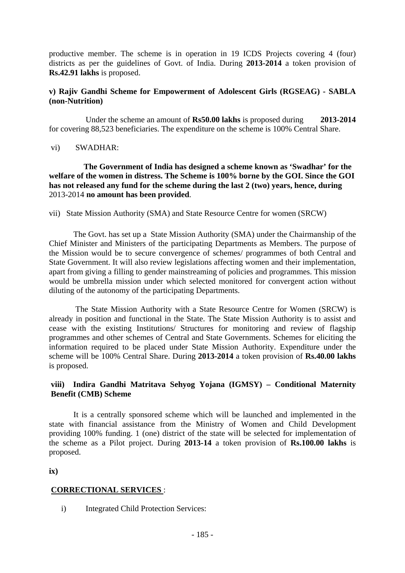productive member. The scheme is in operation in 19 ICDS Projects covering 4 (four) districts as per the guidelines of Govt. of India. During **2013-2014** a token provision of **Rs.42.91 lakhs** is proposed.

## **v) Rajiv Gandhi Scheme for Empowerment of Adolescent Girls (RGSEAG) - SABLA (non-Nutrition)**

Under the scheme an amount of **Rs50.00 lakhs** is proposed during **2013-2014**  for covering 88,523 beneficiaries. The expenditure on the scheme is 100% Central Share.

vi) SWADHAR:

 **The Government of India has designed a scheme known as 'Swadhar' for the welfare of the women in distress. The Scheme is 100% borne by the GOI. Since the GOI has not released any fund for the scheme during the last 2 (two) years, hence, during**  2013-2014 **no amount has been provided**.

vii) State Mission Authority (SMA) and State Resource Centre for women (SRCW)

The Govt. has set up a State Mission Authority (SMA) under the Chairmanship of the Chief Minister and Ministers of the participating Departments as Members. The purpose of the Mission would be to secure convergence of schemes/ programmes of both Central and State Government. It will also review legislations affecting women and their implementation, apart from giving a filling to gender mainstreaming of policies and programmes. This mission would be umbrella mission under which selected monitored for convergent action without diluting of the autonomy of the participating Departments.

 The State Mission Authority with a State Resource Centre for Women (SRCW) is already in position and functional in the State. The State Mission Authority is to assist and cease with the existing Institutions/ Structures for monitoring and review of flagship programmes and other schemes of Central and State Governments. Schemes for eliciting the information required to be placed under State Mission Authority. Expenditure under the scheme will be 100% Central Share. During **2013-2014** a token provision of **Rs.40.00 lakhs** is proposed.

## **viii) Indira Gandhi Matritava Sehyog Yojana (IGMSY) – Conditional Maternity Benefit (CMB) Scheme**

It is a centrally sponsored scheme which will be launched and implemented in the state with financial assistance from the Ministry of Women and Child Development providing 100% funding. 1 (one) district of the state will be selected for implementation of the scheme as a Pilot project. During **2013-14** a token provision of **Rs.100.00 lakhs** is proposed.

**ix)** 

## **CORRECTIONAL SERVICES** :

i) Integrated Child Protection Services: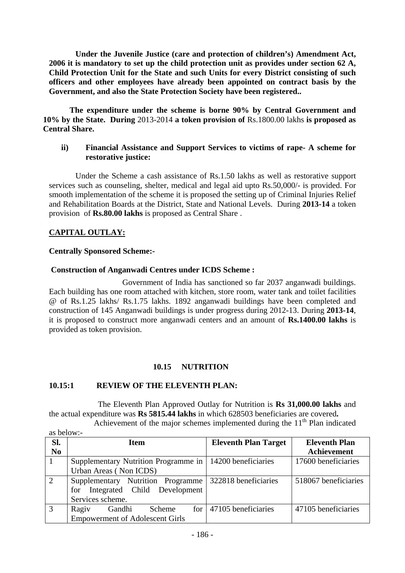**Under the Juvenile Justice (care and protection of children's) Amendment Act, 2006 it is mandatory to set up the child protection unit as provides under section 62 A, Child Protection Unit for the State and such Units for every District consisting of such officers and other employees have already been appointed on contract basis by the Government, and also the State Protection Society have been registered..** 

 **The expenditure under the scheme is borne 90% by Central Government and 10% by the State. During** 2013-2014 **a token provision of** Rs.1800.00 lakhs **is proposed as Central Share.** 

## **ii) Financial Assistance and Support Services to victims of rape- A scheme for restorative justice:**

 Under the Scheme a cash assistance of Rs.1.50 lakhs as well as restorative support services such as counseling, shelter, medical and legal aid upto Rs.50,000/- is provided. For smooth implementation of the scheme it is proposed the setting up of Criminal Injuries Relief and Rehabilitation Boards at the District, State and National Levels. During **2013-14** a token provision of **Rs.80.00 lakhs** is proposed as Central Share .

# **CAPITAL OUTLAY:**

as below:-

## **Centrally Sponsored Scheme:-**

## **Construction of Anganwadi Centres under ICDS Scheme :**

 Government of India has sanctioned so far 2037 anganwadi buildings. Each building has one room attached with kitchen, store room, water tank and toilet facilities @ of Rs.1.25 lakhs/ Rs.1.75 lakhs. 1892 anganwadi buildings have been completed and construction of 145 Anganwadi buildings is under progress during 2012-13. During **2013-14**, it is proposed to construct more anganwadi centers and an amount of **Rs.1400.00 lakhs** is provided as token provision.

## **10.15 NUTRITION**

#### **10.15:1 REVIEW OF THE ELEVENTH PLAN:**

 The Eleventh Plan Approved Outlay for Nutrition is **Rs 31,000.00 lakhs** and the actual expenditure was **Rs 5815.44 lakhs** in which 628503 beneficiaries are covered**.** 

Achievement of the major schemes implemented during the  $11<sup>th</sup>$  Plan indicated

| Sl.<br>N <sub>0</sub> | <b>Item</b>                                                | <b>Eleventh Plan Target</b> | <b>Eleventh Plan</b><br>Achievement |  |  |
|-----------------------|------------------------------------------------------------|-----------------------------|-------------------------------------|--|--|
|                       |                                                            |                             |                                     |  |  |
|                       | Supplementary Nutrition Programme in   14200 beneficiaries |                             | 17600 beneficiaries                 |  |  |
|                       | Urban Areas (Non ICDS)                                     |                             |                                     |  |  |
| 2                     | Supplementary Nutrition Programme                          | 322818 beneficiaries        | 518067 beneficiaries                |  |  |
|                       | for Integrated Child Development                           |                             |                                     |  |  |
|                       | Services scheme.                                           |                             |                                     |  |  |
| 3                     | Scheme<br>Ragiv<br>Gandhi                                  | for $ 47105$ beneficiaries  | 47105 beneficiaries                 |  |  |
|                       | <b>Empowerment of Adolescent Girls</b>                     |                             |                                     |  |  |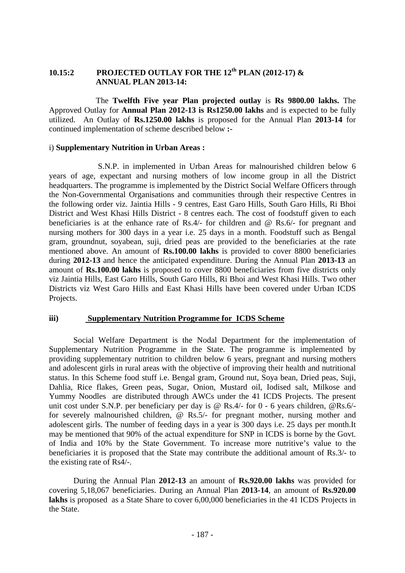# **10.15:2 PROJECTED OUTLAY FOR THE 12th PLAN (2012-17) & ANNUAL PLAN 2013-14:**

 The **Twelfth Five year Plan projected outlay** is **Rs 9800.00 lakhs.** The Approved Outlay for **Annual Plan 2012-13 is Rs1250.00 lakhs** and is expected to be fully utilized. An Outlay of **Rs.1250.00 lakhs** is proposed for the Annual Plan **2013-14** for continued implementation of scheme described below **:-**

#### i) **Supplementary Nutrition in Urban Areas :**

 S.N.P. in implemented in Urban Areas for malnourished children below 6 years of age, expectant and nursing mothers of low income group in all the District headquarters. The programme is implemented by the District Social Welfare Officers through the Non-Governmental Organisations and communities through their respective Centres in the following order viz. Jaintia Hills - 9 centres, East Garo Hills, South Garo Hills, Ri Bhoi District and West Khasi Hills District - 8 centres each. The cost of foodstuff given to each beneficiaries is at the enhance rate of Rs.4/- for children and @ Rs.6/- for pregnant and nursing mothers for 300 days in a year i.e. 25 days in a month. Foodstuff such as Bengal gram, groundnut, soyabean, suji, dried peas are provided to the beneficiaries at the rate mentioned above. An amount of **Rs.100.00 lakhs** is provided to cover 8800 beneficiaries during **2012-13** and hence the anticipated expenditure. During the Annual Plan **2013-13** an amount of **Rs.100.00 lakhs** is proposed to cover 8800 beneficiaries from five districts only viz Jaintia Hills, East Garo Hills, South Garo Hills, Ri Bhoi and West Khasi Hills. Two other Districts viz West Garo Hills and East Khasi Hills have been covered under Urban ICDS Projects.

#### **iii) Supplementary Nutrition Programme for ICDS Scheme**

Social Welfare Department is the Nodal Department for the implementation of Supplementary Nutrition Programme in the State. The programme is implemented by providing supplementary nutrition to children below 6 years, pregnant and nursing mothers and adolescent girls in rural areas with the objective of improving their health and nutritional status. In this Scheme food stuff i.e. Bengal gram, Ground nut, Soya bean, Dried peas, Suji, Dahlia, Rice flakes, Green peas, Sugar, Onion, Mustard oil, Iodised salt, Milkose and Yummy Noodles are distributed through AWCs under the 41 ICDS Projects. The present unit cost under S.N.P. per beneficiary per day is @ Rs.4/- for 0 - 6 years children, @Rs.6/ for severely malnourished children, @ Rs.5/- for pregnant mother, nursing mother and adolescent girls. The number of feeding days in a year is 300 days i.e. 25 days per month.It may be mentioned that 90% of the actual expenditure for SNP in ICDS is borne by the Govt. of India and 10% by the State Government. To increase more nutritive's value to the beneficiaries it is proposed that the State may contribute the additional amount of Rs.3/- to the existing rate of Rs4/-.

During the Annual Plan **2012-13** an amount of **Rs.920.00 lakhs** was provided for covering 5,18,067 beneficiaries. During an Annual Plan **2013-14**, an amount of **Rs.920.00 lakhs** is proposed as a State Share to cover 6,00,000 beneficiaries in the 41 ICDS Projects in the State.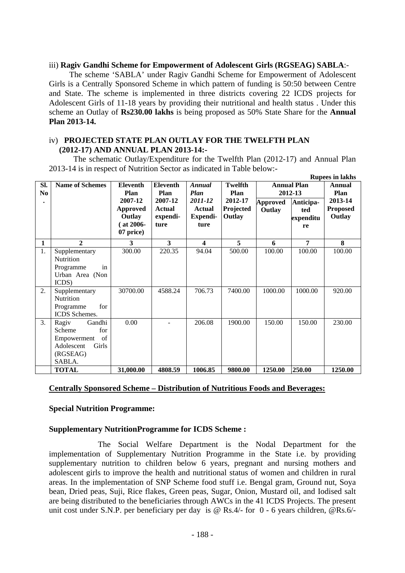#### iii) **Ragiv Gandhi Scheme for Empowerment of Adolescent Girls (RGSEAG) SABLA**:-

 The scheme 'SABLA' under Ragiv Gandhi Scheme for Empowerment of Adolescent Girls is a Centrally Sponsored Scheme in which pattern of funding is 50:50 between Centre and State. The scheme is implemented in three districts covering 22 ICDS projects for Adolescent Girls of 11-18 years by providing their nutritional and health status . Under this scheme an Outlay of **Rs230.00 lakhs** is being proposed as 50% State Share for the **Annual Plan 2013-14.**

## iv) **PROJECTED STATE PLAN OUTLAY FOR THE TWELFTH PLAN (2012-17) AND ANNUAL PLAN 2013-14:-**

 The schematic Outlay/Expenditure for the Twelfth Plan (2012-17) and Annual Plan 2013-14 is in respect of Nutrition Sector as indicated in Table below:-

|                |                        |                 |                 |                         |           |                               |           | <b>Rupees in lakhs</b> |
|----------------|------------------------|-----------------|-----------------|-------------------------|-----------|-------------------------------|-----------|------------------------|
| SI.            | <b>Name of Schemes</b> | <b>Eleventh</b> | <b>Eleventh</b> | Annual                  | Twelfth   | <b>Annual Plan</b><br>2012-13 |           | Annual                 |
| N <sub>0</sub> |                        | Plan            | Plan            | <b>Plan</b>             | Plan      |                               |           | Plan                   |
|                |                        | 2007-12         | 2007-12         | 2011-12                 | 2012-17   | <b>Approved</b>               | Anticipa- | 2013-14                |
|                |                        | <b>Approved</b> | Actual          | Actual                  | Projected | Outlay                        | ted       | <b>Proposed</b>        |
|                |                        | Outlay          | expendi-        | Expendi-                | Outlay    |                               | expenditu | Outlay                 |
|                |                        | $($ at 2006-    | ture            | ture                    |           |                               | re        |                        |
|                |                        | 07 price)       |                 |                         |           |                               |           |                        |
| $\mathbf{1}$   | $\overline{2}$         | 3               | 3               | $\overline{\mathbf{4}}$ | 5         | 6                             | 7         | 8                      |
| 1.             | Supplementary          | 300.00          | 220.35          | 94.04                   | 500.00    | 100.00                        | 100.00    | 100.00                 |
|                | <b>Nutrition</b>       |                 |                 |                         |           |                               |           |                        |
|                | in<br>Programme        |                 |                 |                         |           |                               |           |                        |
|                | Urban Area (Non        |                 |                 |                         |           |                               |           |                        |
|                | ICDS)                  |                 |                 |                         |           |                               |           |                        |
| 2.             | Supplementary          | 30700.00        | 4588.24         | 706.73                  | 7400.00   | 1000.00                       | 1000.00   | 920.00                 |
|                | <b>Nutrition</b>       |                 |                 |                         |           |                               |           |                        |
|                | Programme<br>for       |                 |                 |                         |           |                               |           |                        |
|                | ICDS Schemes.          |                 |                 |                         |           |                               |           |                        |
| 3.             | Gandhi<br>Ragiv        | 0.00            |                 | 206.08                  | 1900.00   | 150.00                        | 150.00    | 230.00                 |
|                | for<br>Scheme          |                 |                 |                         |           |                               |           |                        |
|                | of<br>Empowerment      |                 |                 |                         |           |                               |           |                        |
|                | Adolescent<br>Girls    |                 |                 |                         |           |                               |           |                        |
|                | (RGSEAG)               |                 |                 |                         |           |                               |           |                        |
|                | SABLA.                 |                 |                 |                         |           |                               |           |                        |
|                | <b>TOTAL</b>           | 31,000.00       | 4808.59         | 1006.85                 | 9800.00   | 1250.00                       | 250.00    | 1250.00                |

#### **Centrally Sponsored Scheme – Distribution of Nutritious Foods and Beverages:**

#### **Special Nutrition Programme:**

#### **Supplementary NutritionProgramme for ICDS Scheme :**

The Social Welfare Department is the Nodal Department for the implementation of Supplementary Nutrition Programme in the State i.e. by providing supplementary nutrition to children below 6 years, pregnant and nursing mothers and adolescent girls to improve the health and nutritional status of women and children in rural areas. In the implementation of SNP Scheme food stuff i.e. Bengal gram, Ground nut, Soya bean, Dried peas, Suji, Rice flakes, Green peas, Sugar, Onion, Mustard oil, and Iodised salt are being distributed to the beneficiaries through AWCs in the 41 ICDS Projects. The present unit cost under S.N.P. per beneficiary per day is @ Rs.4/- for 0 - 6 years children, @Rs.6/-